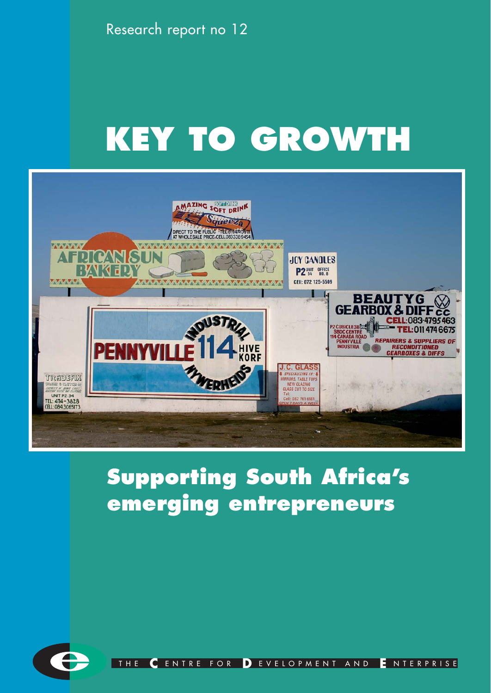Research report no 12

# **KEY TO GROWTH**



# **Supporting South Africa's emerging entrepreneurs**



THE **C** ENTRE FOR **D** EVELOPMENT AND **E** NTERPRISE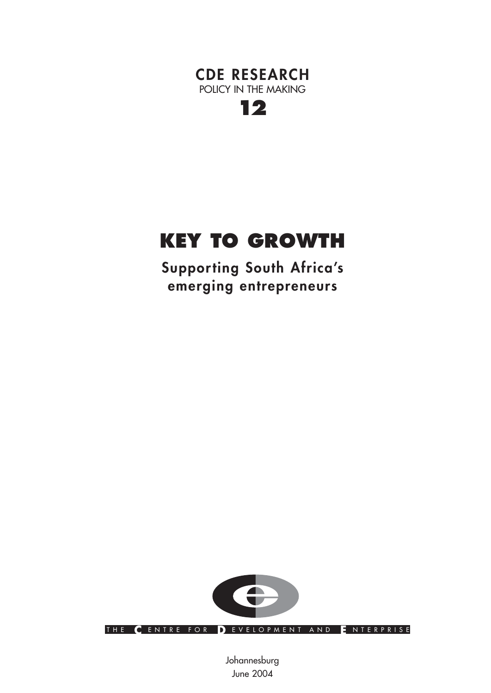



# **KEY TO GROWTH**

**Supporting South Africa's emerging entrepreneurs**



THE **C** ENTRE FOR **D** EVELOPMENT AND **E** NTERPRISE

Johannesburg June 2004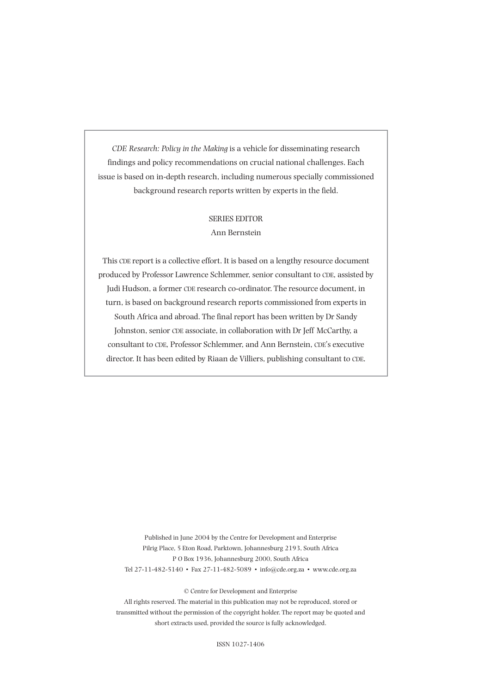*CDE Research: Policy in the Making* is a vehicle for disseminating research findings and policy recommendations on crucial national challenges. Each issue is based on in-depth research, including numerous specially commissioned background research reports written by experts in the field.

#### SERIES EDITOR

#### Ann Bernstein

This CDE report is a collective effort. It is based on a lengthy resource document produced by Professor Lawrence Schlemmer, senior consultant to CDE, assisted by Judi Hudson, a former CDE research co-ordinator. The resource document, in turn, is based on background research reports commissioned from experts in South Africa and abroad. The final report has been written by Dr Sandy Johnston, senior CDE associate, in collaboration with Dr Jeff McCarthy, a consultant to CDE, Professor Schlemmer, and Ann Bernstein, CDE's executive director. It has been edited by Riaan de Villiers, publishing consultant to CDE.

Published in June 2004 by the Centre for Development and Enterprise Pilrig Place, 5 Eton Road, Parktown, Johannesburg 2193, South Africa P O Box 1936, Johannesburg 2000, South Africa Tel 27-11-482-5140 • Fax 27-11-482-5089 • info@cde.org.za • www.cde.org.za

© Centre for Development and Enterprise

All rights reserved. The material in this publication may not be reproduced, stored or transmitted without the permission of the copyright holder. The report may be quoted and short extracts used, provided the source is fully acknowledged.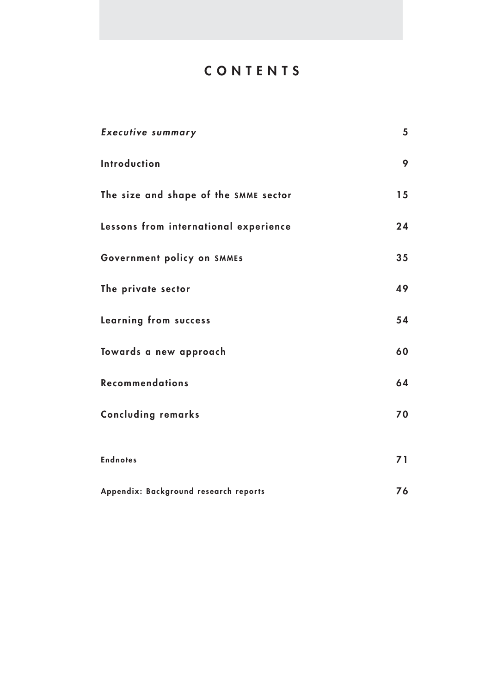# **CONTENTS**

| <b>Executive summary</b>              | 5  |
|---------------------------------------|----|
| Introduction                          | 9  |
| The size and shape of the SMME sector | 15 |
| Lessons from international experience | 24 |
| Government policy on SMMES            | 35 |
| The private sector                    | 49 |
| <b>Learning from success</b>          | 54 |
| Towards a new approach                | 60 |
| <b>Recommendations</b>                | 64 |
| <b>Concluding remarks</b>             | 70 |
| <b>Endnotes</b>                       | 71 |
| Appendix: Background research reports | 76 |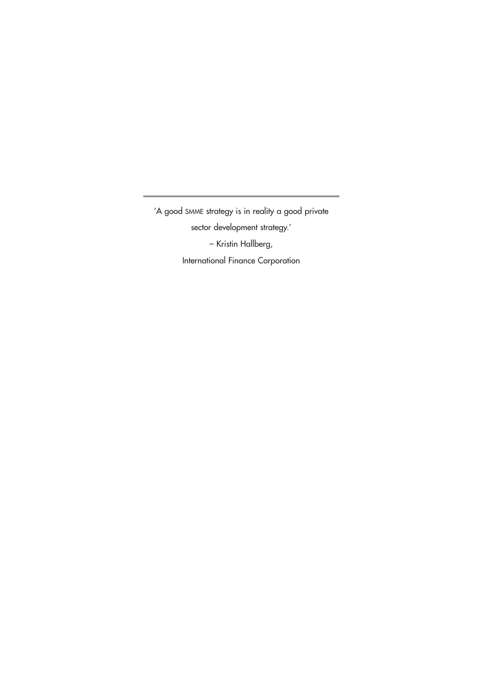'A good SMME strategy is in reality a good private sector development strategy.' – Kristin Hallberg, International Finance Corporation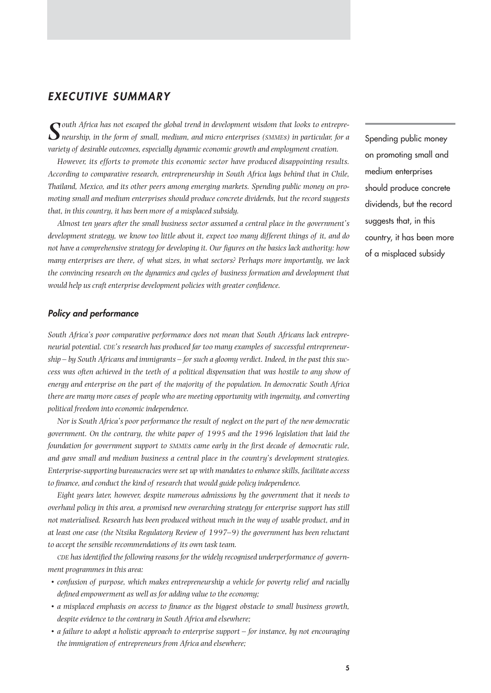# *EXECUTIVE SUMMARY*

*South Africa has not escaped the global trend in development wisdom that looks to entrepreneurship, in the form of small, medium, and micro enterprises (SMMEs) in particular, for a variety of desirable outcomes, especially dynamic economic growth and employment creation.*

*However, its efforts to promote this economic sector have produced disappointing results. According to comparative research, entrepreneurship in South Africa lags behind that in Chile, Thailand, Mexico, and its other peers among emerging markets. Spending public money on promoting small and medium enterprises should produce concrete dividends, but the record suggests that, in this country, it has been more of a misplaced subsidy.* 

*Almost ten years after the small business sector assumed a central place in the government's development strategy, we know too little about it, expect too many different things of it, and do not have a comprehensive strategy for developing it. Our figures on the basics lack authority: how many enterprises are there, of what sizes, in what sectors? Perhaps more importantly, we lack the convincing research on the dynamics and cycles of business formation and development that would help us craft enterprise development policies with greater confidence.*

#### *Policy and performance*

*South Africa's poor comparative performance does not mean that South Africans lack entrepreneurial potential. CDE's research has produced far too many examples of successful entrepreneurship – by South Africans and immigrants – for such a gloomy verdict. Indeed, in the past this success was often achieved in the teeth of a political dispensation that was hostile to any show of energy and enterprise on the part of the majority of the population. In democratic South Africa there are many more cases of people who are meeting opportunity with ingenuity, and converting political freedom into economic independence.*

*Nor is South Africa's poor performance the result of neglect on the part of the new democratic government. On the contrary, the white paper of 1995 and the 1996 legislation that laid the foundation for government support to SMMEs came early in the first decade of democratic rule, and gave small and medium business a central place in the country's development strategies. Enterprise-supporting bureaucracies were set up with mandates to enhance skills, facilitate access to finance, and conduct the kind of research that would guide policy independence.*

*Eight years later, however, despite numerous admissions by the government that it needs to overhaul policy in this area, a promised new overarching strategy for enterprise support has still not materialised. Research has been produced without much in the way of usable product, and in at least one case (the Ntsika Regulatory Review of 1997–9) the government has been reluctant to accept the sensible recommendations of its own task team.*

*CDE has identified the following reasons for the widely recognised underperformance of government programmes in this area:*

- *• confusion of purpose, which makes entrepreneurship a vehicle for poverty relief and racially defined empowerment as well as for adding value to the economy;*
- *a misplaced emphasis on access to finance as the biggest obstacle to small business growth, despite evidence to the contrary in South Africa and elsewhere;*
- *a failure to adopt a holistic approach to enterprise support for instance, by not encouraging the immigration of entrepreneurs from Africa and elsewhere;*

Spending public money on promoting small and medium enterprises should produce concrete dividends, but the record suggests that, in this country, it has been more of a misplaced subsidy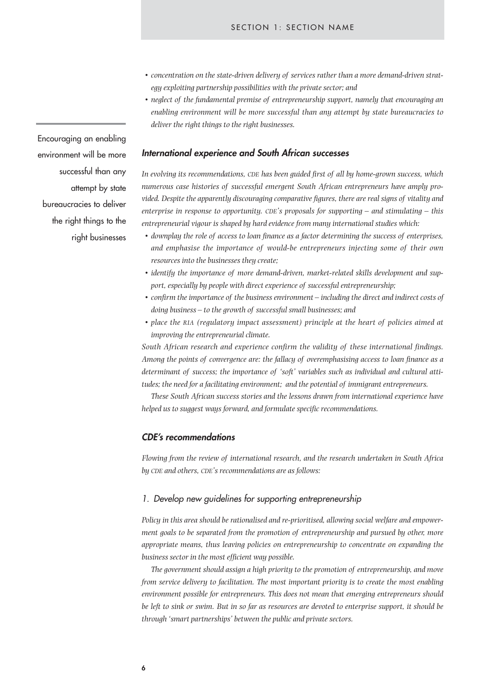- *• concentration on the state-driven delivery of services rather than a more demand-driven strategy exploiting partnership possibilities with the private sector; and*
- *neglect of the fundamental premise of entrepreneurship support, namely that encouraging an enabling environment will be more successful than any attempt by state bureaucracies to deliver the right things to the right businesses.*

#### *International experience and South African successes*

*In evolving its recommendations, CDE has been guided first of all by home-grown success, which numerous case histories of successful emergent South African entrepreneurs have amply provided. Despite the apparently discouraging comparative figures, there are real signs of vitality and enterprise in response to opportunity. CDE's proposals for supporting – and stimulating – this entrepreneurial vigour is shaped by hard evidence from many international studies which:*

- *downplay the role of access to loan finance as a factor determining the success of enterprises, and emphasise the importance of would-be entrepreneurs injecting some of their own resources into the businesses they create;*
- *• identify the importance of more demand-driven, market-related skills development and support, especially by people with direct experience of successful entrepreneurship;*
- *• confirm the importance of the business environment including the direct and indirect costs of doing business – to the growth of successful small businesses; and*
- *• place the RIA (regulatory impact assessment) principle at the heart of policies aimed at improving the entrepreneurial climate.*

*South African research and experience confirm the validity of these international findings. Among the points of convergence are: the fallacy of overemphasising access to loan finance as a determinant of success; the importance of 'soft' variables such as individual and cultural attitudes; the need for a facilitating environment; and the potential of immigrant entrepreneurs.*

*These South African success stories and the lessons drawn from international experience have helped us to suggest ways forward, and formulate specific recommendations.*

#### *CDE's recommendations*

*Flowing from the review of international research, and the research undertaken in South Africa by CDE and others, CDE's recommendations are as follows:* 

#### *1. Develop new guidelines for supporting entrepreneurship*

*Policy in this area should be rationalised and re-prioritised, allowing social welfare and empowerment goals to be separated from the promotion of entrepreneurship and pursued by other, more appropriate means, thus leaving policies on entrepreneurship to concentrate on expanding the business sector in the most efficient way possible.*

*The government should assign a high priority to the promotion of entrepreneurship, and move from service delivery to facilitation. The most important priority is to create the most enabling environment possible for entrepreneurs. This does not mean that emerging entrepreneurs should be left to sink or swim. But in so far as resources are devoted to enterprise support, it should be through 'smart partnerships' between the public and private sectors.*

Encouraging an enabling environment will be more successful than any attempt by state bureaucracies to deliver the right things to the right businesses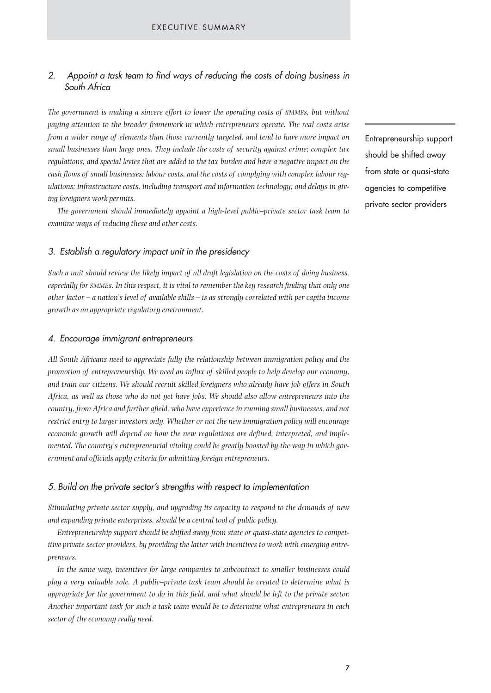# *2. Appoint a task team to find ways of reducing the costs of doing business in South Africa*

*The government is making a sincere effort to lower the operating costs of SMMEs, but without paying attention to the broader framework in which entrepreneurs operate. The real costs arise from a wider range of elements than those currently targeted, and tend to have more impact on small businesses than large ones. They include the costs of security against crime; complex tax regulations, and special levies that are added to the tax burden and have a negative impact on the cash flows of small businesses; labour costs, and the costs of complying with complex labour regulations; infrastructure costs, including transport and information technology; and delays in giving foreigners work permits.* 

*The government should immediately appoint a high-level public–private sector task team to examine ways of reducing these and other costs.*

#### *3. Establish a regulatory impact unit in the presidency*

*Such a unit should review the likely impact of all draft legislation on the costs of doing business, especially for SMMEs. In this respect, it is vital to remember the key research finding that only one other factor – a nation's level of available skills – is as strongly correlated with per capita income growth as an appropriate regulatory environment.*

#### *4. Encourage immigrant entrepreneurs*

*All South Africans need to appreciate fully the relationship between immigration policy and the promotion of entrepreneurship. We need an influx of skilled people to help develop our economy, and train our citizens. We should recruit skilled foreigners who already have job offers in South Africa, as well as those who do not yet have jobs. We should also allow entrepreneurs into the country, from Africa and further afield, who have experience in running small businesses, and not restrict entry to larger investors only. Whether or not the new immigration policy will encourage economic growth will depend on how the new regulations are defined, interpreted, and implemented. The country's entrepreneurial vitality could be greatly boosted by the way in which government and officials apply criteria for admitting foreign entrepreneurs.*

#### *5. Build on the private sector's strengths with respect to implementation*

*Stimulating private sector supply, and upgrading its capacity to respond to the demands of new and expanding private enterprises, should be a central tool of public policy.* 

*Entrepreneurship support should be shifted away from state or quasi-state agencies to competitive private sector providers, by providing the latter with incentives to work with emerging entrepreneurs.*

*In the same way, incentives for large companies to subcontract to smaller businesses could play a very valuable role. A public–private task team should be created to determine what is appropriate for the government to do in this field, and what should be left to the private sector. Another important task for such a task team would be to determine what entrepreneurs in each sector of the economy really need.*

Entrepreneurship support should be shifted away from state or quasi-state agencies to competitive private sector providers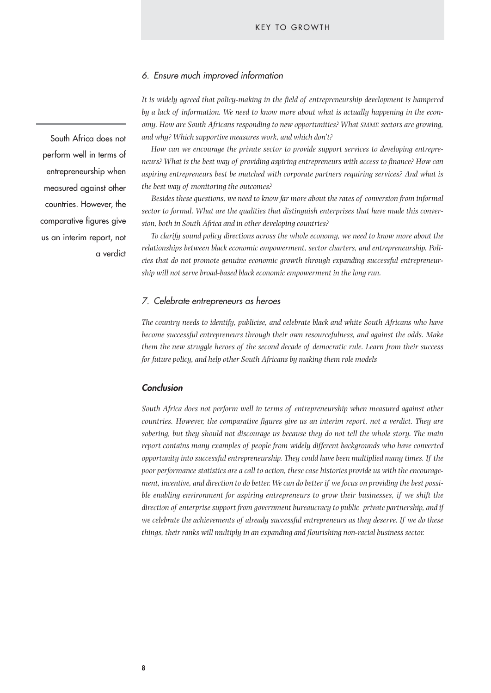#### *6. Ensure much improved information*

*It is widely agreed that policy-making in the field of entrepreneurship development is hampered by a lack of information. We need to know more about what is actually happening in the economy. How are South Africans responding to new opportunities? What SMME sectors are growing, and why? Which supportive measures work, and which don't?*

*How can we encourage the private sector to provide support services to developing entrepreneurs? What is the best way of providing aspiring entrepreneurs with access to finance? How can aspiring entrepreneurs best be matched with corporate partners requiring services? And what is the best way of monitoring the outcomes?*

*Besides these questions, we need to know far more about the rates of conversion from informal sector to formal. What are the qualities that distinguish enterprises that have made this conversion, both in South Africa and in other developing countries?* 

*To clarify sound policy directions across the whole economy, we need to know more about the relationships between black economic empowerment, sector charters, and entrepreneurship. Policies that do not promote genuine economic growth through expanding successful entrepreneurship will not serve broad-based black economic empowerment in the long run.*

#### *7. Celebrate entrepreneurs as heroes*

*The country needs to identify, publicise, and celebrate black and white South Africans who have become successful entrepreneurs through their own resourcefulness, and against the odds. Make them the new struggle heroes of the second decade of democratic rule. Learn from their success for future policy, and help other South Africans by making them role models*

#### *Conclusion*

*South Africa does not perform well in terms of entrepreneurship when measured against other countries. However, the comparative figures give us an interim report, not a verdict. They are sobering, but they should not discourage us because they do not tell the whole story. The main report contains many examples of people from widely different backgrounds who have converted opportunity into successful entrepreneurship. They could have been multiplied many times. If the poor performance statistics are a call to action, these case histories provide us with the encouragement, incentive, and direction to do better. We can do better if we focus on providing the best possible enabling environment for aspiring entrepreneurs to grow their businesses, if we shift the direction of enterprise support from government bureaucracy to public–private partnership, and if we celebrate the achievements of already successful entrepreneurs as they deserve. If we do these things, their ranks will multiply in an expanding and flourishing non-racial business sector.*

South Africa does not perform well in terms of entrepreneurship when measured against other countries. However, the comparative figures give us an interim report, not a verdict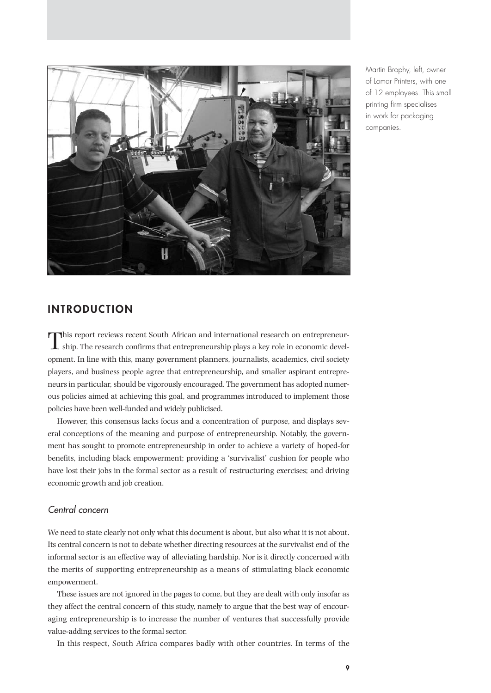

Martin Brophy, left, owner of Lomar Printers, with one of 12 employees. This small printing firm specialises in work for packaging companies.

# **INTRODUCTION**

This report reviews recent South African and international research on entrepreneur- $\perp$  ship. The research confirms that entrepreneurship plays a key role in economic development. In line with this, many government planners, journalists, academics, civil society players, and business people agree that entrepreneurship, and smaller aspirant entrepreneurs in particular, should be vigorously encouraged. The government has adopted numerous policies aimed at achieving this goal, and programmes introduced to implement those policies have been well-funded and widely publicised.

However, this consensus lacks focus and a concentration of purpose, and displays several conceptions of the meaning and purpose of entrepreneurship. Notably, the government has sought to promote entrepreneurship in order to achieve a variety of hoped-for benefits, including black empowerment; providing a 'survivalist' cushion for people who have lost their jobs in the formal sector as a result of restructuring exercises; and driving economic growth and job creation.

# *Central concern*

We need to state clearly not only what this document is about, but also what it is not about. Its central concern is not to debate whether directing resources at the survivalist end of the informal sector is an effective way of alleviating hardship. Nor is it directly concerned with the merits of supporting entrepreneurship as a means of stimulating black economic empowerment.

These issues are not ignored in the pages to come, but they are dealt with only insofar as they affect the central concern of this study, namely to argue that the best way of encouraging entrepreneurship is to increase the number of ventures that successfully provide value-adding services to the formal sector.

In this respect, South Africa compares badly with other countries. In terms of the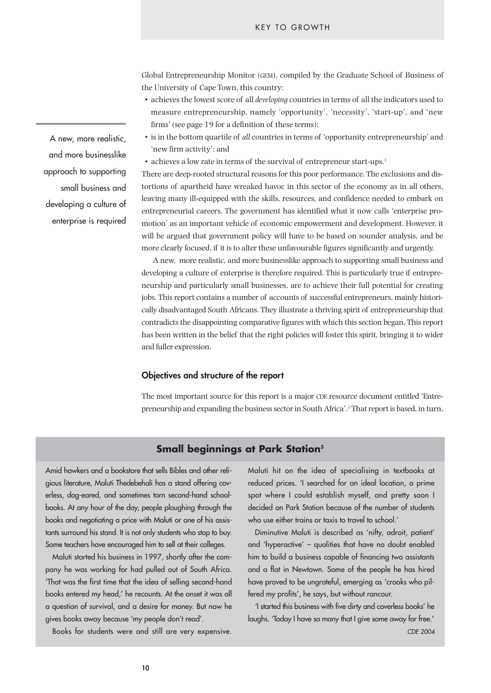Global Entrepreneurship Monitor (GEM), compiled by the Graduate School of Business of the University of Cape Town, this country:

- achieves the lowest score of all *developing* countries in terms of all the indicators used to measure entrepreneurship, namely 'opportunity', 'necessity', 'start-up', and 'new firms' (see page 19 for a definition of these terms);
- is in the bottom quartile of *all* countries in terms of 'opportunity entrepreneurship' and 'new firm activity'; and
- achieves a low rate in terms of the survival of entrepreneur start-ups.<sup>1</sup>

There are deep-rooted structural reasons for this poor performance. The exclusions and distortions of apartheid have wreaked havoc in this sector of the economy as in all others, leaving many ill-equipped with the skills, resources, and confidence needed to embark on entrepreneurial careers. The government has identified what it now calls 'enterprise promotion' as an important vehicle of economic empowerment and development. However, it will be argued that government policy will have to be based on sounder analysis, and be more clearly focused, if it is to alter these unfavourable figures significantly and urgently.

A new, more realistic, and more businesslike approach to supporting small business and developing a culture of enterprise is therefore required. This is particularly true if entrepreneurship and particularly small businesses, are to achieve their full potential for creating jobs. This report contains a number of accounts of successful entrepreneurs, mainly historically disadvantaged South Africans. They illustrate a thriving spirit of entrepreneurship that contradicts the disappointing comparative figures with which this section began. This report has been written in the belief that the right policies will foster this spirit, bringing it to wider and fuller expression.

#### **Objectives and structure of the report**

The most important source for this report is a major CDE resource document entitled 'Entrepreneurship and expanding the business sector in South Africa'.2 That report is based, in turn,

#### **Small beginnings at Park Station3**

Amid hawkers and a bookstore that sells Bibles and other religious literature, Maluti Thedebehali has a stand offering coverless, dog-eared, and sometimes torn second-hand schoolbooks. At any hour of the day, people ploughing through the books and negotiating a price with Maluti or one of his assistants surround his stand. It is not only students who stop to buy. Some teachers have encouraged him to sell at their colleges.

Maluti started his business in 1997, shortly after the company he was working for had pulled out of South Africa. 'That was the first time that the idea of selling second-hand books entered my head,' he recounts. At the onset it was all a question of survival, and a desire for money. But now he gives books away because 'my people don't read'.

Books for students were and still are very expensive.

Maluti hit on the idea of specialising in textbooks at reduced prices. 'I searched for an ideal location, a prime spot where I could establish myself, and pretty soon I decided on Park Station because of the number of students who use either trains or taxis to travel to school.'

Diminutive Maluti is described as 'nifty, adroit, patient' and 'hyperactive' – qualities that have no doubt enabled him to build a business capable of financing two assistants and a flat in Newtown. Some of the people he has hired have proved to be ungrateful, emerging as 'crooks who pilfered my profits', he says, but without rancour.

'I started this business with five dirty and coverless books' he laughs. 'Today I have so many that I give some away for free.' *CDE 2004*

A new, more realistic, and more businesslike approach to supporting small business and developing a culture of enterprise is required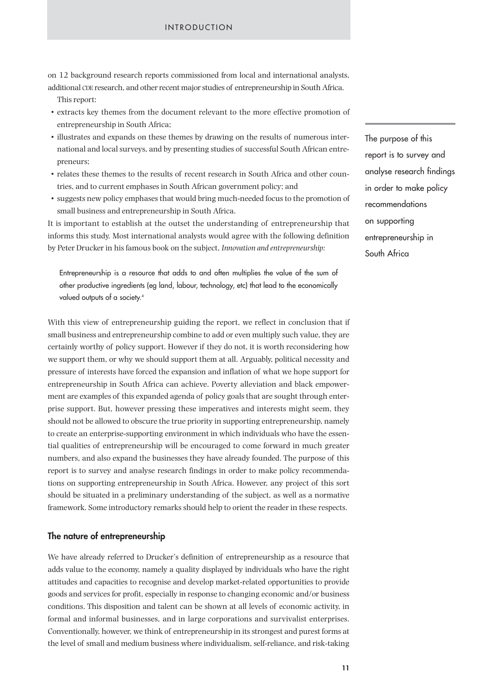#### INTRODUCTION

on 12 background research reports commissioned from local and international analysts, additional CDE research, and other recent major studies of entrepreneurship in South Africa.

- This report:
- extracts key themes from the document relevant to the more effective promotion of entrepreneurship in South Africa;
- illustrates and expands on these themes by drawing on the results of numerous international and local surveys, and by presenting studies of successful South African entrepreneurs;
- relates these themes to the results of recent research in South Africa and other countries, and to current emphases in South African government policy; and
- suggests new policy emphases that would bring much-needed focus to the promotion of small business and entrepreneurship in South Africa.

It is important to establish at the outset the understanding of entrepreneurship that informs this study. Most international analysts would agree with the following definition by Peter Drucker in his famous book on the subject, *Innovation and entrepreneurship:*

Entrepreneurship is a resource that adds to and often multiplies the value of the sum of other productive ingredients (eg land, labour, technology, etc) that lead to the economically valued outputs of a society.<sup>4</sup>

With this view of entrepreneurship guiding the report, we reflect in conclusion that if small business and entrepreneurship combine to add or even multiply such value, they are certainly worthy of policy support. However if they do not, it is worth reconsidering how we support them, or why we should support them at all. Arguably, political necessity and pressure of interests have forced the expansion and inflation of what we hope support for entrepreneurship in South Africa can achieve. Poverty alleviation and black empowerment are examples of this expanded agenda of policy goals that are sought through enterprise support. But, however pressing these imperatives and interests might seem, they should not be allowed to obscure the true priority in supporting entrepreneurship, namely to create an enterprise-supporting environment in which individuals who have the essential qualities of entrepreneurship will be encouraged to come forward in much greater numbers, and also expand the businesses they have already founded. The purpose of this report is to survey and analyse research findings in order to make policy recommendations on supporting entrepreneurship in South Africa. However, any project of this sort should be situated in a preliminary understanding of the subject, as well as a normative framework. Some introductory remarks should help to orient the reader in these respects.

#### **The nature of entrepreneurship**

We have already referred to Drucker's definition of entrepreneurship as a resource that adds value to the economy, namely a quality displayed by individuals who have the right attitudes and capacities to recognise and develop market-related opportunities to provide goods and services for profit, especially in response to changing economic and/or business conditions. This disposition and talent can be shown at all levels of economic activity, in formal and informal businesses, and in large corporations and survivalist enterprises. Conventionally, however, we think of entrepreneurship in its strongest and purest forms at the level of small and medium business where individualism, self-reliance, and risk-taking The purpose of this report is to survey and analyse research findings in order to make policy recommendations on supporting entrepreneurship in South Africa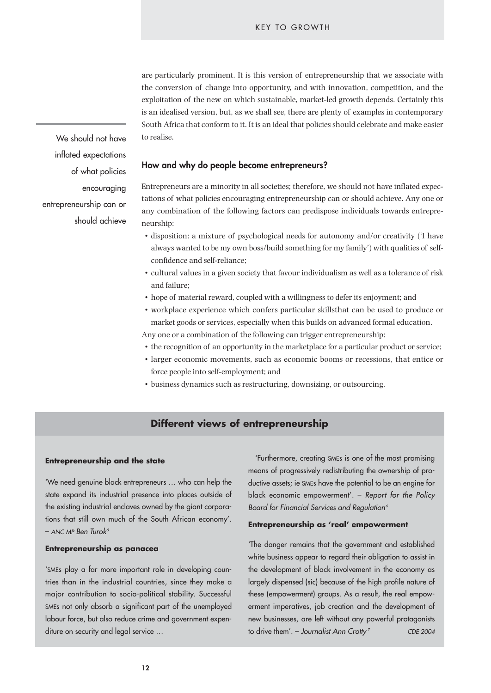are particularly prominent. It is this version of entrepreneurship that we associate with the conversion of change into opportunity, and with innovation, competition, and the exploitation of the new on which sustainable, market-led growth depends. Certainly this is an idealised version, but, as we shall see, there are plenty of examples in contemporary South Africa that conform to it. It is an ideal that policies should celebrate and make easier to realise.

**How and why do people become entrepreneurs?**

of what policies encouraging entrepreneurship can or should achieve

We should not have

inflated expectations

Entrepreneurs are a minority in all societies; therefore, we should not have inflated expectations of what policies encouraging entrepreneurship can or should achieve. Any one or any combination of the following factors can predispose individuals towards entrepreneurship:

- disposition: a mixture of psychological needs for autonomy and/or creativity ('I have always wanted to be my own boss/build something for my family') with qualities of selfconfidence and self-reliance;
- cultural values in a given society that favour individualism as well as a tolerance of risk and failure;
- hope of material reward, coupled with a willingness to defer its enjoyment; and
- workplace experience which confers particular skillsthat can be used to produce or market goods or services, especially when this builds on advanced formal education.
- Any one or a combination of the following can trigger entrepreneurship:
- the recognition of an opportunity in the marketplace for a particular product or service;
- larger economic movements, such as economic booms or recessions, that entice or force people into self-employment; and
- business dynamics such as restructuring, downsizing, or outsourcing.

# **Different views of entrepreneurship**

#### **Entrepreneurship and the state**

'We need genuine black entrepreneurs … who can help the state expand its industrial presence into places outside of the existing industrial enclaves owned by the giant corporations that still own much of the South African economy'. – *ANC MP Ben Turok5*

#### **Entrepreneurship as panacea**

'SMEs play a far more important role in developing countries than in the industrial countries, since they make a major contribution to socio-political stability. Successful SMEs not only absorb a significant part of the unemployed labour force, but also reduce crime and government expenditure on security and legal service …

'Furthermore, creating SMEs is one of the most promising means of progressively redistributing the ownership of productive assets; ie SMEs have the potential to be an engine for black economic empowerment'. – *Report for the Policy Board for Financial Services and Regulation6*

#### **Entrepreneurship as 'real' empowerment**

'The danger remains that the government and established white business appear to regard their obligation to assist in the development of black involvement in the economy as largely dispensed (sic) because of the high profile nature of these (empowerment) groups. As a result, the real empowerment imperatives, job creation and the development of new businesses, are left without any powerful protagonists to drive them'. – *Journalist Ann Crotty <sup>7</sup> CDE 2004*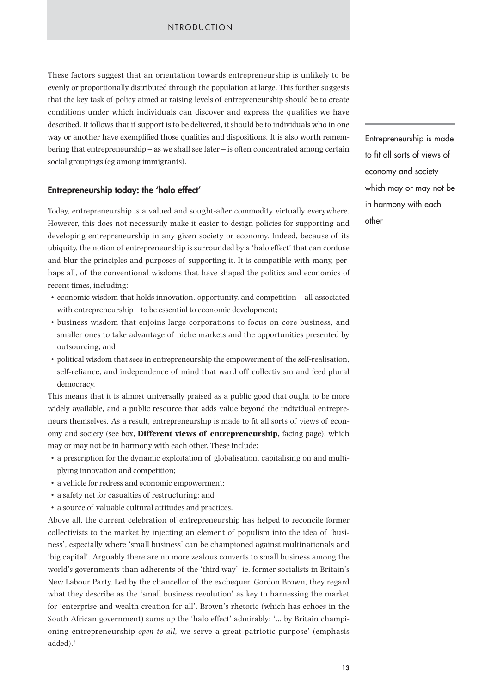These factors suggest that an orientation towards entrepreneurship is unlikely to be evenly or proportionally distributed through the population at large. This further suggests that the key task of policy aimed at raising levels of entrepreneurship should be to create conditions under which individuals can discover and express the qualities we have described. It follows that if support is to be delivered, it should be to individuals who in one way or another have exemplified those qualities and dispositions. It is also worth remembering that entrepreneurship – as we shall see later – is often concentrated among certain social groupings (eg among immigrants).

#### **Entrepreneurship today: the 'halo effect'**

Today, entrepreneurship is a valued and sought-after commodity virtually everywhere. However, this does not necessarily make it easier to design policies for supporting and developing entrepreneurship in any given society or economy. Indeed, because of its ubiquity, the notion of entrepreneurship is surrounded by a 'halo effect' that can confuse and blur the principles and purposes of supporting it. It is compatible with many, perhaps all, of the conventional wisdoms that have shaped the politics and economics of recent times, including:

- economic wisdom that holds innovation, opportunity, and competition all associated with entrepreneurship – to be essential to economic development;
- business wisdom that enjoins large corporations to focus on core business, and smaller ones to take advantage of niche markets and the opportunities presented by outsourcing; and
- political wisdom that sees in entrepreneurship the empowerment of the self-realisation, self-reliance, and independence of mind that ward off collectivism and feed plural democracy.

This means that it is almost universally praised as a public good that ought to be more widely available, and a public resource that adds value beyond the individual entrepreneurs themselves. As a result, entrepreneurship is made to fit all sorts of views of economy and society (see box, **Different views of entrepreneurship,** facing page), which may or may not be in harmony with each other. These include:

- a prescription for the dynamic exploitation of globalisation, capitalising on and multiplying innovation and competition;
- a vehicle for redress and economic empowerment;
- a safety net for casualties of restructuring; and
- a source of valuable cultural attitudes and practices.

Above all, the current celebration of entrepreneurship has helped to reconcile former collectivists to the market by injecting an element of populism into the idea of 'business', especially where 'small business' can be championed against multinationals and 'big capital'. Arguably there are no more zealous converts to small business among the world's governments than adherents of the 'third way', ie, former socialists in Britain's New Labour Party. Led by the chancellor of the exchequer, Gordon Brown, they regard what they describe as the 'small business revolution' as key to harnessing the market for 'enterprise and wealth creation for all'. Brown's rhetoric (which has echoes in the South African government) sums up the 'halo effect' admirably: '… by Britain championing entrepreneurship *open to all,* we serve a great patriotic purpose' (emphasis added).<sup>8</sup>

Entrepreneurship is made to fit all sorts of views of economy and society which may or may not be in harmony with each other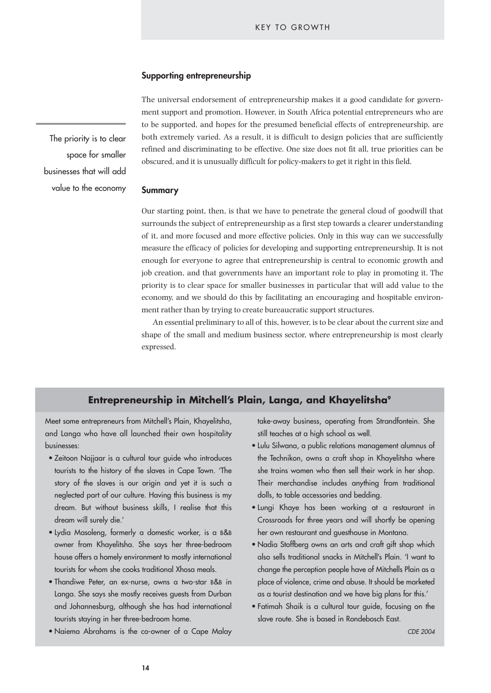#### **Supporting entrepreneurship**

The priority is to clear space for smaller businesses that will add value to the economy The universal endorsement of entrepreneurship makes it a good candidate for government support and promotion. However, in South Africa potential entrepreneurs who are to be supported, and hopes for the presumed beneficial effects of entrepreneurship, are both extremely varied. As a result, it is difficult to design policies that are sufficiently refined and discriminating to be effective. One size does not fit all, true priorities can be obscured, and it is unusually difficult for policy-makers to get it right in this field.

#### **Summary**

Our starting point, then, is that we have to penetrate the general cloud of goodwill that surrounds the subject of entrepreneurship as a first step towards a clearer understanding of it, and more focused and more effective policies. Only in this way can we successfully measure the efficacy of policies for developing and supporting entrepreneurship. It is not enough for everyone to agree that entrepreneurship is central to economic growth and job creation, and that governments have an important role to play in promoting it. The priority is to clear space for smaller businesses in particular that will add value to the economy, and we should do this by facilitating an encouraging and hospitable environment rather than by trying to create bureaucratic support structures.

An essential preliminary to all of this, however, is to be clear about the current size and shape of the small and medium business sector, where entrepreneurship is most clearly expressed.

#### **Entrepreneurship in Mitchell's Plain, Langa, and Khayelitsha9**

Meet some entrepreneurs from Mitchell's Plain, Khayelitsha, and Langa who have all launched their own hospitality businesses:

- Zeitoon Najjaar is a cultural tour guide who introduces tourists to the history of the slaves in Cape Town. 'The story of the slaves is our origin and yet it is such a neglected part of our culture. Having this business is my dream. But without business skills, I realise that this dream will surely die.'
- Lydia Masoleng, formerly a domestic worker, is a B&B owner from Khayelitsha. She says her three-bedroom house offers a homely environment to mostly international tourists for whom she cooks traditional Xhosa meals.
- Thandiwe Peter, an ex-nurse, owns a two-star B&B in Langa. She says she mostly receives guests from Durban and Johannesburg, although she has had international tourists staying in her three-bedroom home.
- Naiema Abrahams is the co-owner of a Cape Malay

take-away business, operating from Strandfontein. She still teaches at a high school as well.

- Lulu Silwana, a public relations management alumnus of the Technikon, owns a craft shop in Khayelitsha where she trains women who then sell their work in her shop. Their merchandise includes anything from traditional dolls, to table accessories and bedding.
- Lungi Khaye has been working at a restaurant in Crossroads for three years and will shortly be opening her own restaurant and guesthouse in Montana.
- Nadia Stoffberg owns an arts and craft gift shop which also sells traditional snacks in Mitchell's Plain. 'I want to change the perception people have of Mitchells Plain as a place of violence, crime and abuse. It should be marketed as a tourist destination and we have big plans for this.'
- Fatimah Shaik is a cultural tour guide, focusing on the slave route. She is based in Rondebosch East.

*CDE 2004*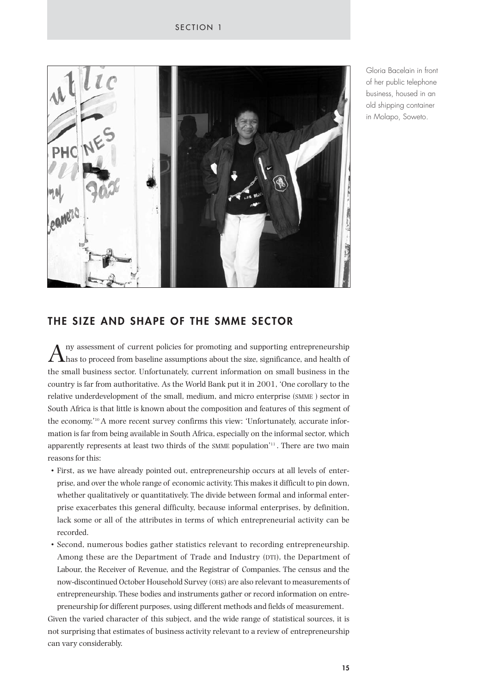

Gloria Bacelain in front of her public telephone business, housed in an old shipping container in Molapo, Soweto.

# **THE SIZE AND SHAPE OF THE SMME SECTOR**

ny assessment of current policies for promoting and supporting entrepreneurship has to proceed from baseline assumptions about the size, significance, and health of the small business sector. Unfortunately, current information on small business in the country is far from authoritative. As the World Bank put it in 2001, 'One corollary to the relative underdevelopment of the small, medium, and micro enterprise (SMME ) sector in South Africa is that little is known about the composition and features of this segment of the economy.'10 A more recent survey confirms this view: 'Unfortunately, accurate information is far from being available in South Africa, especially on the informal sector, which apparently represents at least two thirds of the SMME population $\mathbf{u}$ <sup>11</sup>. There are two main reasons for this:

- First, as we have already pointed out, entrepreneurship occurs at all levels of enterprise, and over the whole range of economic activity. This makes it difficult to pin down, whether qualitatively or quantitatively. The divide between formal and informal enterprise exacerbates this general difficulty, because informal enterprises, by definition, lack some or all of the attributes in terms of which entrepreneurial activity can be recorded.
- Second, numerous bodies gather statistics relevant to recording entrepreneurship. Among these are the Department of Trade and Industry (DTI), the Department of Labour, the Receiver of Revenue, and the Registrar of Companies. The census and the now-discontinued October Household Survey (OHS) are also relevant to measurements of entrepreneurship. These bodies and instruments gather or record information on entrepreneurship for different purposes, using different methods and fields of measurement.

Given the varied character of this subject, and the wide range of statistical sources, it is not surprising that estimates of business activity relevant to a review of entrepreneurship can vary considerably.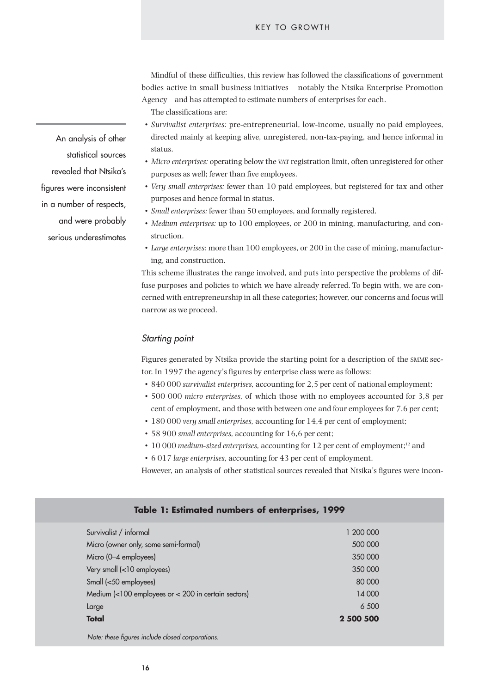Mindful of these difficulties, this review has followed the classifications of government bodies active in small business initiatives – notably the Ntsika Enterprise Promotion Agency – and has attempted to estimate numbers of enterprises for each.

The classifications are:

- *Survivalist enterprises:* pre-entrepreneurial, low-income, usually no paid employees, directed mainly at keeping alive, unregistered, non-tax-paying, and hence informal in status.
- *Micro enterprises:* operating below the VAT registration limit, often unregistered for other purposes as well; fewer than five employees.
- *Very small enterprises:* fewer than 10 paid employees, but registered for tax and other purposes and hence formal in status.
- *Small enterprises:* fewer than 50 employees, and formally registered.
- *Medium enterprises:* up to 100 employees, or 200 in mining, manufacturing, and construction.
- *Large enterprises:* more than 100 employees, or 200 in the case of mining, manufacturing, and construction.

This scheme illustrates the range involved, and puts into perspective the problems of diffuse purposes and policies to which we have already referred. To begin with, we are concerned with entrepreneurship in all these categories; however, our concerns and focus will narrow as we proceed.

#### *Starting point*

Figures generated by Ntsika provide the starting point for a description of the SMME sector. In 1997 the agency's figures by enterprise class were as follows:

- 840 000 *survivalist enterprises,* accounting for 2,5 per cent of national employment;
- 500 000 *micro enterprises,* of which those with no employees accounted for 3,8 per cent of employment, and those with between one and four employees for 7,6 per cent;
- 180 000 *very small enterprises,* accounting for 14,4 per cent of employment;
- 58 900 *small enterprises,* accounting for 16,6 per cent;

**Table 1: Estimated numbers of enterprises, 1999**

- 10 000 *medium-sized enterprises,* accounting for 12 per cent of employment;12 and
- 6 017 *large enterprises,* accounting for 43 per cent of employment.
- However, an analysis of other statistical sources revealed that Ntsika's figures were incon-

| Survivalist / informal                              | 1 200 000 |  |
|-----------------------------------------------------|-----------|--|
| Micro (owner only, some semi-formal)                | 500 000   |  |
| Micro (0-4 employees)                               | 350 000   |  |
| Very small (<10 employees)                          | 350 000   |  |
| Small (<50 employees)                               | 80 000    |  |
| Medium (<100 employees or < 200 in certain sectors) | 14 000    |  |
| Large                                               | 6 500     |  |
| <b>Total</b>                                        | 2 500 500 |  |
|                                                     |           |  |

*Note: these figures include closed corporations.*

An analysis of other statistical sources revealed that Ntsika's figures were inconsistent in a number of respects, and were probably serious underestimates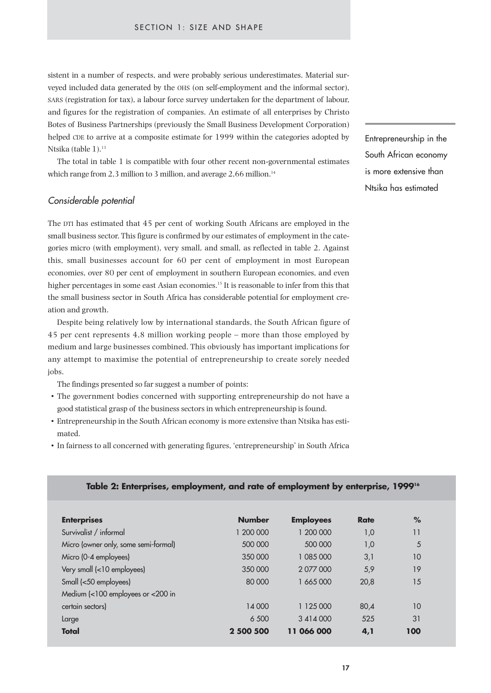sistent in a number of respects, and were probably serious underestimates. Material surveyed included data generated by the OHS (on self-employment and the informal sector), SARS (registration for tax), a labour force survey undertaken for the department of labour, and figures for the registration of companies. An estimate of all enterprises by Christo Botes of Business Partnerships (previously the Small Business Development Corporation) helped CDE to arrive at a composite estimate for 1999 within the categories adopted by Ntsika (table 1).<sup>13</sup>

The total in table 1 is compatible with four other recent non-governmental estimates which range from 2,3 million to 3 million, and average  $2.66$  million.<sup>14</sup>

#### *Considerable potential*

The DTI has estimated that 45 per cent of working South Africans are employed in the small business sector. This figure is confirmed by our estimates of employment in the categories micro (with employment), very small, and small, as reflected in table 2. Against this, small businesses account for 60 per cent of employment in most European economies, over 80 per cent of employment in southern European economies, and even higher percentages in some east Asian economies.<sup>15</sup> It is reasonable to infer from this that the small business sector in South Africa has considerable potential for employment creation and growth.

Despite being relatively low by international standards, the South African figure of 45 per cent represents 4,8 million working people – more than those employed by medium and large businesses combined. This obviously has important implications for any attempt to maximise the potential of entrepreneurship to create sorely needed jobs.

The findings presented so far suggest a number of points:

- The government bodies concerned with supporting entrepreneurship do not have a good statistical grasp of the business sectors in which entrepreneurship is found.
- Entrepreneurship in the South African economy is more extensive than Ntsika has estimated.
- In fairness to all concerned with generating figures, 'entrepreneurship' in South Africa

Entrepreneurship in the South African economy is more extensive than Ntsika has estimated

#### **Table 2: Enterprises, employment, and rate of employment by enterprise, 199916**

| <b>Enterprises</b>                   | <b>Number</b> | <b>Employees</b> | <b>Rate</b> | %   |
|--------------------------------------|---------------|------------------|-------------|-----|
| Survivalist / informal               | 1 200 000     | 1 200 000        | 1,0         | 11  |
| Micro (owner only, some semi-formal) | 500 000       | 500 000          | 1,0         | 5   |
| Micro (0-4 employees)                | 350 000       | 1 085 000        | 3,1         | 10  |
| Very small (<10 employees)           | 350 000       | 2 077 000        | 5,9         | 19  |
| Small (<50 employees)                | 80 000        | 1 665 000        | 20,8        | 15  |
| Medium (<100 employees or <200 in    |               |                  |             |     |
| certain sectors)                     | 14 000        | 1 125 000        | 80,4        | 10  |
| Large                                | 6 500         | 3 4 1 4 0 0 0    | 525         | 31  |
| <b>Total</b>                         | 2 500 500     | 11 066 000       | 4,1         | 100 |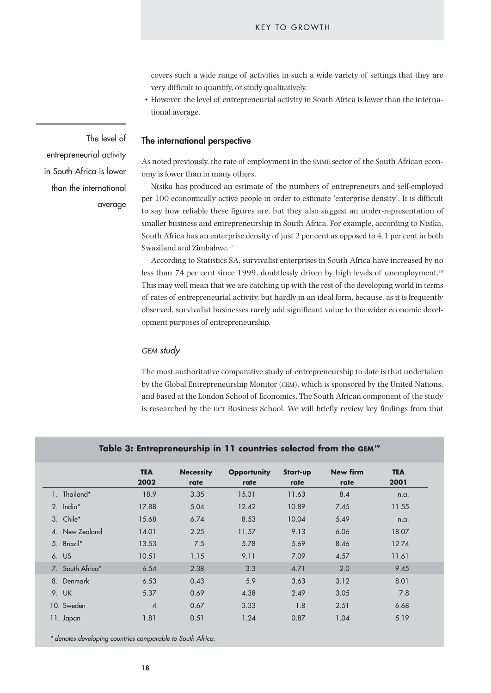covers such a wide range of activities in such a wide variety of settings that they are very difficult to quantify, or study qualitatively.

• However, the level of entrepreneurial activity in South Africa is lower than the international average.

#### **The international perspective**

As noted previously, the rate of employment in the SMME sector of the South African economy is lower than in many others.

Ntsika has produced an estimate of the numbers of entrepreneurs and self-employed per 100 economically active people in order to estimate 'enterprise density'. It is difficult to say how reliable these figures are, but they also suggest an under-representation of smaller business and entrepreneurship in South Africa. For example, according to Ntsika, South Africa has an enterprise density of just 2 per cent as opposed to 4,1 per cent in both Swaziland and Zimbabwe.<sup>17</sup>

According to Statistics SA, survivalist enterprises in South Africa have increased by no less than 74 per cent since 1999, doubtlessly driven by high levels of unemployment.<sup>18</sup> This may well mean that we are catching up with the rest of the developing world in terms of rates of entrepreneurial activity, but hardly in an ideal form, because, as it is frequently observed, survivalist businesses rarely add significant value to the wider economic development purposes of entrepreneurship.

#### *GEM study*

The most authoritative comparative study of entrepreneurship to date is that undertaken by the Global Entrepreneurship Monitor (GEM), which is sponsored by the United Nations, and based at the London School of Economics. The South African component of the study is researched by the UCT Business School. We will briefly review key findings from that

|    |                  | <b>TEA</b>     | <b>Necessity</b> | <b>Opportunity</b> | Start-up | New firm | <b>TEA</b> |
|----|------------------|----------------|------------------|--------------------|----------|----------|------------|
|    |                  | 2002           | rate             | rate               | rate     | rate     | 2001       |
|    | 1. Thailand*     | 18.9           | 3.35             | 15.31              | 11.63    | 8.4      | n.a.       |
|    | 2. India*        | 17.88          | 5.04             | 12.42              | 10.89    | 7.45     | 11.55      |
|    | 3. Chile*        | 15.68          | 6.74             | 8.53               | 10.04    | 5.49     | n.a.       |
|    | 4. New Zealand   | 14.01          | 2.25             | 11.57              | 9.13     | 6.06     | 18.07      |
|    | 5. Brazil*       | 13.53          | 7.5              | 5.78               | 5.69     | 8.46     | 12.74      |
|    | 6. US            | 10.51          | 1.15             | 9.11               | 7.09     | 4.57     | 11.61      |
|    | 7. South Africa* | 6.54           | 2.38             | 3.3                | 4.71     | 2.0      | 9.45       |
| 8. | Denmark          | 6.53           | 0.43             | 5.9                | 3.63     | 3.12     | 8.01       |
|    | 9. UK            | 5.37           | 0.69             | 4.38               | 2.49     | 3.05     | 7.8        |
|    | 10. Sweden       | $\overline{4}$ | 0.67             | 3.33               | 1.8      | 2.51     | 6.68       |
|    | 11. Japan        | 1.81           | 0.51             | 1.24               | 0.87     | 1.04     | 5.19       |

#### Table 3: Entrepreneurship in 11 countries selected from the GEM<sup>19</sup>

*\* denotes developing countries comparable to South Africa.*

The level of entrepreneurial activity in South Africa is lower than the international

average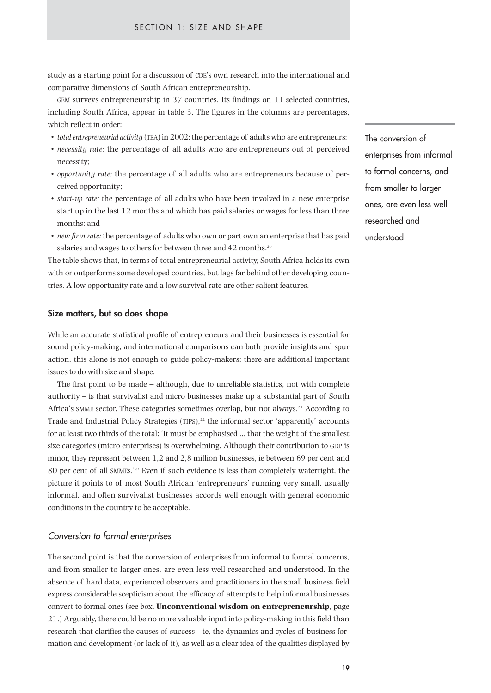study as a starting point for a discussion of CDE's own research into the international and comparative dimensions of South African entrepreneurship.

GEM surveys entrepreneurship in 37 countries. Its findings on 11 selected countries, including South Africa, appear in table 3. The figures in the columns are percentages, which reflect in order:

- *total entrepreneurial activity* (TEA) in 2002: the percentage of adults who are entrepreneurs;
- *necessity rate:* the percentage of all adults who are entrepreneurs out of perceived necessity;
- *opportunity rate:* the percentage of all adults who are entrepreneurs because of perceived opportunity;
- *start-up rate:* the percentage of all adults who have been involved in a new enterprise start up in the last 12 months and which has paid salaries or wages for less than three months; and
- *new firm rate:* the percentage of adults who own or part own an enterprise that has paid salaries and wages to others for between three and 42 months.<sup>20</sup>

The table shows that, in terms of total entrepreneurial activity, South Africa holds its own with or outperforms some developed countries, but lags far behind other developing countries. A low opportunity rate and a low survival rate are other salient features.

#### **Size matters, but so does shape**

While an accurate statistical profile of entrepreneurs and their businesses is essential for sound policy-making, and international comparisons can both provide insights and spur action, this alone is not enough to guide policy-makers; there are additional important issues to do with size and shape.

The first point to be made – although, due to unreliable statistics, not with complete authority – is that survivalist and micro businesses make up a substantial part of South Africa's SMME sector. These categories sometimes overlap, but not always.<sup>21</sup> According to Trade and Industrial Policy Strategies  $(TIPS),<sup>22</sup>$  the informal sector 'apparently' accounts for at least two thirds of the total: 'It must be emphasised … that the weight of the smallest size categories (micro enterprises) is overwhelming. Although their contribution to GDP is minor, they represent between 1,2 and 2,8 million businesses, ie between 69 per cent and 80 per cent of all SMMEs.'23 Even if such evidence is less than completely watertight, the picture it points to of most South African 'entrepreneurs' running very small, usually informal, and often survivalist businesses accords well enough with general economic conditions in the country to be acceptable.

#### *Conversion to formal enterprises*

The second point is that the conversion of enterprises from informal to formal concerns, and from smaller to larger ones, are even less well researched and understood. In the absence of hard data, experienced observers and practitioners in the small business field express considerable scepticism about the efficacy of attempts to help informal businesses convert to formal ones (see box, **Unconventional wisdom on entrepreneurship,** page 21.) Arguably, there could be no more valuable input into policy-making in this field than research that clarifies the causes of success – ie, the dynamics and cycles of business formation and development (or lack of it), as well as a clear idea of the qualities displayed by The conversion of enterprises from informal to formal concerns, and from smaller to larger ones, are even less well researched and understood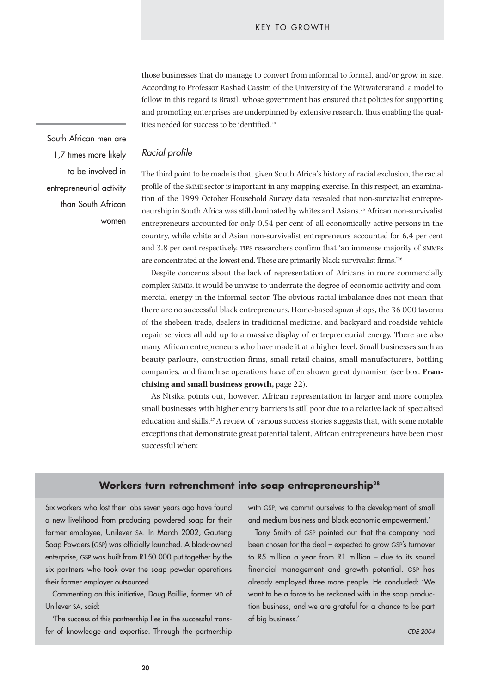those businesses that do manage to convert from informal to formal, and/or grow in size. According to Professor Rashad Cassim of the University of the Witwatersrand, a model to follow in this regard is Brazil, whose government has ensured that policies for supporting and promoting enterprises are underpinned by extensive research, thus enabling the qualities needed for success to be identified.<sup>24</sup>

South African men are 1,7 times more likely to be involved in entrepreneurial activity than South African women

#### *Racial profile*

The third point to be made is that, given South Africa's history of racial exclusion, the racial profile of the SMME sector is important in any mapping exercise. In this respect, an examination of the 1999 October Household Survey data revealed that non-survivalist entrepreneurship in South Africa was still dominated by whites and Asians.25 African non-survivalist entrepreneurs accounted for only 0,54 per cent of all economically active persons in the country, while white and Asian non-survivalist entrepreneurs accounted for 6,4 per cent and 3,8 per cent respectively. TIPS researchers confirm that 'an immense majority of SMMEs are concentrated at the lowest end. These are primarily black survivalist firms.'26

Despite concerns about the lack of representation of Africans in more commercially complex SMMEs, it would be unwise to underrate the degree of economic activity and commercial energy in the informal sector. The obvious racial imbalance does not mean that there are no successful black entrepreneurs. Home-based spaza shops, the 36 000 taverns of the shebeen trade, dealers in traditional medicine, and backyard and roadside vehicle repair services all add up to a massive display of entrepreneurial energy. There are also many African entrepreneurs who have made it at a higher level. Small businesses such as beauty parlours, construction firms, small retail chains, small manufacturers, bottling companies, and franchise operations have often shown great dynamism (see box, **Franchising and small business growth,** page 22).

As Ntsika points out, however, African representation in larger and more complex small businesses with higher entry barriers is still poor due to a relative lack of specialised education and skills.27 A review of various success stories suggests that, with some notable exceptions that demonstrate great potential talent, African entrepreneurs have been most successful when:

# **Workers turn retrenchment into soap entrepreneurship28**

Six workers who lost their jobs seven years ago have found a new livelihood from producing powdered soap for their former employee, Unilever SA. In March 2002, Gauteng Soap Powders (GSP) was officially launched. A black-owned enterprise, GSP was built from R150 000 put together by the six partners who took over the soap powder operations their former employer outsourced.

Commenting on this initiative, Doug Baillie, former MD of Unilever SA, said:

'The success of this partnership lies in the successful transfer of knowledge and expertise. Through the partnership with GSP, we commit ourselves to the development of small and medium business and black economic empowerment.'

Tony Smith of GSP pointed out that the company had been chosen for the deal – expected to grow GSP's turnover to R5 million a year from R1 million – due to its sound financial management and growth potential. GSP has already employed three more people. He concluded: 'We want to be a force to be reckoned with in the soap production business, and we are grateful for a chance to be part of big business.'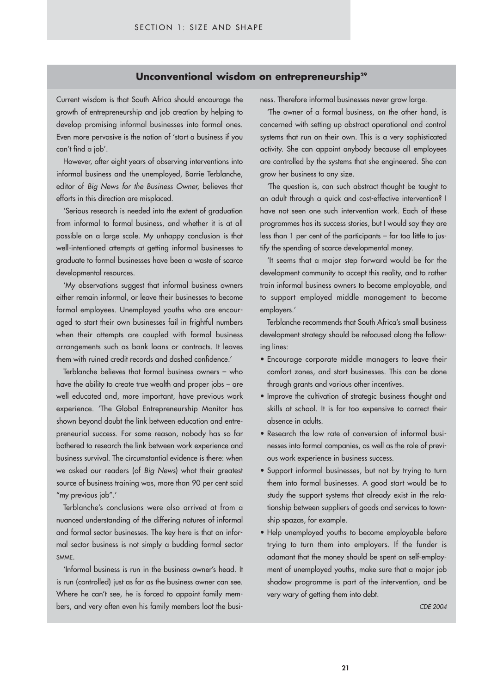# **Unconventional wisdom on entrepreneurship<sup>29</sup>**

Current wisdom is that South Africa should encourage the growth of entrepreneurship and job creation by helping to develop promising informal businesses into formal ones. Even more pervasive is the notion of 'start a business if you can't find a job'.

However, after eight years of observing interventions into informal business and the unemployed, Barrie Terblanche, editor of *Big News for the Business Owner,* believes that efforts in this direction are misplaced.

'Serious research is needed into the extent of graduation from informal to formal business, and whether it is at all possible on a large scale. My unhappy conclusion is that well-intentioned attempts at getting informal businesses to graduate to formal businesses have been a waste of scarce developmental resources.

'My observations suggest that informal business owners either remain informal, or leave their businesses to become formal employees. Unemployed youths who are encouraged to start their own businesses fail in frightful numbers when their attempts are coupled with formal business arrangements such as bank loans or contracts. It leaves them with ruined credit records and dashed confidence.'

Terblanche believes that formal business owners – who have the ability to create true wealth and proper jobs – are well educated and, more important, have previous work experience. 'The Global Entrepreneurship Monitor has shown beyond doubt the link between education and entrepreneurial success. For some reason, nobody has so far bothered to research the link between work experience and business survival. The circumstantial evidence is there: when we asked our readers (of *Big News*) what their greatest source of business training was, more than 90 per cent said "my previous job".'

Terblanche's conclusions were also arrived at from a nuanced understanding of the differing natures of informal and formal sector businesses. The key here is that an informal sector business is not simply a budding formal sector SMME.

'Informal business is run in the business owner's head. It is run (controlled) just as far as the business owner can see. Where he can't see, he is forced to appoint family members, and very often even his family members loot the business. Therefore informal businesses never grow large.

systems that run on their own. This is a very sophisticated 'The owner of a formal business, on the other hand, is concerned with setting up abstract operational and control activity. She can appoint anybody because all employees are controlled by the systems that she engineered. She can grow her business to any size.

'The question is, can such abstract thought be taught to an adult through a quick and cost-effective intervention? I have not seen one such intervention work. Each of these programmes has its success stories, but I would say they are less than 1 per cent of the participants – far too little to justify the spending of scarce developmental money.

'It seems that a major step forward would be for the development community to accept this reality, and to rather train informal business owners to become employable, and to support employed middle management to become employers.'

Terblanche recommends that South Africa's small business development strategy should be refocused along the following lines:

- Encourage corporate middle managers to leave their comfort zones, and start businesses. This can be done through grants and various other incentives.
- Improve the cultivation of strategic business thought and skills at school. It is far too expensive to correct their absence in adults.
- Research the low rate of conversion of informal businesses into formal companies, as well as the role of previous work experience in business success.
- Support informal businesses, but not by trying to turn them into formal businesses. A good start would be to study the support systems that already exist in the relationship between suppliers of goods and services to township spazas, for example.
- Help unemployed youths to become employable before trying to turn them into employers. If the funder is adamant that the money should be spent on self-employment of unemployed youths, make sure that a major job shadow programme is part of the intervention, and be very wary of getting them into debt.

*CDE 2004*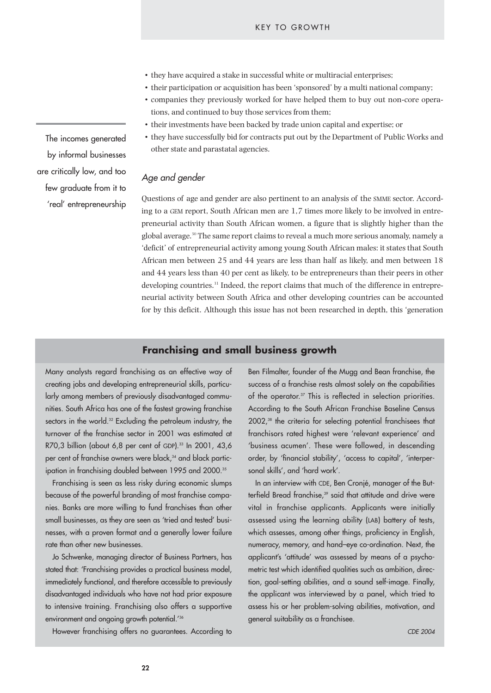- they have acquired a stake in successful white or multiracial enterprises;
- their participation or acquisition has been 'sponsored' by a multi national company;
- companies they previously worked for have helped them to buy out non-core operations, and continued to buy those services from them;
- their investments have been backed by trade union capital and expertise; or
- they have successfully bid for contracts put out by the Department of Public Works and other state and parastatal agencies.

#### *Age and gender*

Questions of age and gender are also pertinent to an analysis of the SMME sector. According to a GEM report, South African men are 1,7 times more likely to be involved in entrepreneurial activity than South African women, a figure that is slightly higher than the global average.<sup>30</sup> The same report claims to reveal a much more serious anomaly, namely a 'deficit' of entrepreneurial activity among young South African males: it states that South African men between 25 and 44 years are less than half as likely, and men between 18 and 44 years less than 40 per cent as likely, to be entrepreneurs than their peers in other developing countries.<sup>31</sup> Indeed, the report claims that much of the difference in entrepreneurial activity between South Africa and other developing countries can be accounted for by this deficit. Although this issue has not been researched in depth, this 'generation

# **Franchising and small business growth**

Many analysts regard franchising as an effective way of creating jobs and developing entrepreneurial skills, particularly among members of previously disadvantaged communities. South Africa has one of the fastest growing franchise sectors in the world.<sup>32</sup> Excluding the petroleum industry, the turnover of the franchise sector in 2001 was estimated at R70,3 billion (about 6,8 per cent of GDP).<sup>33</sup> In 2001, 43,6 per cent of franchise owners were black,<sup>34</sup> and black participation in franchising doubled between 1995 and 2000.<sup>35</sup>

Franchising is seen as less risky during economic slumps because of the powerful branding of most franchise companies. Banks are more willing to fund franchises than other small businesses, as they are seen as 'tried and tested' businesses, with a proven format and a generally lower failure rate than other new businesses.

Jo Schwenke, managing director of Business Partners, has stated that: 'Franchising provides a practical business model, immediately functional, and therefore accessible to previously disadvantaged individuals who have not had prior exposure to intensive training. Franchising also offers a supportive environment and ongoing growth potential.<sup>'36</sup>

However franchising offers no guarantees. According to

**22**

Ben Filmalter, founder of the Mugg and Bean franchise, the success of a franchise rests almost solely on the capabilities of the operator.<sup>37</sup> This is reflected in selection priorities. According to the South African Franchise Baseline Census 2002,<sup>38</sup> the criteria for selecting potential franchisees that franchisors rated highest were 'relevant experience' and 'business acumen'. These were followed, in descending order, by 'financial stability', 'access to capital', 'interpersonal skills', and 'hard work'.

In an interview with CDE, Ben Cronjé, manager of the Butterfield Bread franchise,<sup>39</sup> said that attitude and drive were vital in franchise applicants. Applicants were initially assessed using the learning ability (LAB) battery of tests, which assesses, among other things, proficiency in English, numeracy, memory, and hand–eye co-ordination. Next, the applicant's 'attitude' was assessed by means of a psychometric test which identified qualities such as ambition, direction, goal-setting abilities, and a sound self-image. Finally, the applicant was interviewed by a panel, which tried to assess his or her problem-solving abilities, motivation, and general suitability as a franchisee.

The incomes generated by informal businesses are critically low, and too few graduate from it to 'real' entrepreneurship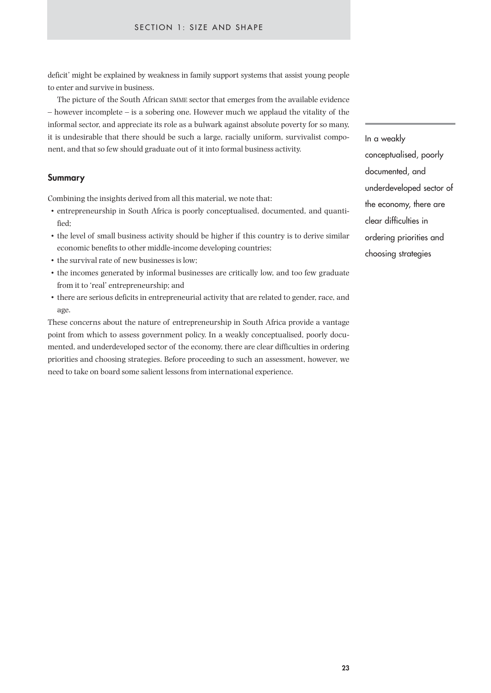deficit' might be explained by weakness in family support systems that assist young people to enter and survive in business.

The picture of the South African SMME sector that emerges from the available evidence – however incomplete – is a sobering one. However much we applaud the vitality of the informal sector, and appreciate its role as a bulwark against absolute poverty for so many, it is undesirable that there should be such a large, racially uniform, survivalist component, and that so few should graduate out of it into formal business activity.

#### **Summary**

Combining the insights derived from all this material, we note that:

- entrepreneurship in South Africa is poorly conceptualised, documented, and quantified;
- the level of small business activity should be higher if this country is to derive similar economic benefits to other middle-income developing countries;
- the survival rate of new businesses is low;
- the incomes generated by informal businesses are critically low, and too few graduate from it to 'real' entrepreneurship; and
- there are serious deficits in entrepreneurial activity that are related to gender, race, and age.

These concerns about the nature of entrepreneurship in South Africa provide a vantage point from which to assess government policy. In a weakly conceptualised, poorly documented, and underdeveloped sector of the economy, there are clear difficulties in ordering priorities and choosing strategies. Before proceeding to such an assessment, however, we need to take on board some salient lessons from international experience.

In a weakly conceptualised, poorly documented, and underdeveloped sector of the economy, there are clear difficulties in ordering priorities and choosing strategies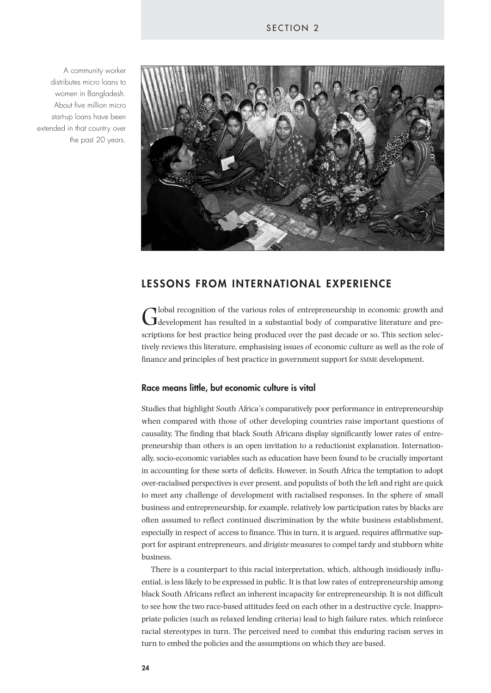A community worker distributes micro loans to women in Bangladesh. About five million micro start-up loans have been extended in that country over the past 20 years.



# **LESSONS FROM INTERNATIONAL EXPERIENCE**

Global recognition of the various roles of entrepreneurship in economic growth and development has resulted in a substantial body of comparative literature and prescriptions for best practice being produced over the past decade or so. This section selectively reviews this literature, emphasising issues of economic culture as well as the role of finance and principles of best practice in government support for SMME development.

#### **Race means little, but economic culture is vital**

Studies that highlight South Africa's comparatively poor performance in entrepreneurship when compared with those of other developing countries raise important questions of causality. The finding that black South Africans display significantly lower rates of entrepreneurship than others is an open invitation to a reductionist explanation. Internationally, socio-economic variables such as education have been found to be crucially important in accounting for these sorts of deficits. However, in South Africa the temptation to adopt over-racialised perspectives is ever present, and populists of both the left and right are quick to meet any challenge of development with racialised responses. In the sphere of small business and entrepreneurship, for example, relatively low participation rates by blacks are often assumed to reflect continued discrimination by the white business establishment, especially in respect of access to finance. This in turn, it is argued, requires affirmative support for aspirant entrepreneurs, and *dirigiste* measures to compel tardy and stubborn white business.

There is a counterpart to this racial interpretation, which, although insidiously influential, is less likely to be expressed in public. It is that low rates of entrepreneurship among black South Africans reflect an inherent incapacity for entrepreneurship. It is not difficult to see how the two race-based attitudes feed on each other in a destructive cycle. Inappropriate policies (such as relaxed lending criteria) lead to high failure rates, which reinforce racial stereotypes in turn. The perceived need to combat this enduring racism serves in turn to embed the policies and the assumptions on which they are based.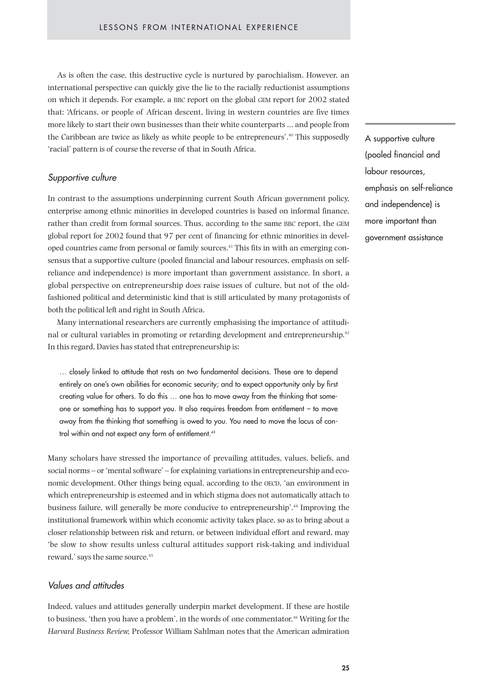As is often the case, this destructive cycle is nurtured by parochialism. However, an international perspective can quickly give the lie to the racially reductionist assumptions on which it depends. For example, a BBC report on the global GEM report for 2002 stated that: 'Africans, or people of African descent, living in western countries are five times more likely to start their own businesses than their white counterparts … and people from the Caribbean are twice as likely as white people to be entrepreneurs'.<sup>40</sup> This supposedly 'racial' pattern is of course the reverse of that in South Africa.

### *Supportive culture*

In contrast to the assumptions underpinning current South African government policy, enterprise among ethnic minorities in developed countries is based on informal finance, rather than credit from formal sources. Thus, according to the same BBC report, the GEM global report for 2002 found that 97 per cent of financing for ethnic minorities in developed countries came from personal or family sources.41 This fits in with an emerging consensus that a supportive culture (pooled financial and labour resources, emphasis on selfreliance and independence) is more important than government assistance. In short, a global perspective on entrepreneurship does raise issues of culture, but not of the oldfashioned political and deterministic kind that is still articulated by many protagonists of both the political left and right in South Africa.

Many international researchers are currently emphasising the importance of attitudinal or cultural variables in promoting or retarding development and entrepreneurship.<sup>42</sup> In this regard, Davies has stated that entrepreneurship is:

… closely linked to attitude that rests on two fundamental decisions. These are to depend entirely on one's own abilities for economic security; and to expect opportunity only by first creating value for others. To do this … one has to move away from the thinking that someone or something has to support you. It also requires freedom from entitlement – to move away from the thinking that something is owed to you. You need to move the locus of control within and not expect any form of entitlement.<sup>43</sup>

Many scholars have stressed the importance of prevailing attitudes, values, beliefs, and social norms – or 'mental software' – for explaining variations in entrepreneurship and economic development. Other things being equal, according to the OECD, 'an environment in which entrepreneurship is esteemed and in which stigma does not automatically attach to business failure, will generally be more conducive to entrepreneurship'.44 Improving the institutional framework within which economic activity takes place, so as to bring about a closer relationship between risk and return, or between individual effort and reward, may 'be slow to show results unless cultural attitudes support risk-taking and individual reward,' says the same source.<sup>45</sup>

#### *Values and attitudes*

Indeed, values and attitudes generally underpin market development. If these are hostile to business, 'then you have a problem', in the words of one commentator.46 Writing for the *Harvard Business Review,* Professor William Sahlman notes that the American admiration A supportive culture (pooled financial and labour resources, emphasis on self-reliance and independence) is more important than government assistance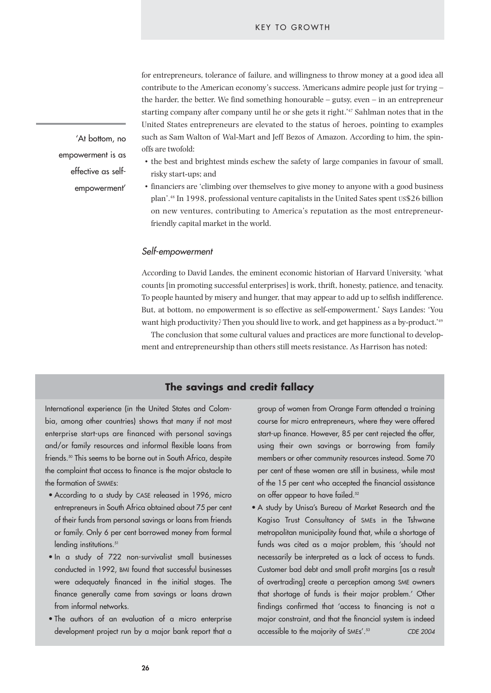for entrepreneurs, tolerance of failure, and willingness to throw money at a good idea all contribute to the American economy's success. 'Americans admire people just for trying – the harder, the better. We find something honourable – gutsy, even – in an entrepreneur starting company after company until he or she gets it right.'47 Sahlman notes that in the United States entrepreneurs are elevated to the status of heroes, pointing to examples such as Sam Walton of Wal-Mart and Jeff Bezos of Amazon. According to him, the spinoffs are twofold:

- the best and brightest minds eschew the safety of large companies in favour of small, risky start-ups; and
- financiers are 'climbing over themselves to give money to anyone with a good business plan'.48 In 1998, professional venture capitalists in the United Sates spent US\$26 billion on new ventures, contributing to America's reputation as the most entrepreneurfriendly capital market in the world.

#### *Self-empowerment*

According to David Landes, the eminent economic historian of Harvard University, 'what counts [in promoting successful enterprises] is work, thrift, honesty, patience, and tenacity. To people haunted by misery and hunger, that may appear to add up to selfish indifference. But, at bottom, no empowerment is so effective as self-empowerment.' Says Landes: 'You want high productivity? Then you should live to work, and get happiness as a by-product.'49

The conclusion that some cultural values and practices are more functional to development and entrepreneurship than others still meets resistance. As Harrison has noted:

# **The savings and credit fallacy**

International experience (in the United States and Colombia, among other countries) shows that many if not most enterprise start-ups are financed with personal savings and/or family resources and informal flexible loans from friends.<sup>50</sup> This seems to be borne out in South Africa, despite the complaint that access to finance is the major obstacle to the formation of SMMEs:

- According to a study by CASE released in 1996, micro entrepreneurs in South Africa obtained about 75 per cent of their funds from personal savings or loans from friends or family. Only 6 per cent borrowed money from formal lending institutions.<sup>51</sup>
- In a study of 722 non-survivalist small businesses conducted in 1992, BMI found that successful businesses were adequately financed in the initial stages. The finance generally came from savings or loans drawn from informal networks.
- The authors of an evaluation of a micro enterprise development project run by a major bank report that a

group of women from Orange Farm attended a training course for micro entrepreneurs, where they were offered start-up finance. However, 85 per cent rejected the offer, using their own savings or borrowing from family members or other community resources instead. Some 70 per cent of these women are still in business, while most of the 15 per cent who accepted the financial assistance on offer appear to have failed.<sup>52</sup>

• A study by Unisa's Bureau of Market Research and the Kagiso Trust Consultancy of SMEs in the Tshwane metropolitan municipality found that, while a shortage of funds was cited as a major problem, this 'should not necessarily be interpreted as a lack of access to funds. Customer bad debt and small profit margins [as a result of overtrading] create a perception among SME owners that shortage of funds is their major problem.' Other findings confirmed that 'access to financing is not a major constraint, and that the financial system is indeed accessible to the majority of SMEs'.53 *CDE 2004*

'At bottom, no empowerment is as effective as selfempowerment'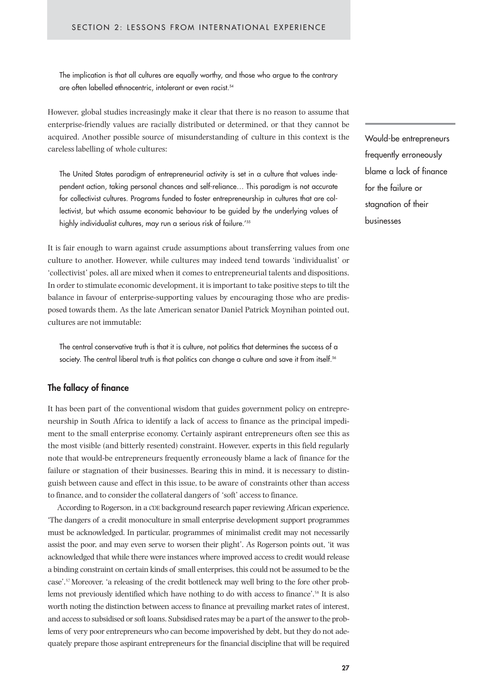The implication is that all cultures are equally worthy, and those who argue to the contrary are often labelled ethnocentric, intolerant or even racist.<sup>54</sup>

However, global studies increasingly make it clear that there is no reason to assume that enterprise-friendly values are racially distributed or determined, or that they cannot be acquired. Another possible source of misunderstanding of culture in this context is the careless labelling of whole cultures:

The United States paradigm of entrepreneurial activity is set in a culture that values independent action, taking personal chances and self-reliance… This paradigm is not accurate for collectivist cultures. Programs funded to foster entrepreneurship in cultures that are collectivist, but which assume economic behaviour to be guided by the underlying values of highly individualist cultures, may run a serious risk of failure.<sup>'55</sup>

It is fair enough to warn against crude assumptions about transferring values from one culture to another. However, while cultures may indeed tend towards 'individualist' or 'collectivist' poles, all are mixed when it comes to entrepreneurial talents and dispositions. In order to stimulate economic development, it is important to take positive steps to tilt the balance in favour of enterprise-supporting values by encouraging those who are predisposed towards them. As the late American senator Daniel Patrick Moynihan pointed out, cultures are not immutable:

The central conservative truth is that it is culture, not politics that determines the success of a society. The central liberal truth is that politics can change a culture and save it from itself.<sup>56</sup>

#### **The fallacy of finance**

It has been part of the conventional wisdom that guides government policy on entrepreneurship in South Africa to identify a lack of access to finance as the principal impediment to the small enterprise economy. Certainly aspirant entrepreneurs often see this as the most visible (and bitterly resented) constraint. However, experts in this field regularly note that would-be entrepreneurs frequently erroneously blame a lack of finance for the failure or stagnation of their businesses. Bearing this in mind, it is necessary to distinguish between cause and effect in this issue, to be aware of constraints other than access to finance, and to consider the collateral dangers of 'soft' access to finance.

According to Rogerson, in a CDE background research paper reviewing African experience, 'The dangers of a credit monoculture in small enterprise development support programmes must be acknowledged. In particular, programmes of minimalist credit may not necessarily assist the poor, and may even serve to worsen their plight'. As Rogerson points out, 'it was acknowledged that while there were instances where improved access to credit would release a binding constraint on certain kinds of small enterprises, this could not be assumed to be the case'.57 Moreover, 'a releasing of the credit bottleneck may well bring to the fore other problems not previously identified which have nothing to do with access to finance'.58 It is also worth noting the distinction between access to finance at prevailing market rates of interest, and access to subsidised or soft loans. Subsidised rates may be a part of the answer to the problems of very poor entrepreneurs who can become impoverished by debt, but they do not adequately prepare those aspirant entrepreneurs for the financial discipline that will be required Would-be entrepreneurs frequently erroneously blame a lack of finance for the failure or stagnation of their businesses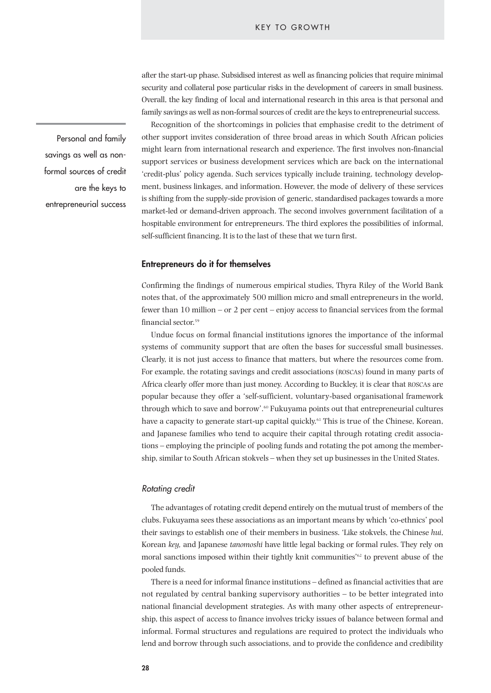after the start-up phase. Subsidised interest as well as financing policies that require minimal security and collateral pose particular risks in the development of careers in small business. Overall, the key finding of local and international research in this area is that personal and family savings as well as non-formal sources of credit are the keys to entrepreneurial success.

Recognition of the shortcomings in policies that emphasise credit to the detriment of other support invites consideration of three broad areas in which South African policies might learn from international research and experience. The first involves non-financial support services or business development services which are back on the international 'credit-plus' policy agenda. Such services typically include training, technology development, business linkages, and information. However, the mode of delivery of these services is shifting from the supply-side provision of generic, standardised packages towards a more market-led or demand-driven approach. The second involves government facilitation of a hospitable environment for entrepreneurs. The third explores the possibilities of informal, self-sufficient financing. It is to the last of these that we turn first.

#### **Entrepreneurs do it for themselves**

Confirming the findings of numerous empirical studies, Thyra Riley of the World Bank notes that, of the approximately 500 million micro and small entrepreneurs in the world, fewer than 10 million – or 2 per cent – enjoy access to financial services from the formal financial sector.<sup>59</sup>

Undue focus on formal financial institutions ignores the importance of the informal systems of community support that are often the bases for successful small businesses. Clearly, it is not just access to finance that matters, but where the resources come from. For example, the rotating savings and credit associations (ROSCAs) found in many parts of Africa clearly offer more than just money. According to Buckley, it is clear that ROSCAs are popular because they offer a 'self-sufficient, voluntary-based organisational framework through which to save and borrow'.60 Fukuyama points out that entrepreneurial cultures have a capacity to generate start-up capital quickly.<sup>61</sup> This is true of the Chinese, Korean, and Japanese families who tend to acquire their capital through rotating credit associations – employing the principle of pooling funds and rotating the pot among the membership, similar to South African stokvels – when they set up businesses in the United States.

#### *Rotating credit*

The advantages of rotating credit depend entirely on the mutual trust of members of the clubs. Fukuyama sees these associations as an important means by which 'co-ethnics' pool their savings to establish one of their members in business. 'Like stokvels, the Chinese *hui*, Korean *key,* and Japanese *tanomoshi* have little legal backing or formal rules. They rely on moral sanctions imposed within their tightly knit communities'<sup>62</sup> to prevent abuse of the pooled funds.

There is a need for informal finance institutions – defined as financial activities that are not regulated by central banking supervisory authorities – to be better integrated into national financial development strategies. As with many other aspects of entrepreneurship, this aspect of access to finance involves tricky issues of balance between formal and informal. Formal structures and regulations are required to protect the individuals who lend and borrow through such associations, and to provide the confidence and credibility

Personal and family savings as well as nonformal sources of credit are the keys to entrepreneurial success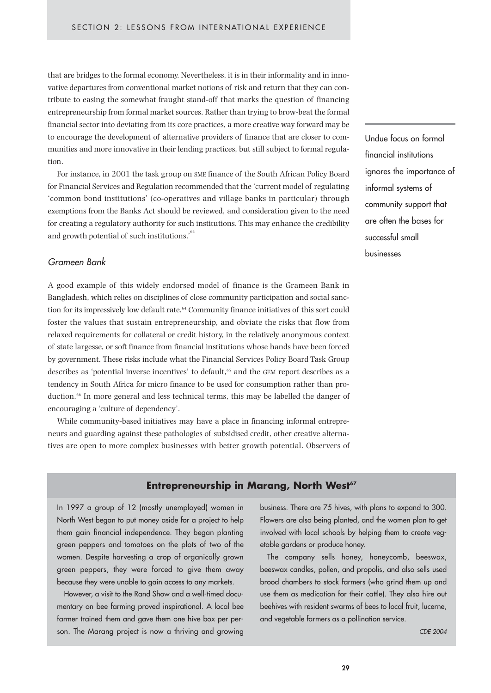that are bridges to the formal economy. Nevertheless, it is in their informality and in innovative departures from conventional market notions of risk and return that they can contribute to easing the somewhat fraught stand-off that marks the question of financing entrepreneurship from formal market sources. Rather than trying to brow-beat the formal financial sector into deviating from its core practices, a more creative way forward may be to encourage the development of alternative providers of finance that are closer to communities and more innovative in their lending practices, but still subject to formal regulation.

For instance, in 2001 the task group on SME finance of the South African Policy Board for Financial Services and Regulation recommended that the 'current model of regulating 'common bond institutions' (co-operatives and village banks in particular) through exemptions from the Banks Act should be reviewed, and consideration given to the need for creating a regulatory authority for such institutions. This may enhance the credibility and growth potential of such institutions.'<sup>63</sup>

#### *Grameen Bank*

A good example of this widely endorsed model of finance is the Grameen Bank in Bangladesh, which relies on disciplines of close community participation and social sanction for its impressively low default rate.<sup>64</sup> Community finance initiatives of this sort could foster the values that sustain entrepreneurship, and obviate the risks that flow from relaxed requirements for collateral or credit history, in the relatively anonymous context of state largesse, or soft finance from financial institutions whose hands have been forced by government. These risks include what the Financial Services Policy Board Task Group describes as 'potential inverse incentives' to default,<sup>65</sup> and the GEM report describes as a tendency in South Africa for micro finance to be used for consumption rather than production.66 In more general and less technical terms, this may be labelled the danger of encouraging a 'culture of dependency'.

While community-based initiatives may have a place in financing informal entrepreneurs and guarding against these pathologies of subsidised credit, other creative alternatives are open to more complex businesses with better growth potential. Observers of Undue focus on formal financial institutions ignores the importance of informal systems of community support that are often the bases for successful small businesses

#### **Entrepreneurship in Marang, North West<sup>67</sup>**

In 1997 a group of 12 (mostly unemployed) women in North West began to put money aside for a project to help them gain financial independence. They began planting green peppers and tomatoes on the plots of two of the women. Despite harvesting a crop of organically grown green peppers, they were forced to give them away because they were unable to gain access to any markets.

However, a visit to the Rand Show and a well-timed documentary on bee farming proved inspirational. A local bee farmer trained them and gave them one hive box per person. The Marang project is now a thriving and growing business. There are 75 hives, with plans to expand to 300. Flowers are also being planted, and the women plan to get involved with local schools by helping them to create vegetable gardens or produce honey.

The company sells honey, honeycomb, beeswax, beeswax candles, pollen, and propolis, and also sells used brood chambers to stock farmers (who grind them up and use them as medication for their cattle). They also hire out beehives with resident swarms of bees to local fruit, lucerne, and vegetable farmers as a pollination service.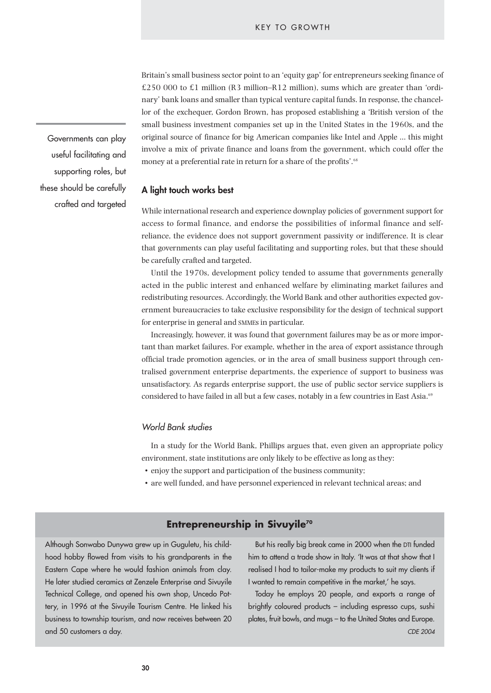Britain's small business sector point to an 'equity gap' for entrepreneurs seeking finance of  $£250 000$  to £1 million (R3 million–R12 million), sums which are greater than 'ordinary' bank loans and smaller than typical venture capital funds. In response, the chancellor of the exchequer, Gordon Brown, has proposed establishing a 'British version of the small business investment companies set up in the United States in the 1960s, and the original source of finance for big American companies like Intel and Apple … this might involve a mix of private finance and loans from the government, which could offer the money at a preferential rate in return for a share of the profits'.<sup>68</sup>

#### **A light touch works best**

While international research and experience downplay policies of government support for access to formal finance, and endorse the possibilities of informal finance and selfreliance, the evidence does not support government passivity or indifference. It is clear that governments can play useful facilitating and supporting roles, but that these should be carefully crafted and targeted.

Until the 1970s, development policy tended to assume that governments generally acted in the public interest and enhanced welfare by eliminating market failures and redistributing resources. Accordingly, the World Bank and other authorities expected government bureaucracies to take exclusive responsibility for the design of technical support for enterprise in general and SMMEs in particular.

Increasingly, however, it was found that government failures may be as or more important than market failures. For example, whether in the area of export assistance through official trade promotion agencies, or in the area of small business support through centralised government enterprise departments, the experience of support to business was unsatisfactory. As regards enterprise support, the use of public sector service suppliers is considered to have failed in all but a few cases, notably in a few countries in East Asia.<sup>69</sup>

#### *World Bank studies*

In a study for the World Bank, Phillips argues that, even given an appropriate policy environment, state institutions are only likely to be effective as long as they:

- enjoy the support and participation of the business community;
- are well funded, and have personnel experienced in relevant technical areas; and

### **Entrepreneurship in Sivuyile<sup>70</sup>**

Although Sonwabo Dunywa grew up in Guguletu, his childhood hobby flowed from visits to his grandparents in the Eastern Cape where he would fashion animals from clay. He later studied ceramics at Zenzele Enterprise and Sivuyile Technical College, and opened his own shop, Uncedo Pottery, in 1996 at the Sivuyile Tourism Centre. He linked his business to township tourism, and now receives between 20 and 50 customers a day.

But his really big break came in 2000 when the DTI funded him to attend a trade show in Italy. 'It was at that show that I realised I had to tailor-make my products to suit my clients if I wanted to remain competitive in the market,' he says.

Today he employs 20 people, and exports a range of brightly coloured products – including espresso cups, sushi plates, fruit bowls, and mugs – to the United States and Europe. *CDE 2004*

Governments can play useful facilitating and supporting roles, but these should be carefully crafted and targeted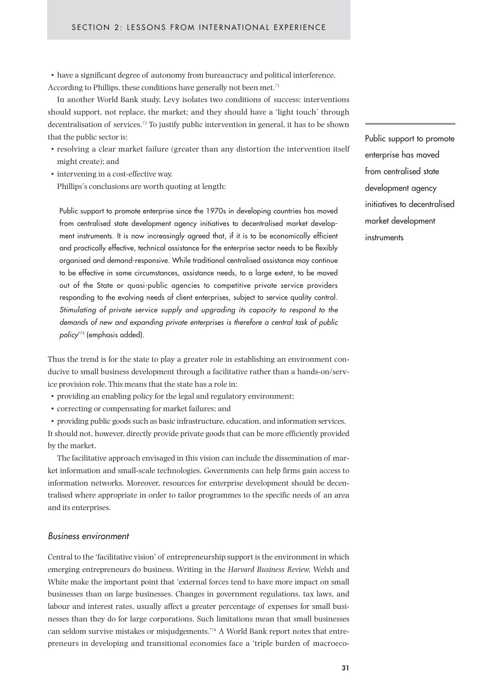• have a significant degree of autonomy from bureaucracy and political interference. According to Phillips, these conditions have generally not been met.<sup>71</sup>

In another World Bank study, Levy isolates two conditions of success: interventions should support, not replace, the market; and they should have a 'light touch' through decentralisation of services.72 To justify public intervention in general, it has to be shown that the public sector is:

- resolving a clear market failure (greater than any distortion the intervention itself might create); and
- intervening in a cost-effective way. Phillips's conclusions are worth quoting at length:

Public support to promote enterprise since the 1970s in developing countries has moved from centralised state development agency initiatives to decentralised market development instruments. It is now increasingly agreed that, if it is to be economically efficient and practically effective, technical assistance for the enterprise sector needs to be flexibly organised and demand-responsive. While traditional centralised assistance may continue to be effective in some circumstances, assistance needs, to a large extent, to be moved out of the State or quasi-public agencies to competitive private service providers responding to the evolving needs of client enterprises, subject to service quality control. *Stimulating of private service supply and upgrading its capacity to respond to the demands of new and expanding private enterprises is therefore a central task of public policy*' <sup>73</sup> (emphasis added).

Thus the trend is for the state to play a greater role in establishing an environment conducive to small business development through a facilitative rather than a hands-on/service provision role. This means that the state has a role in:

- providing an enabling policy for the legal and regulatory environment;
- correcting or compensating for market failures; and

• providing public goods such as basic infrastructure, education, and information services. It should not, however, directly provide private goods that can be more efficiently provided by the market.

The facilitative approach envisaged in this vision can include the dissemination of market information and small-scale technologies. Governments can help firms gain access to information networks. Moreover, resources for enterprise development should be decentralised where appropriate in order to tailor programmes to the specific needs of an area and its enterprises.

#### *Business environment*

Central to the 'facilitative vision' of entrepreneurship support is the environment in which emerging entrepreneurs do business. Writing in the *Harvard Business Review,* Welsh and White make the important point that 'external forces tend to have more impact on small businesses than on large businesses. Changes in government regulations, tax laws, and labour and interest rates, usually affect a greater percentage of expenses for small businesses than they do for large corporations. Such limitations mean that small businesses can seldom survive mistakes or misjudgements.'74 A World Bank report notes that entrepreneurs in developing and transitional economies face a 'triple burden of macroecoPublic support to promote enterprise has moved from centralised state development agency initiatives to decentralised market development instruments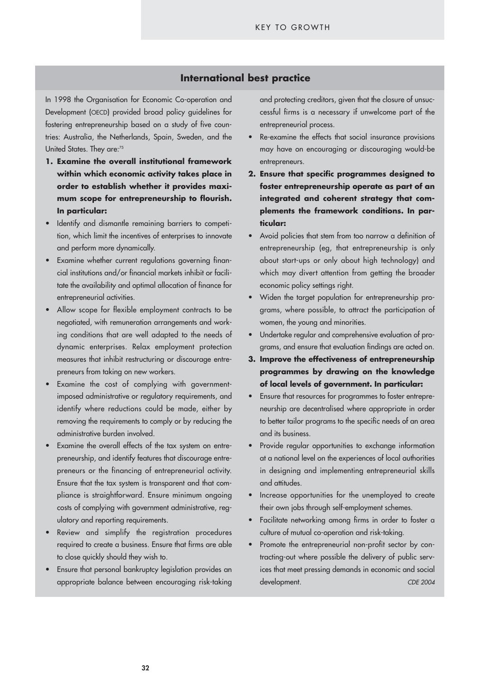#### **International best practice**

tries: Australia, the Netherlands, Spain, Sweden, and the In 1998 the Organisation for Economic Co-operation and Development (OECD) provided broad policy guidelines for fostering entrepreneurship based on a study of five coun-United States. They are:<sup>75</sup>

- **1. Examine the overall institutional framework within which economic activity takes place in order to establish whether it provides maximum scope for entrepreneurship to flourish. In particular:**
- Identify and dismantle remaining barriers to competition, which limit the incentives of enterprises to innovate and perform more dynamically.
- Examine whether current regulations governing financial institutions and/or financial markets inhibit or facilitate the availability and optimal allocation of finance for entrepreneurial activities.
- Allow scope for flexible employment contracts to be negotiated, with remuneration arrangements and working conditions that are well adapted to the needs of dynamic enterprises. Relax employment protection measures that inhibit restructuring or discourage entrepreneurs from taking on new workers.
- Examine the cost of complying with governmentimposed administrative or regulatory requirements, and identify where reductions could be made, either by removing the requirements to comply or by reducing the administrative burden involved.
- Examine the overall effects of the tax system on entrepreneurship, and identify features that discourage entrepreneurs or the financing of entrepreneurial activity. Ensure that the tax system is transparent and that compliance is straightforward. Ensure minimum ongoing costs of complying with government administrative, regulatory and reporting requirements.
- Review and simplify the registration procedures required to create a business. Ensure that firms are able to close quickly should they wish to.
- Ensure that personal bankruptcy legislation provides an appropriate balance between encouraging risk-taking

and protecting creditors, given that the closure of unsuccessful firms is a necessary if unwelcome part of the entrepreneurial process.

- Re-examine the effects that social insurance provisions may have on encouraging or discouraging would-be entrepreneurs.
- **2. Ensure that specific programmes designed to foster entrepreneurship operate as part of an integrated and coherent strategy that complements the framework conditions. In particular:**
- Avoid policies that stem from too narrow a definition of entrepreneurship (eg, that entrepreneurship is only about start-ups or only about high technology) and which may divert attention from getting the broader economic policy settings right.
- Widen the target population for entrepreneurship programs, where possible, to attract the participation of women, the young and minorities.
- Undertake regular and comprehensive evaluation of programs, and ensure that evaluation findings are acted on.
- **3. Improve the effectiveness of entrepreneurship programmes by drawing on the knowledge of local levels of government. In particular:**
- Ensure that resources for programmes to foster entrepreneurship are decentralised where appropriate in order to better tailor programs to the specific needs of an area and its business.
- Provide regular opportunities to exchange information at a national level on the experiences of local authorities in designing and implementing entrepreneurial skills and attitudes.
- Increase opportunities for the unemployed to create their own jobs through self-employment schemes.
- Facilitate networking among firms in order to foster a culture of mutual co-operation and risk-taking.
- Promote the entrepreneurial non-profit sector by contracting-out where possible the delivery of public services that meet pressing demands in economic and social development. *CDE 2004*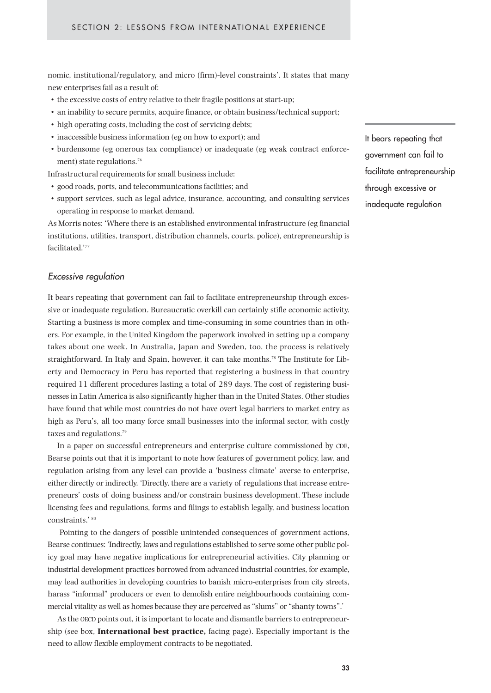nomic, institutional/regulatory, and micro (firm)-level constraints'. It states that many new enterprises fail as a result of:

- the excessive costs of entry relative to their fragile positions at start-up;
- an inability to secure permits, acquire finance, or obtain business/technical support;
- high operating costs, including the cost of servicing debts;
- inaccessible business information (eg on how to export); and
- burdensome (eg onerous tax compliance) or inadequate (eg weak contract enforcement) state regulations.<sup>76</sup>

Infrastructural requirements for small business include:

- good roads, ports, and telecommunications facilities; and
- support services, such as legal advice, insurance, accounting, and consulting services operating in response to market demand.

As Morris notes: 'Where there is an established environmental infrastructure (eg financial institutions, utilities, transport, distribution channels, courts, police), entrepreneurship is facilitated<sup>'77</sup>

#### *Excessive regulation*

It bears repeating that government can fail to facilitate entrepreneurship through excessive or inadequate regulation. Bureaucratic overkill can certainly stifle economic activity. Starting a business is more complex and time-consuming in some countries than in others. For example, in the United Kingdom the paperwork involved in setting up a company takes about one week. In Australia, Japan and Sweden, too, the process is relatively straightforward. In Italy and Spain, however, it can take months.<sup>78</sup> The Institute for Liberty and Democracy in Peru has reported that registering a business in that country required 11 different procedures lasting a total of 289 days. The cost of registering businesses in Latin America is also significantly higher than in the United States. Other studies have found that while most countries do not have overt legal barriers to market entry as high as Peru's, all too many force small businesses into the informal sector, with costly taxes and regulations.<sup>79</sup>

In a paper on successful entrepreneurs and enterprise culture commissioned by CDE, Bearse points out that it is important to note how features of government policy, law, and regulation arising from any level can provide a 'business climate' averse to enterprise, either directly or indirectly. 'Directly, there are a variety of regulations that increase entrepreneurs' costs of doing business and/or constrain business development. These include licensing fees and regulations, forms and filings to establish legally, and business location constraints.' 80

Pointing to the dangers of possible unintended consequences of government actions, Bearse continues: 'Indirectly, laws and regulations established to serve some other public policy goal may have negative implications for entrepreneurial activities. City planning or industrial development practices borrowed from advanced industrial countries, for example, may lead authorities in developing countries to banish micro-enterprises from city streets, harass "informal" producers or even to demolish entire neighbourhoods containing commercial vitality as well as homes because they are perceived as "slums" or "shanty towns".'

As the OECD points out, it is important to locate and dismantle barriers to entrepreneurship (see box, **International best practice,** facing page). Especially important is the need to allow flexible employment contracts to be negotiated.

It bears repeating that government can fail to facilitate entrepreneurship through excessive or inadequate regulation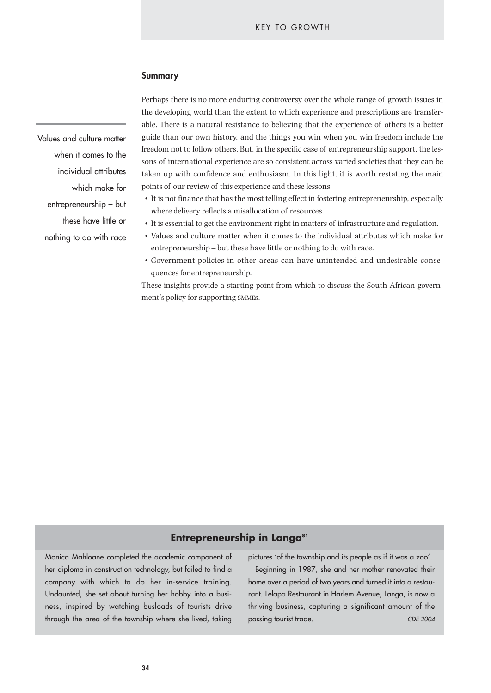#### KEY TO GROWTH

#### **Summary**

Values and culture matter when it comes to the individual attributes which make for entrepreneurship – but these have little or nothing to do with race

Perhaps there is no more enduring controversy over the whole range of growth issues in the developing world than the extent to which experience and prescriptions are transferable. There is a natural resistance to believing that the experience of others is a better guide than our own history, and the things you win when you win freedom include the freedom not to follow others. But, in the specific case of entrepreneurship support, the lessons of international experience are so consistent across varied societies that they can be taken up with confidence and enthusiasm. In this light, it is worth restating the main points of our review of this experience and these lessons:

- It is not finance that has the most telling effect in fostering entrepreneurship, especially where delivery reflects a misallocation of resources.
- It is essential to get the environment right in matters of infrastructure and regulation.
- Values and culture matter when it comes to the individual attributes which make for entrepreneurship – but these have little or nothing to do with race.
- Government policies in other areas can have unintended and undesirable consequences for entrepreneurship.

These insights provide a starting point from which to discuss the South African government's policy for supporting SMMEs.

# **Entrepreneurship in Langa<sup>81</sup>**

Monica Mahloane completed the academic component of her diploma in construction technology, but failed to find a company with which to do her in-service training. Undaunted, she set about turning her hobby into a business, inspired by watching busloads of tourists drive through the area of the township where she lived, taking

pictures 'of the township and its people as if it was a zoo'.

Beginning in 1987, she and her mother renovated their home over a period of two years and turned it into a restaurant. Lelapa Restaurant in Harlem Avenue, Langa, is now a thriving business, capturing a significant amount of the passing tourist trade. *CDE 2004*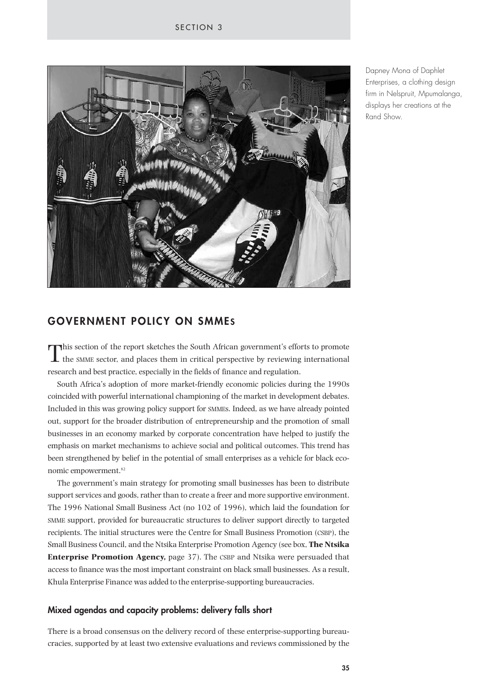

Dapney Mona of Daphlet Enterprises, a clothing design firm in Nelspruit, Mpumalanga, displays her creations at the Rand Show.

# **GOVERNMENT POLICY ON SMMES**

This section of the report sketches the South African government's efforts to promote the SMME sector, and places them in critical perspective by reviewing international research and best practice, especially in the fields of finance and regulation.

South Africa's adoption of more market-friendly economic policies during the 1990s coincided with powerful international championing of the market in development debates. Included in this was growing policy support for SMMEs. Indeed, as we have already pointed out, support for the broader distribution of entrepreneurship and the promotion of small businesses in an economy marked by corporate concentration have helped to justify the emphasis on market mechanisms to achieve social and political outcomes. This trend has been strengthened by belief in the potential of small enterprises as a vehicle for black economic empowerment.82

The government's main strategy for promoting small businesses has been to distribute support services and goods, rather than to create a freer and more supportive environment. The 1996 National Small Business Act (no 102 of 1996), which laid the foundation for SMME support, provided for bureaucratic structures to deliver support directly to targeted recipients. The initial structures were the Centre for Small Business Promotion (CSBP), the Small Business Council, and the Ntsika Enterprise Promotion Agency (see box, **The Ntsika Enterprise Promotion Agency,** page 37). The CSBP and Ntsika were persuaded that access to finance was the most important constraint on black small businesses. As a result, Khula Enterprise Finance was added to the enterprise-supporting bureaucracies.

#### **Mixed agendas and capacity problems: delivery falls short**

There is a broad consensus on the delivery record of these enterprise-supporting bureaucracies, supported by at least two extensive evaluations and reviews commissioned by the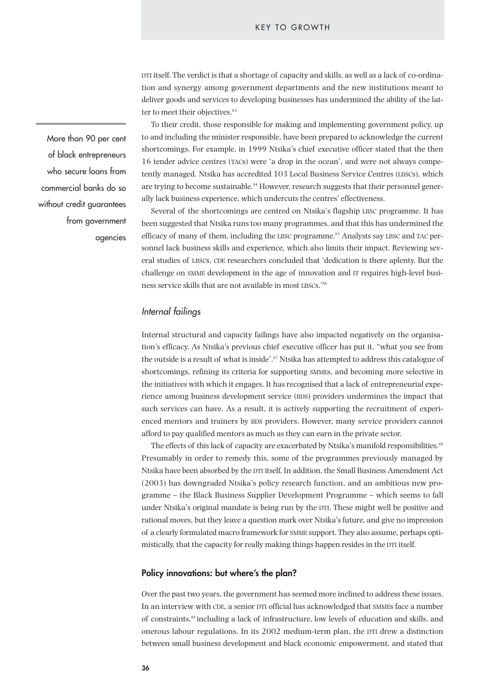DTI itself. The verdict is that a shortage of capacity and skills, as well as a lack of co-ordination and synergy among government departments and the new institutions meant to deliver goods and services to developing businesses has undermined the ability of the latter to meet their objectives.<sup>83</sup>

To their credit, those responsible for making and implementing government policy, up to and including the minister responsible, have been prepared to acknowledge the current shortcomings. For example, in 1999 Ntsika's chief executive officer stated that the then 16 tender advice centres (TACs) were 'a drop in the ocean', and were not always competently managed. Ntsika has accredited 103 Local Business Service Centres (LBSCs), which are trying to become sustainable.<sup>84</sup> However, research suggests that their personnel generally lack business experience, which undercuts the centres' effectiveness.

Several of the shortcomings are centred on Ntsika's flagship LBSC programme. It has been suggested that Ntsika runs too many programmes, and that this has undermined the efficacy of many of them, including the LBSC programme.<sup>85</sup> Analysts say LBSC and TAC personnel lack business skills and experience, which also limits their impact. Reviewing several studies of LBSCs, CDE researchers concluded that 'dedication is there aplenty. But the challenge on SMME development in the age of innovation and IT requires high-level business service skills that are not available in most LBSCs.'86

## *Internal failings*

Internal structural and capacity failings have also impacted negatively on the organisation's efficacy. As Ntsika's previous chief executive officer has put it, ''what you see from the outside is a result of what is inside'.<sup>87</sup> Ntsika has attempted to address this catalogue of shortcomings, refining its criteria for supporting SMMEs, and becoming more selective in the initiatives with which it engages. It has recognised that a lack of entrepreneurial experience among business development service (BDS) providers undermines the impact that such services can have. As a result, it is actively supporting the recruitment of experienced mentors and trainers by BDS providers. However, many service providers cannot afford to pay qualified mentors as much as they can earn in the private sector.

The effects of this lack of capacity are exacerbated by Ntsika's manifold responsibilities.<sup>88</sup> Presumably in order to remedy this, some of the programmes previously managed by Ntsika have been absorbed by the DTI itself. In addition, the Small Business Amendment Act (2003) has downgraded Ntsika's policy research function, and an ambitious new programme – the Black Business Supplier Development Programme – which seems to fall under Ntsika's original mandate is being run by the DTI. These might well be positive and rational moves, but they leave a question mark over Ntsika's future, and give no impression of a clearly formulated macro framework for SMME support. They also assume, perhaps optimistically, that the capacity for really making things happen resides in the DTI itself.

#### **Policy innovations: but where's the plan?**

Over the past two years, the government has seemed more inclined to address these issues. In an interview with CDE, a senior DTI official has acknowledged that SMMEs face a number of constraints,89 including a lack of infrastructure, low levels of education and skills, and onerous labour regulations. In its 2002 medium-term plan, the DTI drew a distinction between small business development and black economic empowerment, and stated that

More than 90 per cent of black entrepreneurs who secure loans from commercial banks do so without credit guarantees from government agencies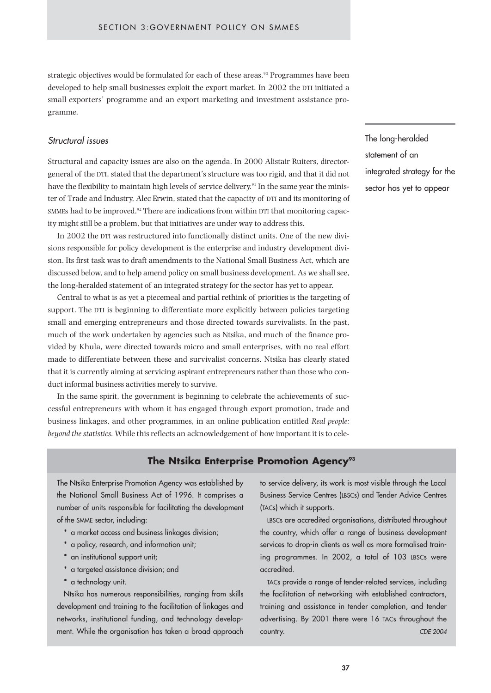strategic objectives would be formulated for each of these areas.<sup>90</sup> Programmes have been developed to help small businesses exploit the export market. In 2002 the DTI initiated a small exporters' programme and an export marketing and investment assistance programme.

## *Structural issues*

Structural and capacity issues are also on the agenda. In 2000 Alistair Ruiters, directorgeneral of the DTI, stated that the department's structure was too rigid, and that it did not have the flexibility to maintain high levels of service delivery.<sup>91</sup> In the same year the minister of Trade and Industry, Alec Erwin, stated that the capacity of DTI and its monitoring of SMMEs had to be improved.<sup>92</sup> There are indications from within DTI that monitoring capacity might still be a problem, but that initiatives are under way to address this.

In 2002 the DTI was restructured into functionally distinct units. One of the new divisions responsible for policy development is the enterprise and industry development division. Its first task was to draft amendments to the National Small Business Act, which are discussed below, and to help amend policy on small business development. As we shall see, the long-heralded statement of an integrated strategy for the sector has yet to appear.

Central to what is as yet a piecemeal and partial rethink of priorities is the targeting of support. The DTI is beginning to differentiate more explicitly between policies targeting small and emerging entrepreneurs and those directed towards survivalists. In the past, much of the work undertaken by agencies such as Ntsika, and much of the finance provided by Khula, were directed towards micro and small enterprises, with no real effort made to differentiate between these and survivalist concerns. Ntsika has clearly stated that it is currently aiming at servicing aspirant entrepreneurs rather than those who conduct informal business activities merely to survive.

In the same spirit, the government is beginning to celebrate the achievements of successful entrepreneurs with whom it has engaged through export promotion, trade and business linkages, and other programmes, in an online publication entitled *Real people: beyond the statistics.* While this reflects an acknowledgement of how important it is to cele-

## **The Ntsika Enterprise Promotion Agency<sup>93</sup>**

The Ntsika Enterprise Promotion Agency was established by the National Small Business Act of 1996. It comprises a number of units responsible for facilitating the development of the SMME sector, including:

- \* a market access and business linkages division;
- \* a policy, research, and information unit;
- \* an institutional support unit;
- \* a targeted assistance division; and
- \* a technology unit.

Ntsika has numerous responsibilities, ranging from skills development and training to the facilitation of linkages and networks, institutional funding, and technology development. While the organisation has taken a broad approach to service delivery, its work is most visible through the Local Business Service Centres (LBSCs) and Tender Advice Centres (TACs) which it supports.

LBSCs are accredited organisations, distributed throughout the country, which offer a range of business development services to drop-in clients as well as more formalised training programmes. In 2002, a total of 103 LBSCs were accredited.

TACs provide a range of tender-related services, including the facilitation of networking with established contractors, training and assistance in tender completion, and tender advertising. By 2001 there were 16 TACs throughout the country. *CDE 2004*

The long-heralded statement of an integrated strategy for the sector has yet to appear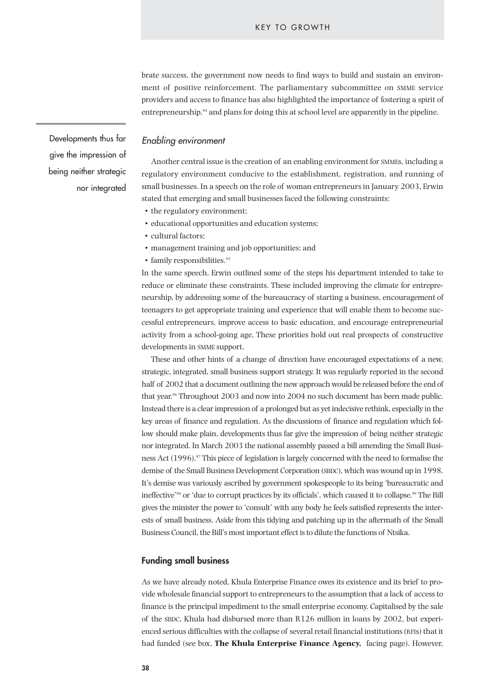brate success, the government now needs to find ways to build and sustain an environment of positive reinforcement. The parliamentary subcommittee on SMME service providers and access to finance has also highlighted the importance of fostering a spirit of entrepreneurship,<sup>94</sup> and plans for doing this at school level are apparently in the pipeline.

*Enabling environment*

Another central issue is the creation of an enabling environment for SMMEs, including a regulatory environment conducive to the establishment, registration, and running of small businesses. In a speech on the role of woman entrepreneurs in January 2003, Erwin stated that emerging and small businesses faced the following constraints:

- the regulatory environment;
- educational opportunities and education systems;
- cultural factors;
- management training and job opportunities; and
- family responsibilities.<sup>95</sup>

In the same speech, Erwin outlined some of the steps his department intended to take to reduce or eliminate these constraints. These included improving the climate for entrepreneurship, by addressing some of the bureaucracy of starting a business, encouragement of teenagers to get appropriate training and experience that will enable them to become successful entrepreneurs, improve access to basic education, and encourage entrepreneurial activity from a school-going age. These priorities hold out real prospects of constructive developments in SMME support.

These and other hints of a change of direction have encouraged expectations of a new, strategic, integrated, small business support strategy. It was regularly reported in the second half of 2002 that a document outlining the new approach would be released before the end of that year.<sup>96</sup> Throughout 2003 and now into 2004 no such document has been made public. Instead there is a clear impression of a prolonged but as yet indecisive rethink, especially in the key areas of finance and regulation. As the discussions of finance and regulation which follow should make plain, developments thus far give the impression of being neither strategic nor integrated. In March 2003 the national assembly passed a bill amending the Small Business Act (1996).<sup>97</sup> This piece of legislation is largely concerned with the need to formalise the demise of the Small Business Development Corporation (SBDC), which was wound up in 1998. It's demise was variously ascribed by government spokespeople to its being 'bureaucratic and ineffective'98 or 'due to corrupt practices by its officials', which caused it to collapse.99 The Bill gives the minister the power to 'consult' with any body he feels satisfied represents the interests of small business. Aside from this tidying and patching up in the aftermath of the Small Business Council, the Bill's most important effect is to dilute the functions of Ntsika.

#### **Funding small business**

As we have already noted, Khula Enterprise Finance owes its existence and its brief to provide wholesale financial support to entrepreneurs to the assumption that a lack of access to finance is the principal impediment to the small enterprise economy. Capitalised by the sale of the SBDC, Khula had disbursed more than R126 million in loans by 2002, but experienced serious difficulties with the collapse of several retail financial institutions (RFIs) that it had funded (see box, **The Khula Enterprise Finance Agency,** facing page). However,

Developments thus far give the impression of being neither strategic nor integrated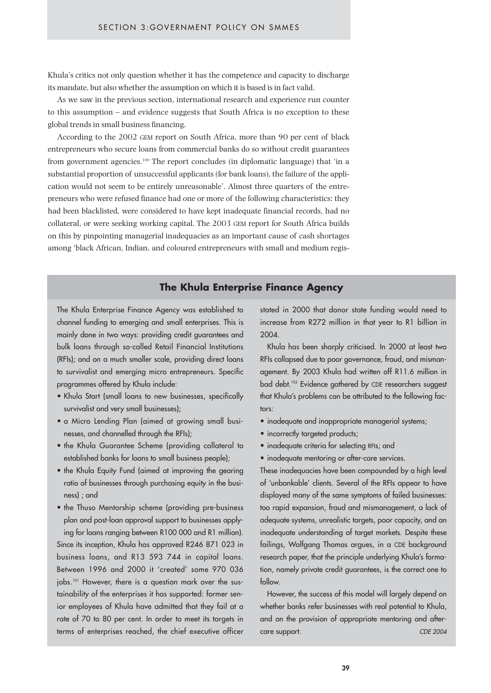Khula's critics not only question whether it has the competence and capacity to discharge its mandate, but also whether the assumption on which it is based is in fact valid.

As we saw in the previous section, international research and experience run counter to this assumption – and evidence suggests that South Africa is no exception to these global trends in small business financing.

According to the 2002 GEM report on South Africa, more than 90 per cent of black entrepreneurs who secure loans from commercial banks do so without credit guarantees from government agencies.100 The report concludes (in diplomatic language) that 'in a substantial proportion of unsuccessful applicants (for bank loans), the failure of the application would not seem to be entirely unreasonable'. Almost three quarters of the entrepreneurs who were refused finance had one or more of the following characteristics: they had been blacklisted, were considered to have kept inadequate financial records, had no collateral, or were seeking working capital. The 2003 GEM report for South Africa builds on this by pinpointing managerial inadequacies as an important cause of cash shortages among 'black African, Indian, and coloured entrepreneurs with small and medium regis-

## **The Khula Enterprise Finance Agency**

The Khula Enterprise Finance Agency was established to channel funding to emerging and small enterprises. This is mainly done in two ways: providing credit guarantees and bulk loans through so-called Retail Financial Institutions (RFIs); and on a much smaller scale, providing direct loans to survivalist and emerging micro entrepreneurs. Specific programmes offered by Khula include:

- Khula Start (small loans to new businesses, specifically survivalist and very small businesses);
- a Micro Lending Plan (aimed at growing small businesses, and channelled through the RFIs);
- the Khula Guarantee Scheme (providing collateral to established banks for loans to small business people);
- the Khula Equity Fund (aimed at improving the gearing ratio of businesses through purchasing equity in the business) ; and
- the Thuso Mentorship scheme (providing pre-business plan and post-loan approval support to businesses applying for loans ranging between R100 000 and R1 million). Since its inception, Khula has approved R246 871 023 in business loans, and R13 593 744 in capital loans. Between 1996 and 2000 it 'created' some 970 036 jobs.101 However, there is a question mark over the sustainability of the enterprises it has supported: former senior employees of Khula have admitted that they fail at a

rate of 70 to 80 per cent. In order to meet its targets in terms of enterprises reached, the chief executive officer stated in 2000 that donor state funding would need to increase from R272 million in that year to R1 billion in 2004.

Khula has been sharply criticised. In 2000 at least two RFIs collapsed due to poor governance, fraud, and mismanagement. By 2003 Khula had written off R11.6 million in bad debt.<sup>102</sup> Evidence gathered by CDE researchers suggest that Khula's problems can be attributed to the following factors:

- inadequate and inappropriate managerial systems;
- incorrectly targeted products;
- inadequate criteria for selecting RFIs; and
- inadequate mentoring or after-care services.

These inadequacies have been compounded by a high level of 'unbankable' clients. Several of the RFIs appear to have displayed many of the same symptoms of failed businesses: too rapid expansion, fraud and mismanagement, a lack of adequate systems, unrealistic targets, poor capacity, and an inadequate understanding of target markets. Despite these failings, Wolfgang Thomas argues, in a CDE background research paper, that the principle underlying Khula's formation, namely private credit guarantees, is the correct one to follow.

However, the success of this model will largely depend on whether banks refer businesses with real potential to Khula, and on the provision of appropriate mentoring and aftercare support. *CDE 2004*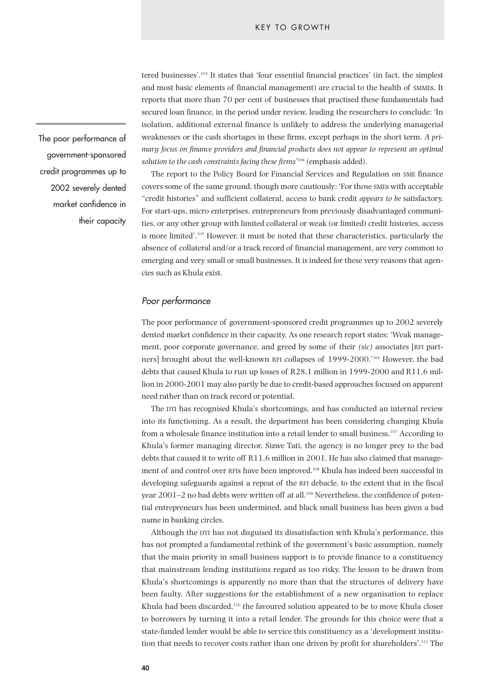tered businesses'.103 It states that 'four essential financial practices' (in fact, the simplest and most basic elements of financial management) are crucial to the health of SMMEs. It reports that more than 70 per cent of businesses that practised these fundamentals had secured loan finance, in the period under review, leading the researchers to conclude: 'In isolation, additional external finance is unlikely to address the underlying managerial weaknesses or the cash shortages in these firms, except perhaps in the short term. *A primary focus on finance providers and financial products does not appear to represent an optimal solution to the cash constraints facing these firms'*<sup>104</sup> (emphasis added).

The report to the Policy Board for Financial Services and Regulation on SME finance covers some of the same ground, though more cautiously: 'For those SMEs with acceptable "credit histories" and sufficient collateral, access to bank credit *appears to be* satisfactory. For start-ups, micro enterprises, entrepreneurs from previously disadvantaged communities, or any other group with limited collateral or weak (or limited) credit histories, access is more limited'.105 However, it must be noted that these characteristics, particularly the absence of collateral and/or a track record of financial management, are very common to emerging and very small or small businesses. It is indeed for these very reasons that agencies such as Khula exist.

## *Poor performance*

The poor performance of government-sponsored credit programmes up to 2002 severely dented market confidence in their capacity. As one research report states: 'Weak management, poor corporate governance, and greed by some of their *(sic)* associates [RFI partners] brought about the well-known RFI collapses of 1999-2000.'106 However, the bad debts that caused Khula to run up losses of R28,1 million in 1999-2000 and R11,6 million in 2000-2001 may also partly be due to credit-based approaches focused on apparent need rather than on track record or potential.

The DTI has recognised Khula's shortcomings, and has conducted an internal review into its functioning. As a result, the department has been considering changing Khula from a wholesale finance institution into a retail lender to small business.<sup>107</sup> According to Khula's former managing director, Sizwe Tati, the agency is no longer prey to the bad debts that caused it to write off R11,6 million in 2001. He has also claimed that management of and control over RFIs have been improved.108 Khula has indeed been successful in developing safeguards against a repeat of the RFI debacle, to the extent that in the fiscal year 2001–2 no bad debts were written off at all.<sup>109</sup> Nevertheless, the confidence of potential entrepreneurs has been undermined, and black small business has been given a bad name in banking circles.

Although the DTI has not disguised its dissatisfaction with Khula's performance, this has not prompted a fundamental rethink of the government's basic assumption, namely that the main priority in small business support is to provide finance to a constituency that mainstream lending institutions regard as too risky. The lesson to be drawn from Khula's shortcomings is apparently no more than that the structures of delivery have been faulty. After suggestions for the establishment of a new organisation to replace Khula had been discarded,<sup>110</sup> the favoured solution appeared to be to move Khula closer to borrowers by turning it into a retail lender. The grounds for this choice were that a state-funded lender would be able to service this constituency as a 'development institution that needs to recover costs rather than one driven by profit for shareholders'.<sup>111</sup> The

The poor performance of government-sponsored credit programmes up to 2002 severely dented market confidence in their capacity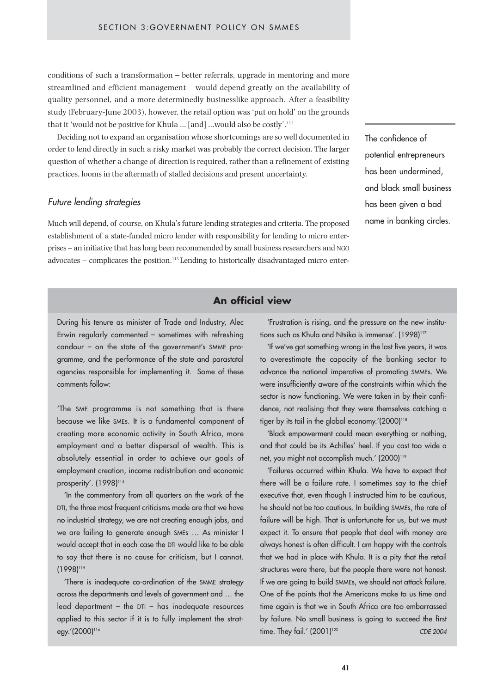conditions of such a transformation – better referrals, upgrade in mentoring and more streamlined and efficient management – would depend greatly on the availability of quality personnel, and a more determinedly businesslike approach. After a feasibility study (February-June 2003), however, the retail option was 'put on hold' on the grounds that it 'would not be positive for Khula ... [and] ...would also be costly'.<sup>112</sup>

Deciding not to expand an organisation whose shortcomings are so well documented in order to lend directly in such a risky market was probably the correct decision. The larger question of whether a change of direction is required, rather than a refinement of existing practices, looms in the aftermath of stalled decisions and present uncertainty.

## *Future lending strategies*

Much will depend, of course, on Khula's future lending strategies and criteria. The proposed establishment of a state-funded micro lender with responsibility for lending to micro enterprises – an initiative that has long been recommended by small business researchers and NGO  $advocates - complicates the position.<sup>113</sup> Lending to historically disadvantage during the micro-enter-$  The confidence of potential entrepreneurs has been undermined, and black small business has been given a bad name in banking circles.

# **An official view**

During his tenure as minister of Trade and Industry, Alec Erwin regularly commented – sometimes with refreshing candour – on the state of the government's SMME programme, and the performance of the state and parastatal agencies responsible for implementing it. Some of these comments follow:

'The SME programme is not something that is there because we like SMEs. It is a fundamental component of creating more economic activity in South Africa, more employment and a better dispersal of wealth. This is absolutely essential in order to achieve our goals of employment creation, income redistribution and economic prosperity'. (1998)<sup>114</sup>

'In the commentary from all quarters on the work of the DTI, the three most frequent criticisms made are that we have no industrial strategy, we are not creating enough jobs, and we are failing to generate enough SMEs … As minister I would accept that in each case the DTI would like to be able to say that there is no cause for criticism, but I cannot. (1998)115

'There is inadequate co-ordination of the SMME strategy across the departments and levels of government and … the lead department – the  $DTI - has inad$ equate resources applied to this sector if it is to fully implement the strategy.'(2000)<sup>116</sup>

'Frustration is rising, and the pressure on the new institutions such as Khula and Ntsika is immense'. (1998)<sup>117</sup>

'If we've got something wrong in the last five years, it was to overestimate the capacity of the banking sector to advance the national imperative of promoting SMMEs. We were insufficiently aware of the constraints within which the sector is now functioning. We were taken in by their confidence, not realising that they were themselves catching a tiger by its tail in the global economy.'(2000)<sup>118</sup>

'Black empowerment could mean everything or nothing, and that could be its Achilles' heel. If you cast too wide a net, you might not accomplish much.' (2000)<sup>119</sup>

'Failures occurred within Khula. We have to expect that there will be a failure rate. I sometimes say to the chief executive that, even though I instructed him to be cautious, he should not be too cautious. In building SMMEs, the rate of failure will be high. That is unfortunate for us, but we must expect it. To ensure that people that deal with money are always honest is often difficult. I am happy with the controls that we had in place with Khula. It is a pity that the retail structures were there, but the people there were not honest. If we are going to build SMMEs, we should not attack failure. One of the points that the Americans make to us time and time again is that we in South Africa are too embarrassed by failure. No small business is going to succeed the first time. They fail.' (2001)<sup>120</sup> **CDE 2004**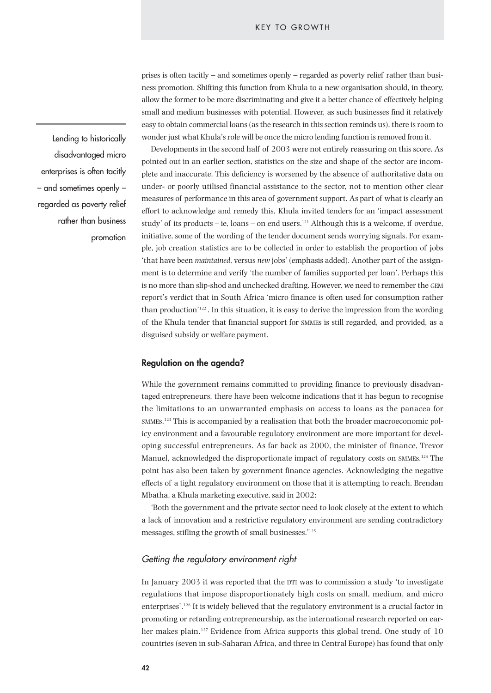prises is often tacitly – and sometimes openly – regarded as poverty relief rather than business promotion. Shifting this function from Khula to a new organisation should, in theory, allow the former to be more discriminating and give it a better chance of effectively helping small and medium businesses with potential. However, as such businesses find it relatively easy to obtain commercial loans (as the research in this section reminds us), there is room to wonder just what Khula's role will be once the micro lending function is removed from it.

Developments in the second half of 2003 were not entirely reassuring on this score. As pointed out in an earlier section, statistics on the size and shape of the sector are incomplete and inaccurate. This deficiency is worsened by the absence of authoritative data on under- or poorly utilised financial assistance to the sector, not to mention other clear measures of performance in this area of government support. As part of what is clearly an effort to acknowledge and remedy this, Khula invited tenders for an 'impact assessment study' of its products – ie, loans – on end users.121 Although this is a welcome, if overdue, initiative, some of the wording of the tender document sends worrying signals. For example, job creation statistics are to be collected in order to establish the proportion of jobs 'that have been *maintained*, versus *new* jobs' (emphasis added). Another part of the assignment is to determine and verify 'the number of families supported per loan'. Perhaps this is no more than slip-shod and unchecked drafting. However, we need to remember the GEM report's verdict that in South Africa 'micro finance is often used for consumption rather than production'<sup>122</sup>. In this situation, it is easy to derive the impression from the wording of the Khula tender that financial support for SMMEs is still regarded, and provided, as a disguised subsidy or welfare payment.

## **Regulation on the agenda?**

While the government remains committed to providing finance to previously disadvantaged entrepreneurs, there have been welcome indications that it has begun to recognise the limitations to an unwarranted emphasis on access to loans as the panacea for SMMEs.123 This is accompanied by a realisation that both the broader macroeconomic policy environment and a favourable regulatory environment are more important for developing successful entrepreneurs. As far back as 2000, the minister of finance, Trevor Manuel, acknowledged the disproportionate impact of regulatory costs on SMMEs.<sup>124</sup> The point has also been taken by government finance agencies. Acknowledging the negative effects of a tight regulatory environment on those that it is attempting to reach, Brendan Mbatha, a Khula marketing executive, said in 2002:

'Both the government and the private sector need to look closely at the extent to which a lack of innovation and a restrictive regulatory environment are sending contradictory messages, stifling the growth of small businesses.'125

## *Getting the regulatory environment right*

In January 2003 it was reported that the DTI was to commission a study 'to investigate regulations that impose disproportionately high costs on small, medium, and micro enterprises'.126 It is widely believed that the regulatory environment is a crucial factor in promoting or retarding entrepreneurship, as the international research reported on earlier makes plain.<sup>127</sup> Evidence from Africa supports this global trend. One study of 10 countries (seven in sub-Saharan Africa, and three in Central Europe) has found that only

Lending to historically disadvantaged micro enterprises is often tacitly – and sometimes openly – regarded as poverty relief rather than business promotion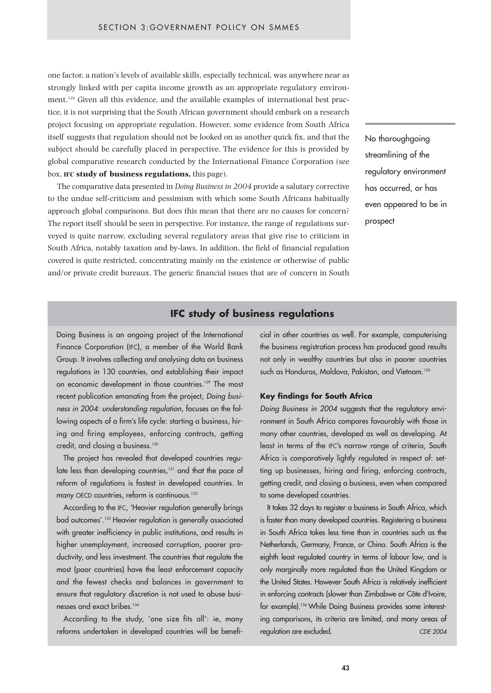one factor, a nation's levels of available skills, especially technical, was anywhere near as strongly linked with per capita income growth as an appropriate regulatory environment.<sup>128</sup> Given all this evidence, and the available examples of international best practice, it is not surprising that the South African government should embark on a research project focusing on appropriate regulation. However, some evidence from South Africa itself suggests that regulation should not be looked on as another quick fix, and that the subject should be carefully placed in perspective. The evidence for this is provided by global comparative research conducted by the International Finance Corporation (see box, **IFC study of business regulations,** this page).

The comparative data presented in *Doing Business in 2004* provide a salutary corrective to the undue self-criticism and pessimism with which some South Africans habitually approach global comparisons. But does this mean that there are no causes for concern? The report itself should be seen in perspective. For instance, the range of regulations surveyed is quite narrow, excluding several regulatory areas that give rise to criticism in South Africa, notably taxation and by-laws. In addition, the field of financial regulation covered is quite restricted, concentrating mainly on the existence or otherwise of public and/or private credit bureaux. The generic financial issues that are of concern in South No thoroughgoing streamlining of the regulatory environment has occurred, or has even appeared to be in prospect

## **IFC study of business regulations**

Doing Business is an ongoing project of the International Finance Corporation (IFC), a member of the World Bank Group. It involves collecting and analysing data on business regulations in 130 countries, and establishing their impact on economic development in those countries.<sup>129</sup> The most recent publication emanating from the project, *Doing business in 2004: understanding regulation,* focuses on the following aspects of a firm's life cycle: starting a business, hiring and firing employees, enforcing contracts, getting credit, and closing a business.<sup>130</sup>

The project has revealed that developed countries regulate less than developing countries,<sup>131</sup> and that the pace of reform of regulations is fastest in developed countries. In many OECD countries, reform is continuous.<sup>132</sup>

According to the IFC, 'Heavier regulation generally brings bad outcomes'.133 Heavier regulation is generally associated with greater inefficiency in public institutions, and results in higher unemployment, increased corruption, poorer productivity, and less investment. The countries that regulate the most (poor countries) have the least enforcement capacity and the fewest checks and balances in government to ensure that regulatory discretion is not used to abuse businesses and exact bribes.<sup>134</sup>

According to the study, 'one size fits all': ie, many reforms undertaken in developed countries will be beneficial in other countries as well. For example, computerising the business registration process has produced good results not only in wealthy countries but also in poorer countries such as Honduras, Moldova, Pakistan, and Vietnam.<sup>135</sup>

### **Key findings for South Africa**

*Doing Business in 2004* suggests that the regulatory environment in South Africa compares favourably with those in many other countries, developed as well as developing. At least in terms of the IFC's narrow range of criteria, South Africa is comparatively lightly regulated in respect of: setting up businesses, hiring and firing, enforcing contracts, getting credit, and closing a business, even when compared to some developed countries.

It takes 32 days to register a business in South Africa, which is faster than many developed countries. Registering a business in South Africa takes less time than in countries such as the Netherlands, Germany, France, or China. South Africa is the eighth least regulated country in terms of labour law, and is only marginally more regulated than the United Kingdom or the United States. However South Africa is relatively inefficient in enforcing contracts (slower than Zimbabwe or Côte d'Ivoire, for example).<sup>136</sup> While Doing Business provides some interesting comparisons, its criteria are limited, and many areas of regulation are excluded. *CDE 2004*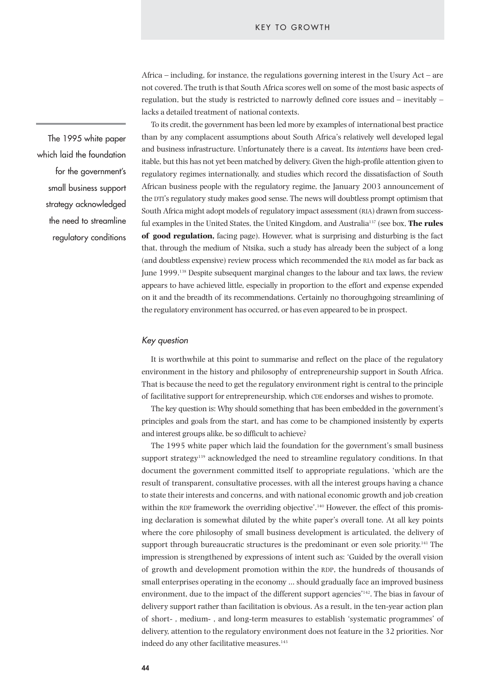Africa – including, for instance, the regulations governing interest in the Usury Act – are not covered. The truth is that South Africa scores well on some of the most basic aspects of regulation, but the study is restricted to narrowly defined core issues and – inevitably – lacks a detailed treatment of national contexts.

To its credit, the government has been led more by examples of international best practice than by any complacent assumptions about South Africa's relatively well developed legal and business infrastructure. Unfortunately there is a caveat. Its *intentions* have been creditable, but this has not yet been matched by delivery. Given the high-profile attention given to regulatory regimes internationally, and studies which record the dissatisfaction of South African business people with the regulatory regime, the January 2003 announcement of the DTI's regulatory study makes good sense. The news will doubtless prompt optimism that South Africa might adopt models of regulatory impact assessment (RIA) drawn from successful examples in the United States, the United Kingdom, and Australia137 (see box, **The rules of good regulation,** facing page). However, what is surprising and disturbing is the fact that, through the medium of Ntsika, such a study has already been the subject of a long (and doubtless expensive) review process which recommended the RIA model as far back as June 1999.138 Despite subsequent marginal changes to the labour and tax laws, the review appears to have achieved little, especially in proportion to the effort and expense expended on it and the breadth of its recommendations. Certainly no thoroughgoing streamlining of the regulatory environment has occurred, or has even appeared to be in prospect.

#### *Key question*

It is worthwhile at this point to summarise and reflect on the place of the regulatory environment in the history and philosophy of entrepreneurship support in South Africa. That is because the need to get the regulatory environment right is central to the principle of facilitative support for entrepreneurship, which CDE endorses and wishes to promote.

The key question is: Why should something that has been embedded in the government's principles and goals from the start, and has come to be championed insistently by experts and interest groups alike, be so difficult to achieve?

The 1995 white paper which laid the foundation for the government's small business support strategy<sup>139</sup> acknowledged the need to streamline regulatory conditions. In that document the government committed itself to appropriate regulations, 'which are the result of transparent, consultative processes, with all the interest groups having a chance to state their interests and concerns, and with national economic growth and job creation within the RDP framework the overriding objective'.<sup>140</sup> However, the effect of this promising declaration is somewhat diluted by the white paper's overall tone. At all key points where the core philosophy of small business development is articulated, the delivery of support through bureaucratic structures is the predominant or even sole priority.<sup>141</sup> The impression is strengthened by expressions of intent such as: 'Guided by the overall vision of growth and development promotion within the RDP, the hundreds of thousands of small enterprises operating in the economy … should gradually face an improved business environment, due to the impact of the different support agencies'142. The bias in favour of delivery support rather than facilitation is obvious. As a result, in the ten-year action plan of short- , medium- , and long-term measures to establish 'systematic programmes' of delivery, attention to the regulatory environment does not feature in the 32 priorities. Nor indeed do any other facilitative measures.<sup>143</sup>

The 1995 white paper which laid the foundation for the government's small business support strategy acknowledged the need to streamline regulatory conditions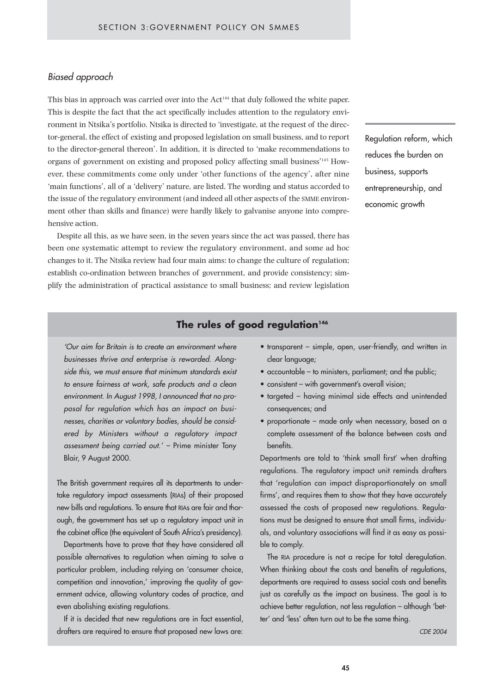## *Biased approach*

This bias in approach was carried over into the Act<sup>144</sup> that duly followed the white paper. This is despite the fact that the act specifically includes attention to the regulatory environment in Ntsika's portfolio. Ntsika is directed to 'investigate, at the request of the director-general, the effect of existing and proposed legislation on small business, and to report to the director-general thereon'. In addition, it is directed to 'make recommendations to organs of government on existing and proposed policy affecting small business'145 However, these commitments come only under 'other functions of the agency', after nine 'main functions', all of a 'delivery' nature, are listed. The wording and status accorded to the issue of the regulatory environment (and indeed all other aspects of the SMME environment other than skills and finance) were hardly likely to galvanise anyone into comprehensive action.

Despite all this, as we have seen, in the seven years since the act was passed, there has been one systematic attempt to review the regulatory environment, and some ad hoc changes to it. The Ntsika review had four main aims: to change the culture of regulation; establish co-ordination between branches of government, and provide consistency; simplify the administration of practical assistance to small business; and review legislation Regulation reform, which reduces the burden on business, supports entrepreneurship, and economic growth

# **The rules of good regulation<sup>146</sup>**

*'Our aim for Britain is to create an environment where businesses thrive and enterprise is rewarded. Alongside this, we must ensure that minimum standards exist to ensure fairness at work, safe products and a clean environment. In August 1998, I announced that no proposal for regulation which has an impact on businesses, charities or voluntary bodies, should be considered by Ministers without a regulatory impact assessment being carried out.' –* Prime minister Tony Blair, 9 August 2000.

The British government requires all its departments to undertake regulatory impact assessments (RIAs) of their proposed new bills and regulations. To ensure that RIAs are fair and thorough, the government has set up a regulatory impact unit in the cabinet office (the equivalent of South Africa's presidency).

Departments have to prove that they have considered all possible alternatives to regulation when aiming to solve a particular problem, including relying on 'consumer choice, competition and innovation,' improving the quality of government advice, allowing voluntary codes of practice, and even abolishing existing regulations.

If it is decided that new regulations are in fact essential, drafters are required to ensure that proposed new laws are:

- transparent simple, open, user-friendly, and written in clear language;
- accountable to ministers, parliament; and the public;
- consistent with government's overall vision;
- targeted having minimal side effects and unintended consequences; and
- proportionate made only when necessary, based on a complete assessment of the balance between costs and benefits.

Departments are told to 'think small first' when drafting regulations. The regulatory impact unit reminds drafters that 'regulation can impact disproportionately on small firms', and requires them to show that they have accurately assessed the costs of proposed new regulations. Regulations must be designed to ensure that small firms, individuals, and voluntary associations will find it as easy as possible to comply.

The RIA procedure is not a recipe for total deregulation. When thinking about the costs and benefits of regulations, departments are required to assess social costs and benefits just as carefully as the impact on business. The goal is to achieve better regulation, not less regulation – although 'better' and 'less' often turn out to be the same thing.

*CDE 2004*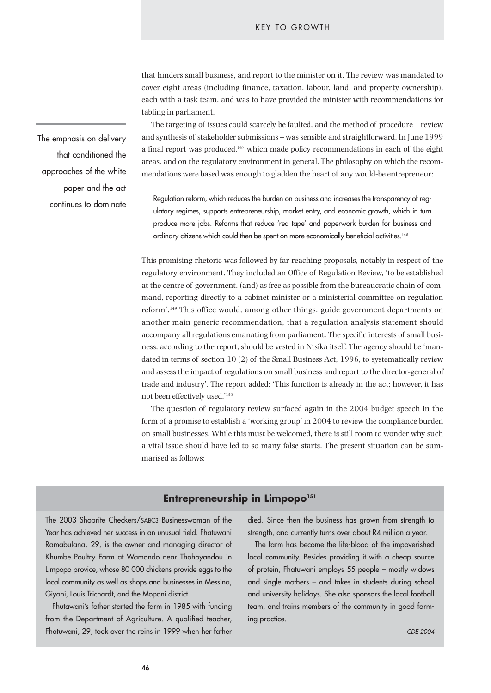that hinders small business, and report to the minister on it. The review was mandated to cover eight areas (including finance, taxation, labour, land, and property ownership), each with a task team, and was to have provided the minister with recommendations for tabling in parliament.

The targeting of issues could scarcely be faulted, and the method of procedure – review and synthesis of stakeholder submissions – was sensible and straightforward. In June 1999 a final report was produced, $147$  which made policy recommendations in each of the eight areas, and on the regulatory environment in general. The philosophy on which the recommendations were based was enough to gladden the heart of any would-be entrepreneur:

Regulation reform, which reduces the burden on business and increases the transparency of regulatory regimes, supports entrepreneurship, market entry, and economic growth, which in turn produce more jobs. Reforms that reduce 'red tape' and paperwork burden for business and ordinary citizens which could then be spent on more economically beneficial activities.<sup>148</sup>

This promising rhetoric was followed by far-reaching proposals, notably in respect of the regulatory environment. They included an Office of Regulation Review, 'to be established at the centre of government. (and) as free as possible from the bureaucratic chain of command, reporting directly to a cabinet minister or a ministerial committee on regulation reform'.149 This office would, among other things, guide government departments on another main generic recommendation, that a regulation analysis statement should accompany all regulations emanating from parliament. The specific interests of small business, according to the report, should be vested in Ntsika itself. The agency should be 'mandated in terms of section 10 (2) of the Small Business Act, 1996, to systematically review and assess the impact of regulations on small business and report to the director-general of trade and industry'. The report added: 'This function is already in the act; however, it has not been effectively used.'150

The question of regulatory review surfaced again in the 2004 budget speech in the form of a promise to establish a 'working group' in 2004 to review the compliance burden on small businesses. While this must be welcomed, there is still room to wonder why such a vital issue should have led to so many false starts. The present situation can be summarised as follows:

## **Entrepreneurship in Limpopo<sup>151</sup>**

The 2003 Shoprite Checkers/SABC3 Businesswoman of the Year has achieved her success in an unusual field. Fhatuwani Ramabulana, 29, is the owner and managing director of Khumbe Poultry Farm at Wamondo near Thohoyandou in Limpopo provice, whose 80 000 chickens provide eggs to the local community as well as shops and businesses in Messina, Giyani, Louis Trichardt, and the Mopani district.

Fhutawani's father started the farm in 1985 with funding from the Department of Agriculture. A qualified teacher, Fhatuwani, 29, took over the reins in 1999 when her father died. Since then the business has grown from strength to strength, and currently turns over about R4 million a year.

The farm has become the life-blood of the impoverished local community. Besides providing it with a cheap source of protein, Fhatuwani employs 55 people – mostly widows and single mothers – and takes in students during school and university holidays. She also sponsors the local football team, and trains members of the community in good farming practice.

The emphasis on delivery that conditioned the approaches of the white paper and the act continues to dominate

**46**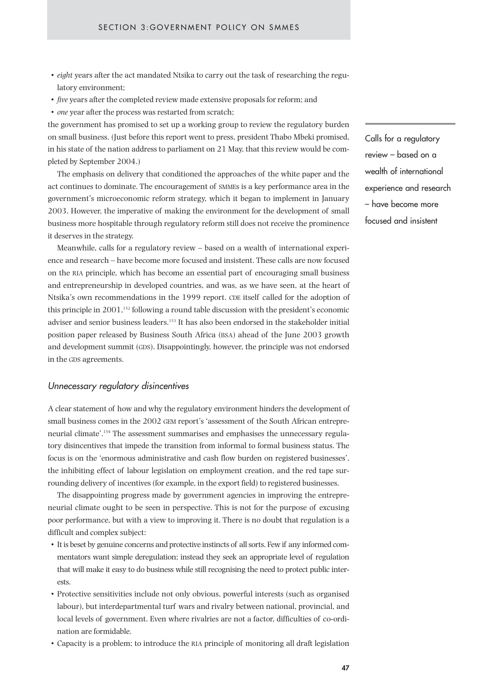- *eight* years after the act mandated Ntsika to carry out the task of researching the regulatory environment;
- *five* years after the completed review made extensive proposals for reform; and
- *one* year after the process was restarted from scratch;

the government has promised to set up a working group to review the regulatory burden on small business. (Just before this report went to press, president Thabo Mbeki promised, in his state of the nation address to parliament on 21 May, that this review would be completed by September 2004.)

The emphasis on delivery that conditioned the approaches of the white paper and the act continues to dominate. The encouragement of SMMEs is a key performance area in the government's microeconomic reform strategy, which it began to implement in January 2003. However, the imperative of making the environment for the development of small business more hospitable through regulatory reform still does not receive the prominence it deserves in the strategy.

Meanwhile, calls for a regulatory review – based on a wealth of international experience and research – have become more focused and insistent. These calls are now focused on the RIA principle, which has become an essential part of encouraging small business and entrepreneurship in developed countries, and was, as we have seen, at the heart of Ntsika's own recommendations in the 1999 report. CDE itself called for the adoption of this principle in 2001,152 following a round table discussion with the president's economic adviser and senior business leaders.153 It has also been endorsed in the stakeholder initial position paper released by Business South Africa (BSA) ahead of the June 2003 growth and development summit (GDS). Disappointingly, however, the principle was not endorsed in the GDS agreements.

## *Unnecessary regulatory disincentives*

A clear statement of how and why the regulatory environment hinders the development of small business comes in the 2002 GEM report's 'assessment of the South African entrepreneurial climate'.154 The assessment summarises and emphasises the unnecessary regulatory disincentives that impede the transition from informal to formal business status. The focus is on the 'enormous administrative and cash flow burden on registered businesses', the inhibiting effect of labour legislation on employment creation, and the red tape surrounding delivery of incentives (for example, in the export field) to registered businesses.

The disappointing progress made by government agencies in improving the entrepreneurial climate ought to be seen in perspective. This is not for the purpose of excusing poor performance, but with a view to improving it. There is no doubt that regulation is a difficult and complex subject:

- It is beset by genuine concerns and protective instincts of all sorts. Few if any informed commentators want simple deregulation; instead they seek an appropriate level of regulation that will make it easy to do business while still recognising the need to protect public interests.
- Protective sensitivities include not only obvious, powerful interests (such as organised labour), but interdepartmental turf wars and rivalry between national, provincial, and local levels of government. Even where rivalries are not a factor, difficulties of co-ordination are formidable.
- Capacity is a problem; to introduce the RIA principle of monitoring all draft legislation

Calls for a regulatory review – based on a wealth of international experience and research – have become more focused and insistent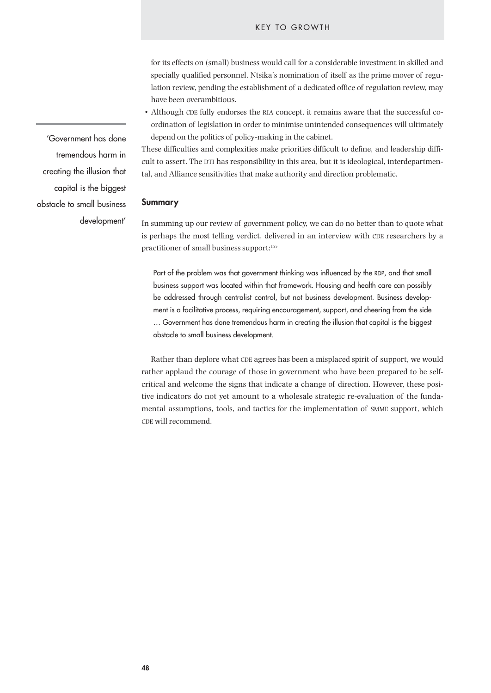for its effects on (small) business would call for a considerable investment in skilled and specially qualified personnel. Ntsika's nomination of itself as the prime mover of regulation review, pending the establishment of a dedicated office of regulation review, may have been overambitious.

• Although CDE fully endorses the RIA concept, it remains aware that the successful coordination of legislation in order to minimise unintended consequences will ultimately depend on the politics of policy-making in the cabinet.

These difficulties and complexities make priorities difficult to define, and leadership difficult to assert. The DTI has responsibility in this area, but it is ideological, interdepartmental, and Alliance sensitivities that make authority and direction problematic.

#### **Summary**

In summing up our review of government policy, we can do no better than to quote what is perhaps the most telling verdict, delivered in an interview with CDE researchers by a practitioner of small business support:<sup>155</sup>

Part of the problem was that government thinking was influenced by the RDP, and that small business support was located within that framework. Housing and health care can possibly be addressed through centralist control, but not business development. Business development is a facilitative process, requiring encouragement, support, and cheering from the side … Government has done tremendous harm in creating the illusion that capital is the biggest obstacle to small business development.

Rather than deplore what CDE agrees has been a misplaced spirit of support, we would rather applaud the courage of those in government who have been prepared to be selfcritical and welcome the signs that indicate a change of direction. However, these positive indicators do not yet amount to a wholesale strategic re-evaluation of the fundamental assumptions, tools, and tactics for the implementation of SMME support, which CDE will recommend.

'Government has done tremendous harm in creating the illusion that capital is the biggest obstacle to small business development'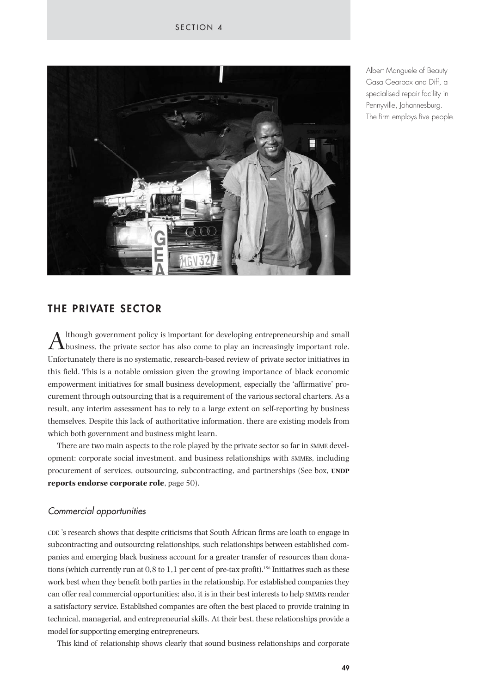

Albert Manguele of Beauty Gasa Gearbox and Diff, a specialised repair facility in Pennyville, Johannesburg. The firm employs five people.

# **THE PRIVATE SECTOR**

 $A$ <sup>though</sup> government policy is important for developing entrepreneurship and small business, the private sector has also come to play an increasingly important role. Unfortunately there is no systematic, research-based review of private sector initiatives in this field. This is a notable omission given the growing importance of black economic empowerment initiatives for small business development, especially the 'affirmative' procurement through outsourcing that is a requirement of the various sectoral charters. As a result, any interim assessment has to rely to a large extent on self-reporting by business themselves. Despite this lack of authoritative information, there are existing models from which both government and business might learn.

There are two main aspects to the role played by the private sector so far in SMME development: corporate social investment, and business relationships with SMMEs, including procurement of services, outsourcing, subcontracting, and partnerships (See box, **UNDP reports endorse corporate role**, page 50).

## *Commercial opportunities*

CDE 's research shows that despite criticisms that South African firms are loath to engage in subcontracting and outsourcing relationships, such relationships between established companies and emerging black business account for a greater transfer of resources than donations (which currently run at 0,8 to 1,1 per cent of pre-tax profit).<sup>156</sup> Initiatives such as these work best when they benefit both parties in the relationship. For established companies they can offer real commercial opportunities; also, it is in their best interests to help SMMEs render a satisfactory service. Established companies are often the best placed to provide training in technical, managerial, and entrepreneurial skills. At their best, these relationships provide a model for supporting emerging entrepreneurs.

This kind of relationship shows clearly that sound business relationships and corporate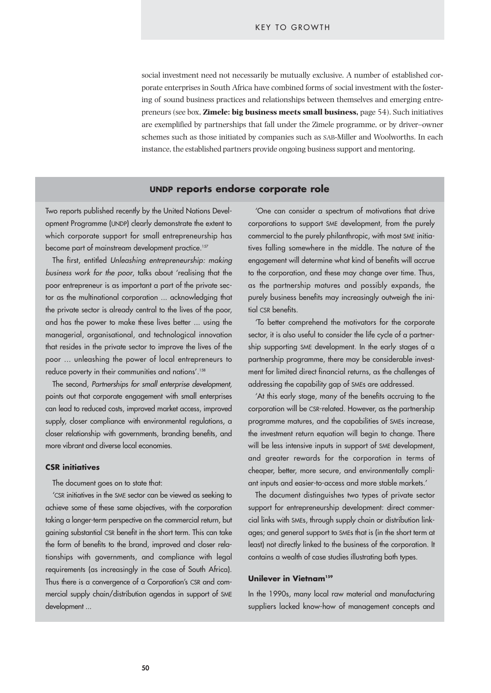social investment need not necessarily be mutually exclusive. A number of established corporate enterprises in South Africa have combined forms of social investment with the fostering of sound business practices and relationships between themselves and emerging entrepreneurs (see box, **Zimele: big business meets small business,** page 54). Such initiatives are exemplified by partnerships that fall under the Zimele programme, or by driver–owner schemes such as those initiated by companies such as SAB-Miller and Woolworths. In each instance, the established partners provide ongoing business support and mentoring.

## **UNDP reports endorse corporate role**

Two reports published recently by the United Nations Development Programme (UNDP) clearly demonstrate the extent to which corporate support for small entrepreneurship has become part of mainstream development practice.<sup>157</sup>

The first, entitled *Unleashing entrepreneurship: making business work for the poor*, talks about 'realising that the poor entrepreneur is as important a part of the private sector as the multinational corporation ... acknowledging that the private sector is already central to the lives of the poor, and has the power to make these lives better ... using the managerial, organisational, and technological innovation that resides in the private sector to improve the lives of the poor ... unleashing the power of local entrepreneurs to reduce poverty in their communities and nations'.<sup>158</sup>

The second, *Partnerships for small enterprise development,* points out that corporate engagement with small enterprises can lead to reduced costs, improved market access, improved supply, closer compliance with environmental regulations, a closer relationship with governments, branding benefits, and more vibrant and diverse local economies.

## **CSR initiatives**

The document goes on to state that:

'CSR initiatives in the SME sector can be viewed as seeking to achieve some of these same objectives, with the corporation taking a longer-term perspective on the commercial return, but gaining substantial CSR benefit in the short term. This can take the form of benefits to the brand, improved and closer relationships with governments, and compliance with legal requirements (as increasingly in the case of South Africa). Thus there is a convergence of a Corporation's CSR and commercial supply chain/distribution agendas in support of SME development ...

'One can consider a spectrum of motivations that drive corporations to support SME development, from the purely commercial to the purely philanthropic, with most SME initiatives falling somewhere in the middle. The nature of the engagement will determine what kind of benefits will accrue to the corporation, and these may change over time. Thus, as the partnership matures and possibly expands, the purely business benefits may increasingly outweigh the initial CSR benefits.

'To better comprehend the motivators for the corporate sector, it is also useful to consider the life cycle of a partnership supporting SME development. In the early stages of a partnership programme, there may be considerable investment for limited direct financial returns, as the challenges of addressing the capability gap of SMEs are addressed.

'At this early stage, many of the benefits accruing to the corporation will be CSR-related. However, as the partnership programme matures, and the capabilities of SMEs increase, the investment return equation will begin to change. There will be less intensive inputs in support of SME development, and greater rewards for the corporation in terms of cheaper, better, more secure, and environmentally compliant inputs and easier-to-access and more stable markets.'

The document distinguishes two types of private sector support for entrepreneurship development: direct commercial links with SMEs, through supply chain or distribution linkages; and general support to SMEs that is (in the short term at least) not directly linked to the business of the corporation. It contains a wealth of case studies illustrating both types.

#### **Unilever in Vietnam159**

In the 1990s, many local raw material and manufacturing suppliers lacked know-how of management concepts and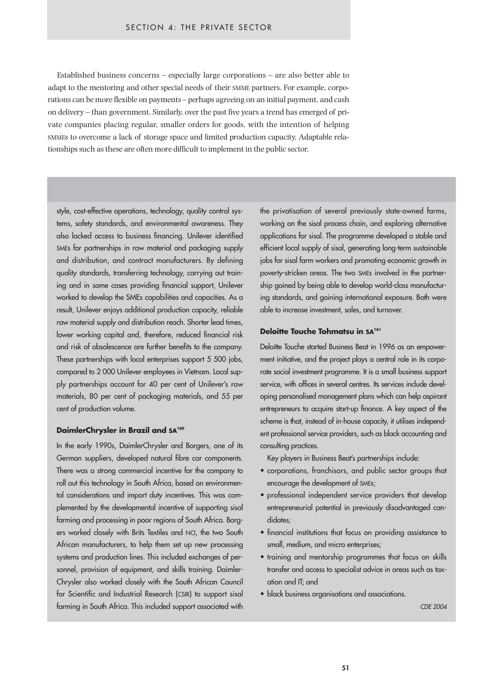Established business concerns – especially large corporations – are also better able to adapt to the mentoring and other special needs of their SMME partners. For example, corporations can be more flexible on payments – perhaps agreeing on an initial payment, and cash on delivery – than government. Similarly, over the past five years a trend has emerged of private companies placing regular, smaller orders for goods, with the intention of helping SMMEs to overcome a lack of storage space and limited production capacity. Adaptable relationships such as these are often more difficult to implement in the public sector.

style, cost-effective operations, technology, quality control systems, safety standards, and environmental awareness. They also lacked access to business financing. Unilever identified SMEs for partnerships in raw material and packaging supply and distribution, and contract manufacturers. By defining quality standards, transferring technology, carrying out training and in some cases providing financial support, Unilever worked to develop the SMEs capabilities and capacities. As a result, Unilever enjoys additional production capacity, reliable raw material supply and distribution reach. Shorter lead times, lower working capital and, therefore, reduced financial risk and risk of obsolescence are further benefits to the company. These partnerships with local enterprises support 5 500 jobs, compared to 2 000 Unilever employees in Vietnam. Local supply partnerships account for 40 per cent of Unilever's raw materials, 80 per cent of packaging materials, and 55 per cent of production volume.

#### **DaimlerChrysler in Brazil and SA160**

In the early 1990s, DaimlerChrysler and Borgers, one of its German suppliers, developed natural fibre car components. There was a strong commercial incentive for the company to roll out this technology in South Africa, based on environmental considerations and import duty incentives. This was complemented by the developmental incentive of supporting sisal farming and processing in poor regions of South Africa. Borgers worked closely with Brits Textiles and NCI, the two South African manufacturers, to help them set up new processing systems and production lines. This included exchanges of personnel, provision of equipment, and skills training. Daimler-Chrysler also worked closely with the South African Council for Scientific and Industrial Research (CSIR) to support sisal farming in South Africa. This included support associated with the privatisation of several previously state-owned farms, working on the sisal process chain, and exploring alternative applications for sisal. The programme developed a stable and efficient local supply of sisal, generating long-term sustainable jobs for sisal farm workers and promoting economic growth in poverty-stricken areas. The two SMEs involved in the partnership gained by being able to develop world-class manufacturing standards, and gaining international exposure. Both were able to increase investment, sales, and turnover.

#### **Deloitte Touche Tohmatsu in SA161**

Deloitte Touche started Business Beat in 1996 as an empowerment initiative, and the project plays a central role in its corporate social investment programme. It is a small business support service, with offices in several centres. Its services include developing personalised management plans which can help aspirant entrepreneurs to acquire start-up finance. A key aspect of the scheme is that, instead of in-house capacity, it utilises independent professional service providers, such as black accounting and consulting practices.

Key players in Business Beat's partnerships include:

- corporations, franchisors, and public sector groups that encourage the development of SMEs;
- professional independent service providers that develop entrepreneurial potential in previously disadvantaged candidates;
- financial institutions that focus on providing assistance to small, medium, and micro enterprises;
- training and mentorship programmes that focus on skills transfer and access to specialist advice in areas such as taxation and IT; and
- black business organisations and associations.

*CDE 2004*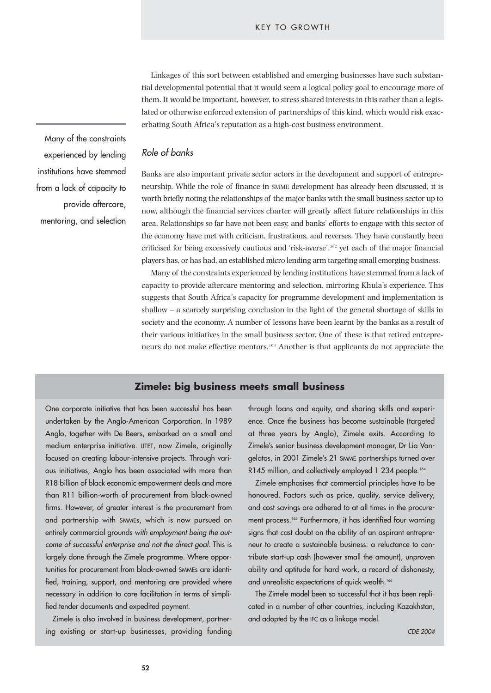Linkages of this sort between established and emerging businesses have such substantial developmental potential that it would seem a logical policy goal to encourage more of them. It would be important, however, to stress shared interests in this rather than a legislated or otherwise enforced extension of partnerships of this kind, which would risk exacerbating South Africa's reputation as a high-cost business environment.

*Role of banks*

Banks are also important private sector actors in the development and support of entrepreneurship. While the role of finance in SMME development has already been discussed, it is worth briefly noting the relationships of the major banks with the small business sector up to now, although the financial services charter will greatly affect future relationships in this area. Relationships so far have not been easy, and banks' efforts to engage with this sector of the economy have met with criticism, frustrations, and reverses. They have constantly been criticised for being excessively cautious and 'risk-averse',162 yet each of the major financial players has, or has had, an established micro lending arm targeting small emerging business.

Many of the constraints experienced by lending institutions have stemmed from a lack of capacity to provide aftercare mentoring and selection, mirroring Khula's experience. This suggests that South Africa's capacity for programme development and implementation is shallow – a scarcely surprising conclusion in the light of the general shortage of skills in society and the economy. A number of lessons have been learnt by the banks as a result of their various initiatives in the small business sector. One of these is that retired entrepreneurs do not make effective mentors.163 Another is that applicants do not appreciate the

## **Zimele: big business meets small business**

One corporate initiative that has been successful has been undertaken by the Anglo-American Corporation. In 1989 Anglo, together with De Beers, embarked on a small and medium enterprise initiative. LITET, now Zimele, originally focused on creating labour-intensive projects. Through various initiatives, Anglo has been associated with more than R18 billion of black economic empowerment deals and more than R11 billion-worth of procurement from black-owned firms. However, of greater interest is the procurement from and partnership with SMMEs, which is now pursued on entirely commercial grounds *with employment being the outcome of successful enterprise and not the direct goal.* This is largely done through the Zimele programme. Where opportunities for procurement from black-owned SMMEs are identified, training, support, and mentoring are provided where necessary in addition to core facilitation in terms of simplified tender documents and expedited payment.

Zimele is also involved in business development, partnering existing or start-up businesses, providing funding through loans and equity, and sharing skills and experience. Once the business has become sustainable (targeted at three years by Anglo), Zimele exits. According to Zimele's senior business development manager, Dr Lia Vangelatos, in 2001 Zimele's 21 SMME partnerships turned over R145 million, and collectively employed 1 234 people.<sup>164</sup>

Zimele emphasises that commercial principles have to be honoured. Factors such as price, quality, service delivery, and cost savings are adhered to at all times in the procurement process.<sup>165</sup> Furthermore, it has identified four warning signs that cast doubt on the ability of an aspirant entrepreneur to create a sustainable business: a reluctance to contribute start-up cash (however small the amount), unproven ability and aptitude for hard work, a record of dishonesty, and unrealistic expectations of quick wealth.<sup>166</sup>

The Zimele model been so successful that it has been replicated in a number of other countries, including Kazakhstan, and adopted by the IFC as a linkage model.

*CDE 2004*

Many of the constraints experienced by lending institutions have stemmed from a lack of capacity to provide aftercare, mentoring, and selection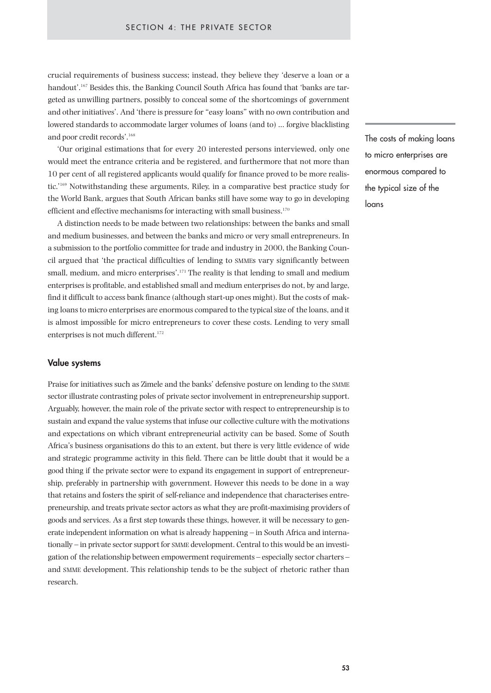crucial requirements of business success; instead, they believe they 'deserve a loan or a handout'.167 Besides this, the Banking Council South Africa has found that 'banks are targeted as unwilling partners, possibly to conceal some of the shortcomings of government and other initiatives'. And 'there is pressure for "easy loans" with no own contribution and lowered standards to accommodate larger volumes of loans (and to) … forgive blacklisting and poor credit records'.<sup>168</sup>

'Our original estimations that for every 20 interested persons interviewed, only one would meet the entrance criteria and be registered, and furthermore that not more than 10 per cent of all registered applicants would qualify for finance proved to be more realistic.'169 Notwithstanding these arguments, Riley, in a comparative best practice study for the World Bank, argues that South African banks still have some way to go in developing efficient and effective mechanisms for interacting with small business.<sup>170</sup>

A distinction needs to be made between two relationships: between the banks and small and medium businesses, and between the banks and micro or very small entrepreneurs. In a submission to the portfolio committee for trade and industry in 2000, the Banking Council argued that 'the practical difficulties of lending to SMMEs vary significantly between small, medium, and micro enterprises'.<sup>171</sup> The reality is that lending to small and medium enterprises is profitable, and established small and medium enterprises do not, by and large, find it difficult to access bank finance (although start-up ones might). But the costs of making loans to micro enterprises are enormous compared to the typical size of the loans, and it is almost impossible for micro entrepreneurs to cover these costs. Lending to very small enterprises is not much different.<sup>172</sup>

#### **Value systems**

Praise for initiatives such as Zimele and the banks' defensive posture on lending to the SMME sector illustrate contrasting poles of private sector involvement in entrepreneurship support. Arguably, however, the main role of the private sector with respect to entrepreneurship is to sustain and expand the value systems that infuse our collective culture with the motivations and expectations on which vibrant entrepreneurial activity can be based. Some of South Africa's business organisations do this to an extent, but there is very little evidence of wide and strategic programme activity in this field. There can be little doubt that it would be a good thing if the private sector were to expand its engagement in support of entrepreneurship, preferably in partnership with government. However this needs to be done in a way that retains and fosters the spirit of self-reliance and independence that characterises entrepreneurship, and treats private sector actors as what they are profit-maximising providers of goods and services. As a first step towards these things, however, it will be necessary to generate independent information on what is already happening – in South Africa and internationally – in private sector support for SMME development. Central to this would be an investigation of the relationship between empowerment requirements – especially sector charters – and SMME development. This relationship tends to be the subject of rhetoric rather than research.

The costs of making loans to micro enterprises are enormous compared to the typical size of the loans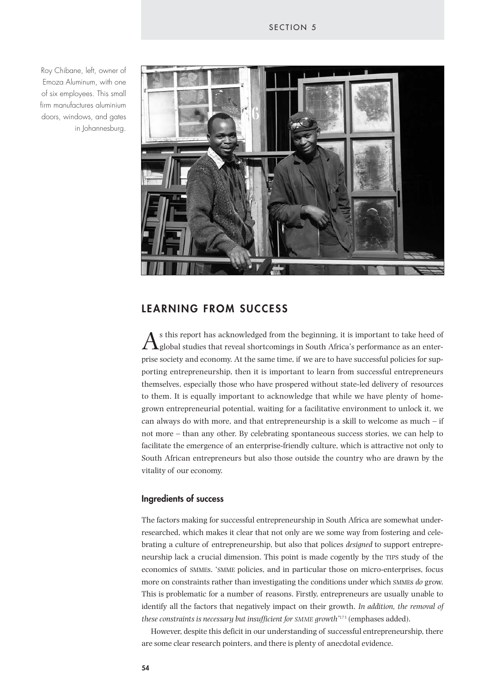Roy Chibane, left, owner of Emoza Aluminum, with one of six employees. This small firm manufactures aluminium doors, windows, and gates in Johannesburg.



# **LEARNING FROM SUCCESS**

 $A_{\rm global}$  sthis report has acknowledged from the beginning, it is important to take heed of global studies that reveal shortcomings in South Africa's performance as an enterprise society and economy. At the same time, if we are to have successful policies for supporting entrepreneurship, then it is important to learn from successful entrepreneurs themselves, especially those who have prospered without state-led delivery of resources to them. It is equally important to acknowledge that while we have plenty of homegrown entrepreneurial potential, waiting for a facilitative environment to unlock it, we can always do with more, and that entrepreneurship is a skill to welcome as much  $-$  if not more – than any other. By celebrating spontaneous success stories, we can help to facilitate the emergence of an enterprise-friendly culture, which is attractive not only to South African entrepreneurs but also those outside the country who are drawn by the vitality of our economy.

## **Ingredients of success**

The factors making for successful entrepreneurship in South Africa are somewhat underresearched, which makes it clear that not only are we some way from fostering and celebrating a culture of entrepreneurship, but also that polices *designed* to support entrepreneurship lack a crucial dimension. This point is made cogently by the TIPS study of the economics of SMMEs. 'SMME policies, and in particular those on micro-enterprises, focus more on constraints rather than investigating the conditions under which SMMEs *do* grow. This is problematic for a number of reasons. Firstly, entrepreneurs are usually unable to identify all the factors that negatively impact on their growth. *In addition, the removal of these constraints is necessary but insufficient for SMME growth'*<sup>173</sup> (emphases added).

However, despite this deficit in our understanding of successful entrepreneurship, there are some clear research pointers, and there is plenty of anecdotal evidence.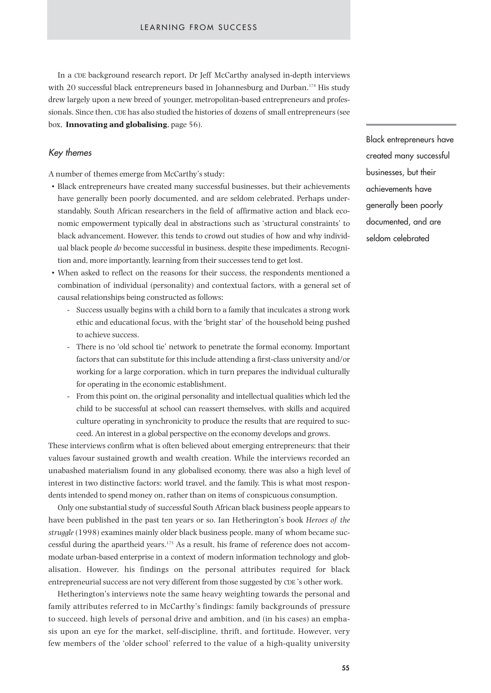In a CDE background research report, Dr Jeff McCarthy analysed in-depth interviews with 20 successful black entrepreneurs based in Johannesburg and Durban.<sup>174</sup> His study drew largely upon a new breed of younger, metropolitan-based entrepreneurs and professionals. Since then, CDE has also studied the histories of dozens of small entrepreneurs (see box, **Innovating and globalising**, page 56).

## *Key themes*

A number of themes emerge from McCarthy's study:

- Black entrepreneurs have created many successful businesses, but their achievements have generally been poorly documented, and are seldom celebrated. Perhaps understandably, South African researchers in the field of affirmative action and black economic empowerment typically deal in abstractions such as 'structural constraints' to black advancement. However, this tends to crowd out studies of how and why individual black people *do* become successful in business, despite these impediments. Recognition and, more importantly, learning from their successes tend to get lost.
- When asked to reflect on the reasons for their success, the respondents mentioned a combination of individual (personality) and contextual factors, with a general set of causal relationships being constructed as follows:
	- Success usually begins with a child born to a family that inculcates a strong work ethic and educational focus, with the 'bright star' of the household being pushed to achieve success.
	- There is no 'old school tie' network to penetrate the formal economy. Important factors that can substitute for this include attending a first-class university and/or working for a large corporation, which in turn prepares the individual culturally for operating in the economic establishment.
	- From this point on, the original personality and intellectual qualities which led the child to be successful at school can reassert themselves, with skills and acquired culture operating in synchronicity to produce the results that are required to succeed. An interest in a global perspective on the economy develops and grows.

These interviews confirm what is often believed about emerging entrepreneurs: that their values favour sustained growth and wealth creation. While the interviews recorded an unabashed materialism found in any globalised economy, there was also a high level of interest in two distinctive factors: world travel, and the family. This is what most respondents intended to spend money on, rather than on items of conspicuous consumption.

Only one substantial study of successful South African black business people appears to have been published in the past ten years or so. Ian Hetherington's book *Heroes of the struggle* (1998) examines mainly older black business people, many of whom became successful during the apartheid years.175 As a result, his frame of reference does not accommodate urban-based enterprise in a context of modern information technology and globalisation. However, his findings on the personal attributes required for black entrepreneurial success are not very different from those suggested by CDE 's other work.

Hetherington's interviews note the same heavy weighting towards the personal and family attributes referred to in McCarthy's findings: family backgrounds of pressure to succeed, high levels of personal drive and ambition, and (in his cases) an emphasis upon an eye for the market, self-discipline, thrift, and fortitude. However, very few members of the 'older school' referred to the value of a high-quality university

Black entrepreneurs have created many successful businesses, but their achievements have generally been poorly documented, and are seldom celebrated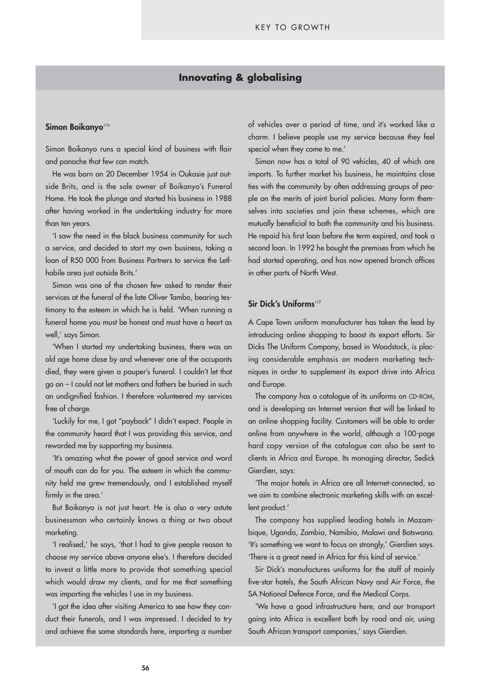## **Innovating & globalising**

#### **Simon Boikanyo**<sup>176</sup>

Simon Boikanyo runs a special kind of business with flair and panache that few can match.

He was born on 20 December 1954 in Oukasie just outside Brits, and is the sole owner of Boikanyo's Funeral Home. He took the plunge and started his business in 1988 after having worked in the undertaking industry for more than ten years.

'I saw the need in the black business community for such a service, and decided to start my own business, taking a loan of R50 000 from Business Partners to service the Letlhabile area just outside Brits.'

Simon was one of the chosen few asked to render their services at the funeral of the late Oliver Tambo, bearing testimony to the esteem in which he is held. 'When running a funeral home you must be honest and must have a heart as well,' says Simon.

'When I started my undertaking business, there was an old age home close by and whenever one of the occupants died, they were given a pauper's funeral. I couldn't let that go on – I could not let mothers and fathers be buried in such an undignified fashion. I therefore volunteered my services free of charge.

'Luckily for me, I got "payback" I didn't expect. People in the community heard that I was providing this service, and rewarded me by supporting my business.

'It's amazing what the power of good service and word of mouth can do for you. The esteem in which the community held me grew tremendously, and I established myself firmly in the area.'

But Boikanyo is not just heart. He is also a very astute businessman who certainly knows a thing or two about marketing.

'I realised,' he says, 'that I had to give people reason to choose my service above anyone else's. I therefore decided to invest a little more to provide that something special which would draw my clients, and for me that something was importing the vehicles I use in my business.

'I got the idea after visiting America to see how they conduct their funerals, and I was impressed. I decided to try and achieve the same standards here, importing a number of vehicles over a period of time, and it's worked like a charm. I believe people use my service because they feel special when they come to me.'

Simon now has a total of 90 vehicles, 40 of which are imports. To further market his business, he maintains close ties with the community by often addressing groups of people on the merits of joint burial policies. Many form themselves into societies and join these schemes, which are mutually beneficial to both the community and his business. He repaid his first loan before the term expired, and took a second loan. In 1992 he bought the premises from which he had started operating, and has now opened branch offices in other parts of North West.

#### **Sir Dick's Uniforms**<sup>177</sup>

A Cape Town uniform manufacturer has taken the lead by introducing online shopping to boost its export efforts. Sir Dicks The Uniform Company, based in Woodstock, is placing considerable emphasis on modern marketing techniques in order to supplement its export drive into Africa and Europe.

The company has a catalogue of its uniforms on CD-ROM, and is developing an Internet version that will be linked to an online shopping facility. Customers will be able to order online from anywhere in the world, although a 100-page hard copy version of the catalogue can also be sent to clients in Africa and Europe. Its managing director, Sedick Gierdien, says:

'The major hotels in Africa are all Internet-connected, so we aim to combine electronic marketing skills with an excellent product.'

The company has supplied leading hotels in Mozambique, Uganda, Zambia, Namibia, Malawi and Botswana. 'It's something we want to focus on strongly,' Gierdien says. 'There is a great need in Africa for this kind of service.'

Sir Dick's manufactures uniforms for the staff of mainly five-star hotels, the South African Navy and Air Force, the SA National Defence Force, and the Medical Corps.

'We have a good infrastructure here, and our transport going into Africa is excellent both by road and air, using South African transport companies,' says Gierdien.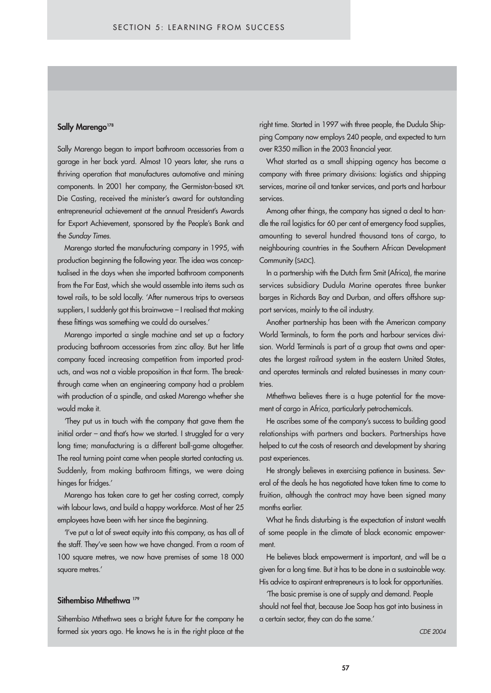#### Sally Marengo<sup>178</sup>

Sally Marengo began to import bathroom accessories from a garage in her back yard. Almost 10 years later, she runs a thriving operation that manufactures automotive and mining components. In 2001 her company, the Germiston-based KPL Die Casting, received the minister's award for outstanding entrepreneurial achievement at the annual President's Awards for Export Achievement, sponsored by the People's Bank and the *Sunday Times*.

Marengo started the manufacturing company in 1995, with production beginning the following year. The idea was conceptualised in the days when she imported bathroom components from the Far East, which she would assemble into items such as towel rails, to be sold locally. 'After numerous trips to overseas suppliers, I suddenly got this brainwave – I realised that making these fittings was something we could do ourselves.'

Marengo imported a single machine and set up a factory producing bathroom accessories from zinc alloy. But her little company faced increasing competition from imported products, and was not a viable proposition in that form. The breakthrough came when an engineering company had a problem with production of a spindle, and asked Marengo whether she would make it.

'They put us in touch with the company that gave them the initial order – and that's how we started. I struggled for a very long time; manufacturing is a different ball-game altogether. The real turning point came when people started contacting us. Suddenly, from making bathroom fittings, we were doing hinges for fridges.'

Marengo has taken care to get her costing correct, comply with labour laws, and build a happy workforce. Most of her 25 employees have been with her since the beginning.

'I've put a lot of sweat equity into this company, as has all of the staff. They've seen how we have changed. From a room of 100 square metres, we now have premises of some 18 000 square metres.'

#### Sithembiso Mthethwa<sup>179</sup>

Sithembiso Mthethwa sees a bright future for the company he formed six years ago. He knows he is in the right place at the

over R350 million in the 2003 financial year. right time. Started in 1997 with three people, the Dudula Shipping Company now employs 240 people, and expected to turn

What started as a small shipping agency has become a about emerging services, marine oil and tanker services, and ports and harbour company with three primary divisions: logistics and shipping services.

Among other things, the company has signed a deal to hanare the carriegence of the control energing tocometer expenses, to announting to several hundred thousand tons of cargo, to neighbouring countries in the Southern African Development dle the rail logistics for 60 per cent of emergency food supplies, Community (SADC).

In a partnership with the Dutch firm Smit (Africa), the marine services subsidiary Dudula Marine operates three bunker barges in Richards Bay and Durban, and offers offshore support services, mainly to the oil industry.

Another partnership has been with the American company World Terminals, to form the ports and harbour services division. World Terminals is part of a group that owns and operates the largest railroad system in the eastern United States, and operates terminals and related businesses in many countries.

Mthethwa believes there is a huge potential for the movement of cargo in Africa, particularly petrochemicals.

He ascribes some of the company's success to building good relationships with partners and backers. Partnerships have helped to cut the costs of research and development by sharing past experiences.

He strongly believes in exercising patience in business. Several of the deals he has negotiated have taken time to come to fruition, although the contract may have been signed many months earlier.

What he finds disturbing is the expectation of instant wealth of some people in the climate of black economic empowerment.

He believes black empowerment is important, and will be a given for a long time. But it has to be done in a sustainable way. His advice to aspirant entrepreneurs is to look for opportunities.

'The basic premise is one of supply and demand. People should not feel that, because Joe Soap has got into business in a certain sector, they can do the same.'

*CDE 2004*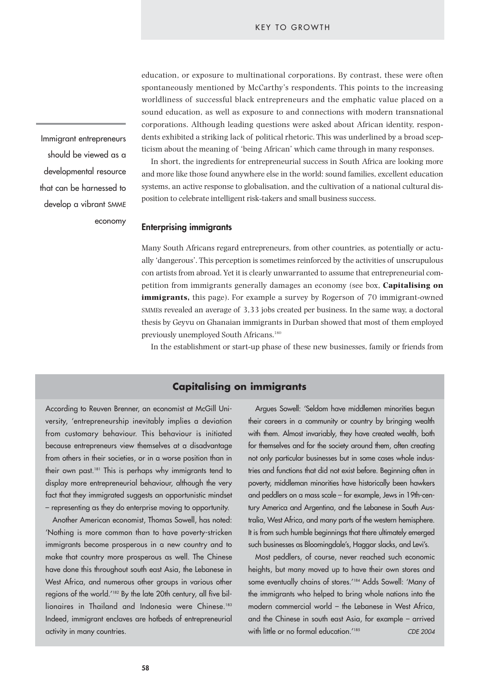education, or exposure to multinational corporations. By contrast, these were often spontaneously mentioned by McCarthy's respondents. This points to the increasing worldliness of successful black entrepreneurs and the emphatic value placed on a sound education, as well as exposure to and connections with modern transnational corporations. Although leading questions were asked about African identity, respondents exhibited a striking lack of political rhetoric. This was underlined by a broad scepticism about the meaning of 'being African' which came through in many responses.

In short, the ingredients for entrepreneurial success in South Africa are looking more and more like those found anywhere else in the world: sound families, excellent education systems, an active response to globalisation, and the cultivation of a national cultural disposition to celebrate intelligent risk-takers and small business success.

#### **Enterprising immigrants**

Many South Africans regard entrepreneurs, from other countries, as potentially or actually 'dangerous'. This perception is sometimes reinforced by the activities of unscrupulous con artists from abroad. Yet it is clearly unwarranted to assume that entrepreneurial competition from immigrants generally damages an economy (see box, **Capitalising on immigrants**, this page). For example a survey by Rogerson of 70 immigrant-owned SMMEs revealed an average of 3,33 jobs created per business. In the same way, a doctoral thesis by Geyvu on Ghanaian immigrants in Durban showed that most of them employed previously unemployed South Africans.180

In the establishment or start-up phase of these new businesses, family or friends from

## **Capitalising on immigrants**

According to Reuven Brenner, an economist at McGill University, 'entrepreneurship inevitably implies a deviation from customary behaviour. This behaviour is initiated because entrepreneurs view themselves at a disadvantage from others in their societies, or in a worse position than in their own past.181 This is perhaps why immigrants tend to display more entrepreneurial behaviour, although the very fact that they immigrated suggests an opportunistic mindset – representing as they do enterprise moving to opportunity.

Another American economist, Thomas Sowell, has noted: 'Nothing is more common than to have poverty-stricken immigrants become prosperous in a new country and to make that country more prosperous as well. The Chinese have done this throughout south east Asia, the Lebanese in West Africa, and numerous other groups in various other regions of the world.'182 By the late 20th century, all five billionaires in Thailand and Indonesia were Chinese.<sup>183</sup> Indeed, immigrant enclaves are hotbeds of entrepreneurial activity in many countries.

Argues Sowell: 'Seldom have middlemen minorities begun their careers in a community or country by bringing wealth with them. Almost invariably, they have created wealth, both for themselves and for the society around them, often creating not only particular businesses but in some cases whole industries and functions that did not exist before. Beginning often in poverty, middleman minorities have historically been hawkers and peddlers on a mass scale – for example, Jews in 19th-century America and Argentina, and the Lebanese in South Australia, West Africa, and many parts of the western hemisphere. It is from such humble beginnings that there ultimately emerged such businesses as Bloomingdale's, Haggar slacks, and Levi's.

Most peddlers, of course, never reached such economic heights, but many moved up to have their own stores and some eventually chains of stores.'184 Adds Sowell: 'Many of the immigrants who helped to bring whole nations into the modern commercial world – the Lebanese in West Africa, and the Chinese in south east Asia, for example – arrived with little or no formal education.<sup>'185</sup> *CDE 2004* 

Immigrant entrepreneurs should be viewed as a developmental resource that can be harnessed to develop a vibrant SMME economy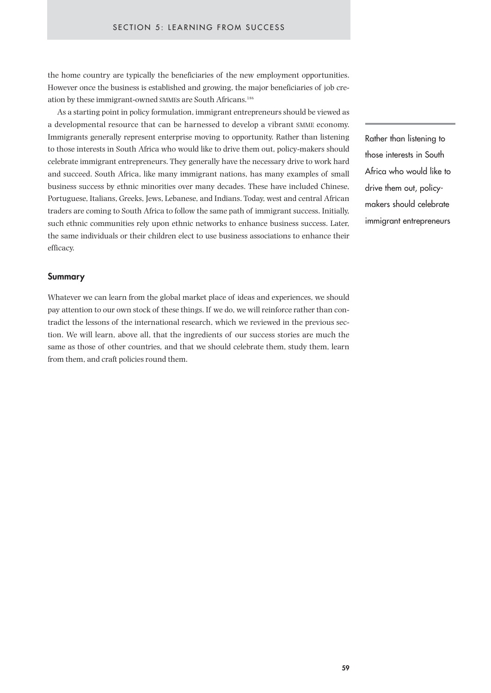the home country are typically the beneficiaries of the new employment opportunities. However once the business is established and growing, the major beneficiaries of job creation by these immigrant-owned SMMEs are South Africans.186

As a starting point in policy formulation, immigrant entrepreneurs should be viewed as a developmental resource that can be harnessed to develop a vibrant SMME economy. Immigrants generally represent enterprise moving to opportunity. Rather than listening to those interests in South Africa who would like to drive them out, policy-makers should celebrate immigrant entrepreneurs. They generally have the necessary drive to work hard and succeed. South Africa, like many immigrant nations, has many examples of small business success by ethnic minorities over many decades. These have included Chinese, Portuguese, Italians, Greeks, Jews, Lebanese, and Indians. Today, west and central African traders are coming to South Africa to follow the same path of immigrant success. Initially, such ethnic communities rely upon ethnic networks to enhance business success. Later, the same individuals or their children elect to use business associations to enhance their efficacy.

#### **Summary**

Whatever we can learn from the global market place of ideas and experiences, we should pay attention to our own stock of these things. If we do, we will reinforce rather than contradict the lessons of the international research, which we reviewed in the previous section. We will learn, above all, that the ingredients of our success stories are much the same as those of other countries, and that we should celebrate them, study them, learn from them, and craft policies round them.

Rather than listening to those interests in South Africa who would like to drive them out, policymakers should celebrate immigrant entrepreneurs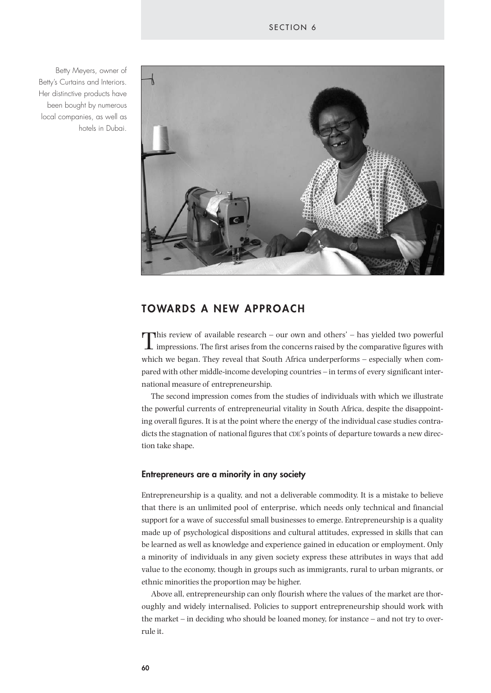



# **TOWARDS A NEW APPROACH**

This review of available research – our own and others' – has yielded two powerful  $\perp$  impressions. The first arises from the concerns raised by the comparative figures with which we began. They reveal that South Africa underperforms – especially when compared with other middle-income developing countries – in terms of every significant international measure of entrepreneurship.

The second impression comes from the studies of individuals with which we illustrate the powerful currents of entrepreneurial vitality in South Africa, despite the disappointing overall figures. It is at the point where the energy of the individual case studies contradicts the stagnation of national figures that CDE's points of departure towards a new direction take shape.

#### **Entrepreneurs are a minority in any society**

Entrepreneurship is a quality, and not a deliverable commodity. It is a mistake to believe that there is an unlimited pool of enterprise, which needs only technical and financial support for a wave of successful small businesses to emerge. Entrepreneurship is a quality made up of psychological dispositions and cultural attitudes, expressed in skills that can be learned as well as knowledge and experience gained in education or employment. Only a minority of individuals in any given society express these attributes in ways that add value to the economy, though in groups such as immigrants, rural to urban migrants, or ethnic minorities the proportion may be higher.

Above all, entrepreneurship can only flourish where the values of the market are thoroughly and widely internalised. Policies to support entrepreneurship should work with the market – in deciding who should be loaned money, for instance – and not try to overrule it.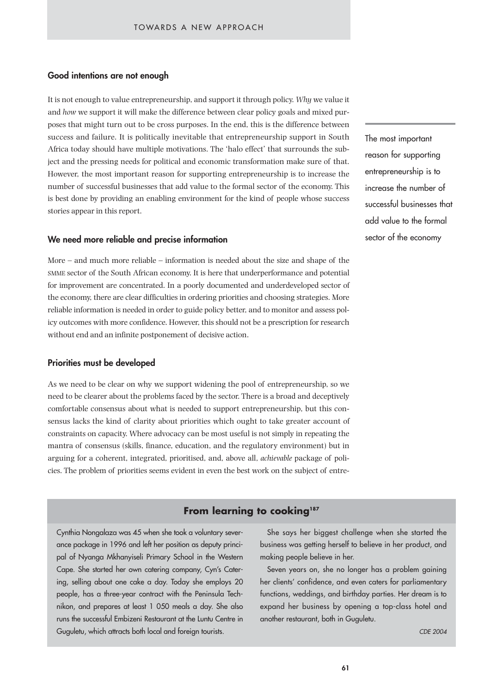## **Good intentions are not enough**

It is not enough to value entrepreneurship, and support it through policy. *Why* we value it and *how* we support it will make the difference between clear policy goals and mixed purposes that might turn out to be cross purposes. In the end, this is the difference between success and failure. It is politically inevitable that entrepreneurship support in South Africa today should have multiple motivations. The 'halo effect' that surrounds the subject and the pressing needs for political and economic transformation make sure of that. However, the most important reason for supporting entrepreneurship is to increase the number of successful businesses that add value to the formal sector of the economy. This is best done by providing an enabling environment for the kind of people whose success stories appear in this report.

#### **We need more reliable and precise information**

More – and much more reliable – information is needed about the size and shape of the SMME sector of the South African economy. It is here that underperformance and potential for improvement are concentrated. In a poorly documented and underdeveloped sector of the economy, there are clear difficulties in ordering priorities and choosing strategies. More reliable information is needed in order to guide policy better, and to monitor and assess policy outcomes with more confidence. However, this should not be a prescription for research without end and an infinite postponement of decisive action.

## **Priorities must be developed**

As we need to be clear on why we support widening the pool of entrepreneurship, so we need to be clearer about the problems faced by the sector. There is a broad and deceptively comfortable consensus about what is needed to support entrepreneurship, but this consensus lacks the kind of clarity about priorities which ought to take greater account of constraints on capacity. Where advocacy can be most useful is not simply in repeating the mantra of consensus (skills, finance, education, and the regulatory environment) but in arguing for a coherent, integrated, prioritised, and, above all, *achievable* package of policies. The problem of priorities seems evident in even the best work on the subject of entre-

# **From learning to cooking187**

Cynthia Nongalaza was 45 when she took a voluntary severance package in 1996 and left her position as deputy principal of Nyanga Mkhanyiseli Primary School in the Western Cape. She started her own catering company, Cyn's Catering, selling about one cake a day. Today she employs 20 people, has a three-year contract with the Peninsula Technikon, and prepares at least 1 050 meals a day. She also runs the successful Embizeni Restaurant at the Luntu Centre in Guguletu, which attracts both local and foreign tourists.

The most important reason for supporting entrepreneurship is to increase the number of successful businesses that add value to the formal sector of the economy

She says her biggest challenge when she started the business was getting herself to believe in her product, and making people believe in her.

Seven years on, she no longer has a problem gaining her clients' confidence, and even caters for parliamentary functions, weddings, and birthday parties. Her dream is to expand her business by opening a top-class hotel and another restaurant, both in Guguletu.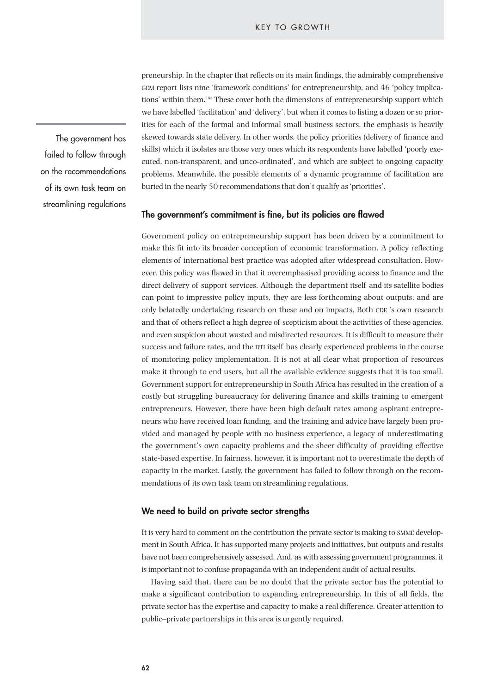preneurship. In the chapter that reflects on its main findings, the admirably comprehensive GEM report lists nine 'framework conditions' for entrepreneurship, and 46 'policy implications' within them.188 These cover both the dimensions of entrepreneurship support which we have labelled 'facilitation' and 'delivery', but when it comes to listing a dozen or so priorities for each of the formal and informal small business sectors, the emphasis is heavily skewed towards state delivery. In other words, the policy priorities (delivery of finance and skills) which it isolates are those very ones which its respondents have labelled 'poorly executed, non-transparent, and unco-ordinated', and which are subject to ongoing capacity problems. Meanwhile, the possible elements of a dynamic programme of facilitation are buried in the nearly 50 recommendations that don't qualify as 'priorities'.

#### **The government's commitment is fine, but its policies are flawed**

Government policy on entrepreneurship support has been driven by a commitment to make this fit into its broader conception of economic transformation. A policy reflecting elements of international best practice was adopted after widespread consultation. However, this policy was flawed in that it overemphasised providing access to finance and the direct delivery of support services. Although the department itself and its satellite bodies can point to impressive policy inputs, they are less forthcoming about outputs, and are only belatedly undertaking research on these and on impacts. Both CDE 's own research and that of others reflect a high degree of scepticism about the activities of these agencies, and even suspicion about wasted and misdirected resources. It is difficult to measure their success and failure rates, and the DTI itself has clearly experienced problems in the course of monitoring policy implementation. It is not at all clear what proportion of resources make it through to end users, but all the available evidence suggests that it is too small. Government support for entrepreneurship in South Africa has resulted in the creation of a costly but struggling bureaucracy for delivering finance and skills training to emergent entrepreneurs. However, there have been high default rates among aspirant entrepreneurs who have received loan funding, and the training and advice have largely been provided and managed by people with no business experience, a legacy of underestimating the government's own capacity problems and the sheer difficulty of providing effective state-based expertise. In fairness, however, it is important not to overestimate the depth of capacity in the market. Lastly, the government has failed to follow through on the recommendations of its own task team on streamlining regulations.

### **We need to build on private sector strengths**

It is very hard to comment on the contribution the private sector is making to SMME development in South Africa. It has supported many projects and initiatives, but outputs and results have not been comprehensively assessed. And, as with assessing government programmes, it is important not to confuse propaganda with an independent audit of actual results.

Having said that, there can be no doubt that the private sector has the potential to make a significant contribution to expanding entrepreneurship. In this of all fields, the private sector has the expertise and capacity to make a real difference. Greater attention to public–private partnerships in this area is urgently required.

The government has failed to follow through on the recommendations of its own task team on streamlining regulations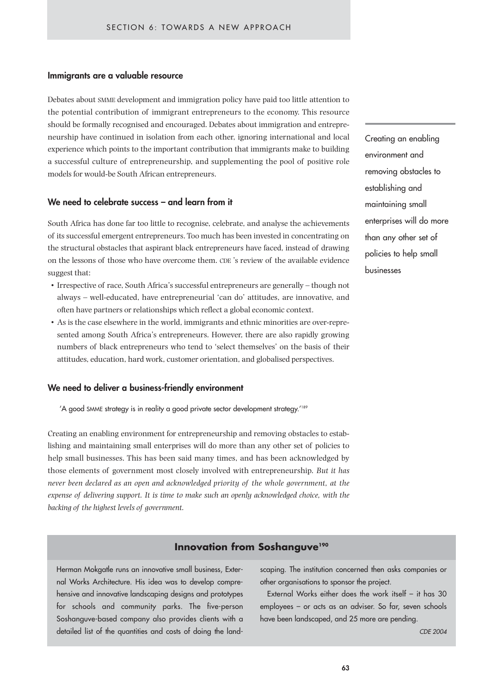## **Immigrants are a valuable resource**

Debates about SMME development and immigration policy have paid too little attention to the potential contribution of immigrant entrepreneurs to the economy. This resource should be formally recognised and encouraged. Debates about immigration and entrepreneurship have continued in isolation from each other, ignoring international and local experience which points to the important contribution that immigrants make to building a successful culture of entrepreneurship, and supplementing the pool of positive role models for would-be South African entrepreneurs.

## **We need to celebrate success – and learn from it**

South Africa has done far too little to recognise, celebrate, and analyse the achievements of its successful emergent entrepreneurs. Too much has been invested in concentrating on the structural obstacles that aspirant black entrepreneurs have faced, instead of drawing on the lessons of those who have overcome them. CDE 's review of the available evidence suggest that:

- Irrespective of race, South Africa's successful entrepreneurs are generally though not always – well-educated, have entrepreneurial 'can do' attitudes, are innovative, and often have partners or relationships which reflect a global economic context.
- As is the case elsewhere in the world, immigrants and ethnic minorities are over-represented among South Africa's entrepreneurs. However, there are also rapidly growing numbers of black entrepreneurs who tend to 'select themselves' on the basis of their attitudes, education, hard work, customer orientation, and globalised perspectives.

## **We need to deliver a business-friendly environment**

'A good SMME strategy is in reality a good private sector development strategy.'189

Creating an enabling environment for entrepreneurship and removing obstacles to establishing and maintaining small enterprises will do more than any other set of policies to help small businesses. This has been said many times, and has been acknowledged by those elements of government most closely involved with entrepreneurship. *But it has never been declared as an open and acknowledged priority of the whole government, at the expense of delivering support. It is time to make such an openly acknowledged choice, with the backing of the highest levels of government.*

Creating an enabling environment and removing obstacles to establishing and maintaining small enterprises will do more than any other set of policies to help small businesses

## **Innovation from Soshanguve<sup>190</sup>**

Herman Mokgatle runs an innovative small business, External Works Architecture. His idea was to develop comprehensive and innovative landscaping designs and prototypes for schools and community parks. The five-person Soshanguve-based company also provides clients with a detailed list of the quantities and costs of doing the landscaping. The institution concerned then asks companies or other organisations to sponsor the project.

External Works either does the work itself – it has 30 employees – or acts as an adviser. So far, seven schools have been landscaped, and 25 more are pending.

*CDE 2004*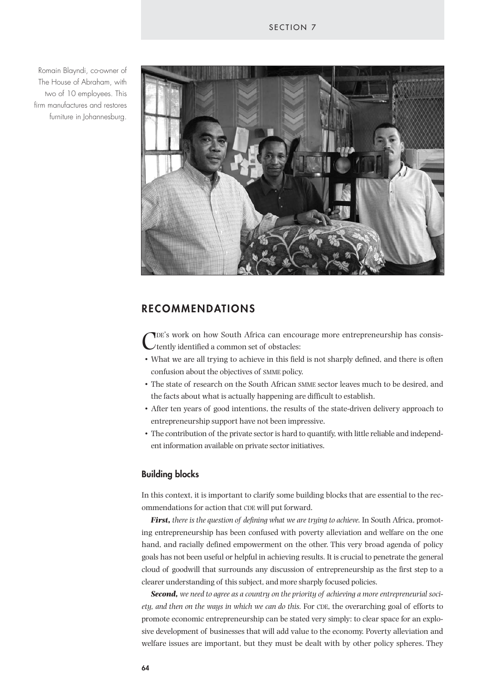Romain Blayndi, co-owner of The House of Abraham, with two of 10 employees. This firm manufactures and restores furniture in Johannesburg.



# **RECOMMENDATIONS**

TDE's work on how South Africa can encourage more entrepreneurship has consistently identified a common set of obstacles:

- What we are all trying to achieve in this field is not sharply defined, and there is often confusion about the objectives of SMME policy.
- The state of research on the South African SMME sector leaves much to be desired, and the facts about what is actually happening are difficult to establish.
- After ten years of good intentions, the results of the state-driven delivery approach to entrepreneurship support have not been impressive.
- The contribution of the private sector is hard to quantify, with little reliable and independent information available on private sector initiatives.

### **Building blocks**

In this context, it is important to clarify some building blocks that are essential to the recommendations for action that CDE will put forward.

*First, there is the question of defining what we are trying to achieve.* In South Africa, promoting entrepreneurship has been confused with poverty alleviation and welfare on the one hand, and racially defined empowerment on the other. This very broad agenda of policy goals has not been useful or helpful in achieving results. It is crucial to penetrate the general cloud of goodwill that surrounds any discussion of entrepreneurship as the first step to a clearer understanding of this subject, and more sharply focused policies.

*Second, we need to agree as a country on the priority of achieving a more entrepreneurial society, and then on the ways in which we can do this.* For CDE, the overarching goal of efforts to promote economic entrepreneurship can be stated very simply: to clear space for an explosive development of businesses that will add value to the economy. Poverty alleviation and welfare issues are important, but they must be dealt with by other policy spheres. They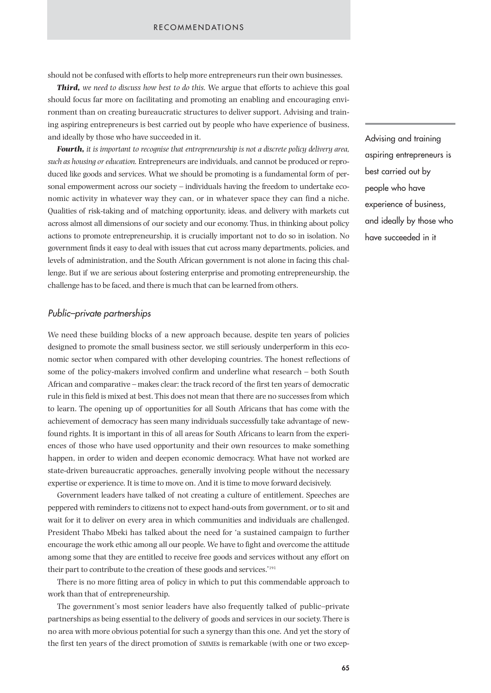should not be confused with efforts to help more entrepreneurs run their own businesses.

*Third, we need to discuss how best to do this.* We argue that efforts to achieve this goal should focus far more on facilitating and promoting an enabling and encouraging environment than on creating bureaucratic structures to deliver support. Advising and training aspiring entrepreneurs is best carried out by people who have experience of business, and ideally by those who have succeeded in it.

*Fourth, it is important to recognise that entrepreneurship is not a discrete policy delivery area, such as housing or education.* Entrepreneurs are individuals, and cannot be produced or reproduced like goods and services. What we should be promoting is a fundamental form of personal empowerment across our society – individuals having the freedom to undertake economic activity in whatever way they can, or in whatever space they can find a niche. Qualities of risk-taking and of matching opportunity, ideas, and delivery with markets cut across almost all dimensions of our society and our economy. Thus, in thinking about policy actions to promote entrepreneurship, it is crucially important not to do so in isolation. No government finds it easy to deal with issues that cut across many departments, policies, and levels of administration, and the South African government is not alone in facing this challenge. But if we are serious about fostering enterprise and promoting entrepreneurship, the challenge has to be faced, and there is much that can be learned from others.

### *Public–private partnerships*

We need these building blocks of a new approach because, despite ten years of policies designed to promote the small business sector, we still seriously underperform in this economic sector when compared with other developing countries. The honest reflections of some of the policy-makers involved confirm and underline what research – both South African and comparative – makes clear: the track record of the first ten years of democratic rule in this field is mixed at best. This does not mean that there are no successes from which to learn. The opening up of opportunities for all South Africans that has come with the achievement of democracy has seen many individuals successfully take advantage of newfound rights. It is important in this of all areas for South Africans to learn from the experiences of those who have used opportunity and their own resources to make something happen, in order to widen and deepen economic democracy. What have not worked are state-driven bureaucratic approaches, generally involving people without the necessary expertise or experience. It is time to move on. And it is time to move forward decisively.

Government leaders have talked of not creating a culture of entitlement. Speeches are peppered with reminders to citizens not to expect hand-outs from government, or to sit and wait for it to deliver on every area in which communities and individuals are challenged. President Thabo Mbeki has talked about the need for 'a sustained campaign to further encourage the work ethic among all our people. We have to fight and overcome the attitude among some that they are entitled to receive free goods and services without any effort on their part to contribute to the creation of these goods and services.'191

There is no more fitting area of policy in which to put this commendable approach to work than that of entrepreneurship.

The government's most senior leaders have also frequently talked of public–private partnerships as being essential to the delivery of goods and services in our society. There is no area with more obvious potential for such a synergy than this one. And yet the story of the first ten years of the direct promotion of SMMEs is remarkable (with one or two excepAdvising and training aspiring entrepreneurs is best carried out by people who have experience of business, and ideally by those who have succeeded in it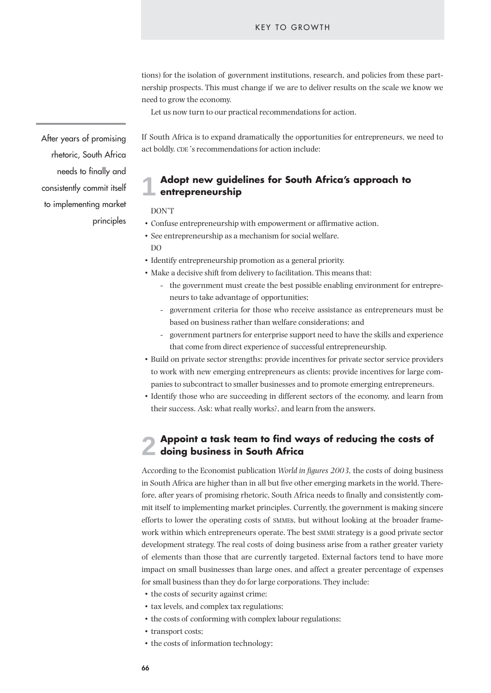tions) for the isolation of government institutions, research, and policies from these partnership prospects. This must change if we are to deliver results on the scale we know we need to grow the economy.

Let us now turn to our practical recommendations for action.

If South Africa is to expand dramatically the opportunities for entrepreneurs, we need to act boldly. CDE 's recommendations for action include:

#### **Adopt new guidelines for South Africa's approach to entrepreneurship 1**

DON'T

- Confuse entrepreneurship with empowerment or affirmative action.
- See entrepreneurship as a mechanism for social welfare. DO
- Identify entrepreneurship promotion as a general priority.
- Make a decisive shift from delivery to facilitation. This means that:
	- the government must create the best possible enabling environment for entrepreneurs to take advantage of opportunities;
	- government criteria for those who receive assistance as entrepreneurs must be based on business rather than welfare considerations; and
	- government partners for enterprise support need to have the skills and experience that come from direct experience of successful entrepreneurship.
- Build on private sector strengths: provide incentives for private sector service providers to work with new emerging entrepreneurs as clients; provide incentives for large companies to subcontract to smaller businesses and to promote emerging entrepreneurs.
- Identify those who are succeeding in different sectors of the economy, and learn from their success. Ask: what really works?, and learn from the answers.

#### **Appoint a task team to find ways of reducing the costs of doing business in South Africa 2**

According to the Economist publication *World in figures 2003,* the costs of doing business in South Africa are higher than in all but five other emerging markets in the world. Therefore, after years of promising rhetoric, South Africa needs to finally and consistently commit itself to implementing market principles. Currently, the government is making sincere efforts to lower the operating costs of SMMEs, but without looking at the broader framework within which entrepreneurs operate. The best SMME strategy is a good private sector development strategy. The real costs of doing business arise from a rather greater variety of elements than those that are currently targeted. External factors tend to have more impact on small businesses than large ones, and affect a greater percentage of expenses for small business than they do for large corporations. They include:

- the costs of security against crime;
- tax levels, and complex tax regulations;
- the costs of conforming with complex labour regulations;
- transport costs;
- the costs of information technology;

After years of promising rhetoric, South Africa needs to finally and consistently commit itself to implementing market principles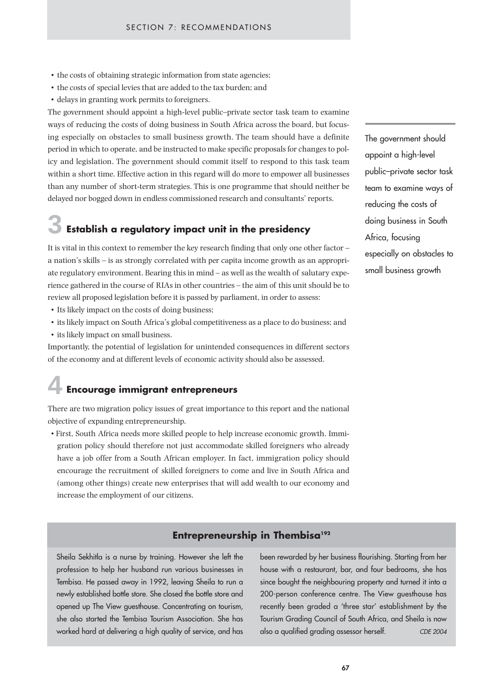- the costs of obtaining strategic information from state agencies;
- the costs of special levies that are added to the tax burden; and
- delays in granting work permits to foreigners.

The government should appoint a high-level public–private sector task team to examine ways of reducing the costs of doing business in South Africa across the board, but focusing especially on obstacles to small business growth. The team should have a definite period in which to operate, and be instructed to make specific proposals for changes to policy and legislation. The government should commit itself to respond to this task team within a short time. Effective action in this regard will do more to empower all businesses than any number of short-term strategies. This is one programme that should neither be delayed nor bogged down in endless commissioned research and consultants' reports.

# **Establish a regulatory impact unit in the presidency 3**

It is vital in this context to remember the key research finding that only one other factor – a nation's skills – is as strongly correlated with per capita income growth as an appropriate regulatory environment. Bearing this in mind – as well as the wealth of salutary experience gathered in the course of RIAs in other countries – the aim of this unit should be to review all proposed legislation before it is passed by parliament, in order to assess:

- Its likely impact on the costs of doing business;
- its likely impact on South Africa's global competitiveness as a place to do business; and
- its likely impact on small business.

Importantly, the potential of legislation for unintended consequences in different sectors of the economy and at different levels of economic activity should also be assessed.

# **Encourage immigrant entrepreneurs 4**

There are two migration policy issues of great importance to this report and the national objective of expanding entrepreneurship.

• First, South Africa needs more skilled people to help increase economic growth. Immigration policy should therefore not just accommodate skilled foreigners who already have a job offer from a South African employer. In fact, immigration policy should encourage the recruitment of skilled foreigners to come and live in South Africa and (among other things) create new enterprises that will add wealth to our economy and increase the employment of our citizens.

# **Entrepreneurship in Thembisa<sup>192</sup>**

Sheila Sekhitla is a nurse by training. However she left the profession to help her husband run various businesses in Tembisa. He passed away in 1992, leaving Sheila to run a newly established bottle store. She closed the bottle store and opened up The View guesthouse. Concentrating on tourism, she also started the Tembisa Tourism Association. She has worked hard at delivering a high quality of service, and has been rewarded by her business flourishing. Starting from her house with a restaurant, bar, and four bedrooms, she has since bought the neighbouring property and turned it into a 200-person conference centre. The View guesthouse has recently been graded a 'three star' establishment by the Tourism Grading Council of South Africa, and Sheila is now also a qualified grading assessor herself. *CDE 2004*

The government should appoint a high-level public–private sector task team to examine ways of reducing the costs of doing business in South Africa, focusing especially on obstacles to small business growth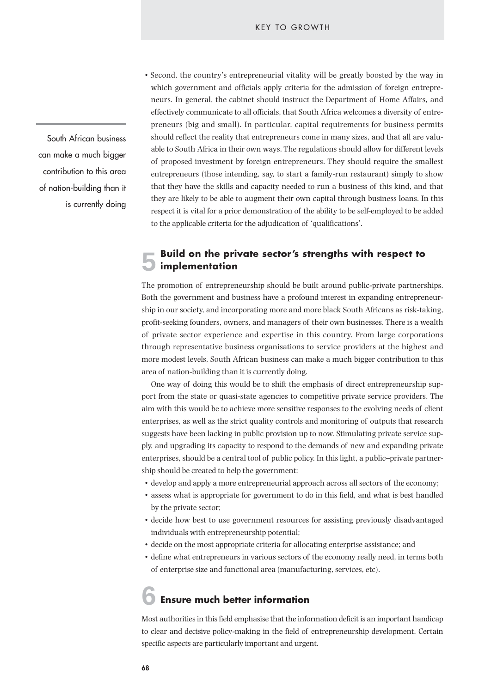• Second, the country's entrepreneurial vitality will be greatly boosted by the way in which government and officials apply criteria for the admission of foreign entrepreneurs. In general, the cabinet should instruct the Department of Home Affairs, and effectively communicate to all officials, that South Africa welcomes a diversity of entrepreneurs (big and small). In particular, capital requirements for business permits should reflect the reality that entrepreneurs come in many sizes, and that all are valuable to South Africa in their own ways. The regulations should allow for different levels of proposed investment by foreign entrepreneurs. They should require the smallest entrepreneurs (those intending, say, to start a family-run restaurant) simply to show that they have the skills and capacity needed to run a business of this kind, and that they are likely to be able to augment their own capital through business loans. In this respect it is vital for a prior demonstration of the ability to be self-employed to be added to the applicable criteria for the adjudication of 'qualifications'.

#### **Build on the private sector's strengths with respect to implementation 5**

The promotion of entrepreneurship should be built around public-private partnerships. Both the government and business have a profound interest in expanding entrepreneurship in our society, and incorporating more and more black South Africans as risk-taking, profit-seeking founders, owners, and managers of their own businesses. There is a wealth of private sector experience and expertise in this country. From large corporations through representative business organisations to service providers at the highest and more modest levels, South African business can make a much bigger contribution to this area of nation-building than it is currently doing.

One way of doing this would be to shift the emphasis of direct entrepreneurship support from the state or quasi-state agencies to competitive private service providers. The aim with this would be to achieve more sensitive responses to the evolving needs of client enterprises, as well as the strict quality controls and monitoring of outputs that research suggests have been lacking in public provision up to now. Stimulating private service supply, and upgrading its capacity to respond to the demands of new and expanding private enterprises, should be a central tool of public policy. In this light, a public–private partnership should be created to help the government:

- develop and apply a more entrepreneurial approach across all sectors of the economy;
- assess what is appropriate for government to do in this field, and what is best handled by the private sector;
- decide how best to use government resources for assisting previously disadvantaged individuals with entrepreneurship potential;
- decide on the most appropriate criteria for allocating enterprise assistance; and
- define what entrepreneurs in various sectors of the economy really need, in terms both of enterprise size and functional area (manufacturing, services, etc).

# **Ensure much better information 6**

Most authorities in this field emphasise that the information deficit is an important handicap to clear and decisive policy-making in the field of entrepreneurship development. Certain specific aspects are particularly important and urgent.

South African business can make a much bigger contribution to this area of nation-building than it is currently doing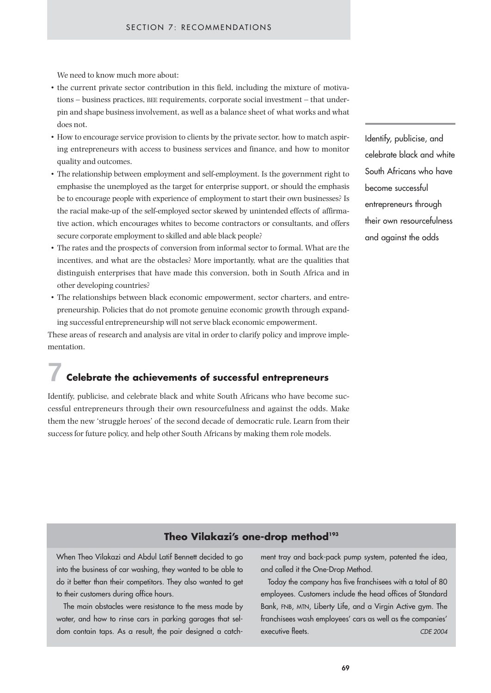We need to know much more about:

- the current private sector contribution in this field, including the mixture of motivations – business practices, BEE requirements, corporate social investment – that underpin and shape business involvement, as well as a balance sheet of what works and what does not.
- How to encourage service provision to clients by the private sector, how to match aspiring entrepreneurs with access to business services and finance, and how to monitor quality and outcomes.
- The relationship between employment and self-employment. Is the government right to emphasise the unemployed as the target for enterprise support, or should the emphasis be to encourage people with experience of employment to start their own businesses? Is the racial make-up of the self-employed sector skewed by unintended effects of affirmative action, which encourages whites to become contractors or consultants, and offers secure corporate employment to skilled and able black people?
- The rates and the prospects of conversion from informal sector to formal. What are the incentives, and what are the obstacles? More importantly, what are the qualities that distinguish enterprises that have made this conversion, both in South Africa and in other developing countries?
- The relationships between black economic empowerment, sector charters, and entrepreneurship. Policies that do not promote genuine economic growth through expanding successful entrepreneurship will not serve black economic empowerment.

These areas of research and analysis are vital in order to clarify policy and improve implementation.

# **Celebrate the achievements of successful entrepreneurs 7**

Identify, publicise, and celebrate black and white South Africans who have become successful entrepreneurs through their own resourcefulness and against the odds. Make them the new 'struggle heroes' of the second decade of democratic rule. Learn from their success for future policy, and help other South Africans by making them role models.

Identify, publicise, and celebrate black and white South Africans who have become successful entrepreneurs through their own resourcefulness and against the odds

## **Theo Vilakazi's one-drop method193**

When Theo Vilakazi and Abdul Latif Bennett decided to go into the business of car washing, they wanted to be able to do it better than their competitors. They also wanted to get to their customers during office hours.

The main obstacles were resistance to the mess made by water, and how to rinse cars in parking garages that seldom contain taps. As a result, the pair designed a catchment tray and back-pack pump system, patented the idea, and called it the One-Drop Method.

Today the company has five franchisees with a total of 80 employees. Customers include the head offices of Standard Bank, FNB, MTN, Liberty Life, and a Virgin Active gym. The franchisees wash employees' cars as well as the companies' executive fleets. *CDE 2004*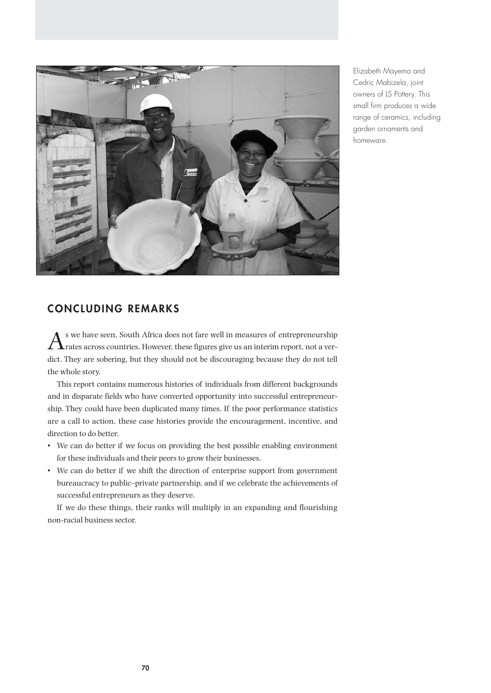

Elizabeth Mayema and Cedric Mabizela, joint owners of LS Pottery. This small firm produces a wide range of ceramics, including garden ornaments and homeware.

# **CONCLUDING REMARKS**

 $A$ <sup>s</sup> we have seen, South Africa does not fare well in measures of entrepreneurship<br>Trates across countries. However, these figures give us an interim report, not a verdict. They are sobering, but they should not be discouraging because they do not tell the whole story.

This report contains numerous histories of individuals from different backgrounds and in disparate fields who have converted opportunity into successful entrepreneurship. They could have been duplicated many times. If the poor performance statistics are a call to action, these case histories provide the encouragement, incentive, and direction to do better.

- We can do better if we focus on providing the best possible enabling environment for these individuals and their peers to grow their businesses.
- We can do better if we shift the direction of enterprise support from government bureaucracy to public–private partnership, and if we celebrate the achievements of successful entrepreneurs as they deserve.

If we do these things, their ranks will multiply in an expanding and flourishing non-racial business sector.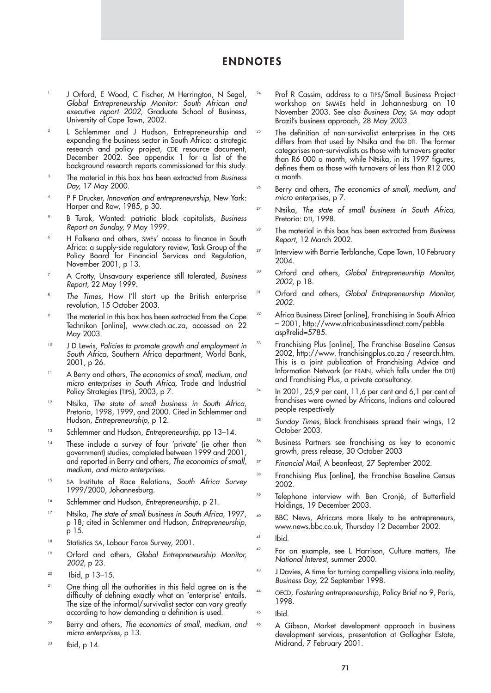# **ENDNOTES**

- J Orford, E Wood, C Fischer, M Herrington, N Segal, *Global Entrepreneurship Monitor: South African and executive report 2002,* Graduate School of Business, University of Cape Town, 2002.
- <sup>2</sup> L Schlemmer and J Hudson, Entrepreneurship and expanding the business sector in South Africa: a strategic research and policy project, CDE resource document, December 2002. See appendix 1 for a list of the background research reports commissioned for this study.
- <sup>3</sup> The material in this box has been extracted from *Business Day,* 17 May 2000.
- <sup>4</sup> P F Drucker, *Innovation and entrepreneurship,* New York: Harper and Row, 1985, p 30.
- <sup>5</sup> B Turok, Wanted: patriotic black capitalists, *Business Report on Sunday,* 9 May 1999.
- H Falkena and others, SMEs' access to finance in South Africa: a supply-side regulatory review, Task Group of the Policy Board for Financial Services and Regulation, November 2001, p 13.
- <sup>7</sup> A Crotty, Unsavoury experience still tolerated, *Business Report,* 22 May 1999.
- <sup>8</sup> *The Times,* How I'll start up the British enterprise revolution, 15 October 2003.
- The material in this box has been extracted from the Cape Technikon [online], www.ctech.ac.za, accessed on 22 May 2003.
- <sup>10</sup> J D Lewis, *Policies to promote growth and employment in South Africa,* Southern Africa department, World Bank, 2001, p 26.
- <sup>11</sup> A Berry and others, *The economics of small, medium, and micro enterprises in South Africa,* Trade and Industrial Policy Strategies (TIPS), 2003, p 7.
- <sup>12</sup> Ntsika, *The state of small business in South Africa,* Pretoria, 1998, 1999, and 2000. Cited in Schlemmer and Hudson, *Entrepreneurship,* p 12.
- <sup>13</sup> Schlemmer and Hudson, *Entrepreneurship,* pp 13–14.
- <sup>14</sup> These include a survey of four 'private' (ie other than government) studies, completed between 1999 and 2001, and reported in Berry and others, *The economics of small, medium, and micro enterprises.*
- <sup>15</sup> SA Institute of Race Relations, *South Africa Survey* 1999/2000, Johannesburg.
- <sup>16</sup> Schlemmer and Hudson, *Entrepreneurship*, p 21.
- <sup>17</sup> Ntsika, *The state of small business in South Africa,* 1997, p 18; cited in Schlemmer and Hudson, *Entrepreneurship*, p 15.
- <sup>18</sup> Statistics SA, Labour Force Survey, 2001.
- <sup>19</sup> Orford and others, *Global Entrepreneurship Monitor, 2002,* p 23.
- $20$  Ibid, p  $13-15$ .
- <sup>21</sup> One thing all the authorities in this field agree on is the difficulty of defining exactly what an 'enterprise' entails. The size of the informal/survivalist sector can vary greatly according to how demanding a definition is used.
- <sup>22</sup> Berry and others, *The economics of small, medium, and micro enterprises,* p 13.
- $23$  Ibid, p 14.
- <sup>24</sup> Prof R Cassim, address to a TIPS/Small Business Project workshop on SMMEs held in Johannesburg on 10 November 2003. See also *Business Day,* SA may adopt Brazil's business approach, 28 May 2003.
- <sup>25</sup> The definition of non-survivalist enterprises in the OHS differs from that used by Ntsika and the DTI. The former categorises non-survivalists as those with turnovers greater than R6 000 a month, while Ntsika, in its 1997 figures, defines them as those with turnovers of less than R12 000 a month.
- <sup>26</sup> Berry and others, *The economics of small, medium, and micro enterprises,* p 7.
- <sup>27</sup> Ntsika, *The state of small business in South Africa,* Pretoria: DTI, 1998.
- <sup>28</sup> The material in this box has been extracted from *Business Report,* 12 March 2002.
- <sup>29</sup> Interview with Barrie Terblanche, Cape Town, 10 February 2004.
- <sup>30</sup> Orford and others, *Global Entrepreneurship Monitor, 2002,* p 18.
- <sup>31</sup> Orford and others, *Global Entrepreneurship Monitor, 2002*.
- <sup>32</sup> Africa Business Direct [online], Franchising in South Africa – 2001, http://www.africabusinessdirect.com/pebble. asp?relid=5785.
- <sup>33</sup> Franchising Plus [online], The Franchise Baseline Census 2002, http://www. franchisingplus.co.za / research.htm. This is a joint publication of Franchising Advice and Information Network (or FRAIN, which falls under the DTI) and Franchising Plus, a private consultancy.
- <sup>34</sup> In 2001, 25,9 per cent, 11,6 per cent and 6,1 per cent of franchises were owned by Africans, Indians and coloured people respectively
- <sup>35</sup> *Sunday Times,* Black franchisees spread their wings, 12 October 2003.
- <sup>36</sup> Business Partners see franchising as key to economic growth, press release, 30 October 2003
- <sup>37</sup> *Financial Mail,* A beanfeast, 27 September 2002.
- <sup>38</sup> Franchising Plus [online], the Franchise Baseline Census 2002.
- <sup>39</sup> Telephone interview with Ben Cronjé, of Butterfield Holdings, 19 December 2003.
- <sup>40</sup> BBC News, Africans more likely to be entrepreneurs, www.news.bbc.co.uk, Thursday 12 December 2002.
- $41$  Ibid.
- <sup>42</sup> For an example, see L Harrison, Culture matters, *The National Interest,* summer 2000.
- <sup>43</sup> J Davies, A time for turning compelling visions into reality, *Business Day,* 22 September 1998.
- <sup>44</sup> OECD, *Fostering entrepreneurship,* Policy Brief no 9, Paris, 1998.
- $45$  Ibid.
- <sup>46</sup> A Gibson, Market development approach in business development services, presentation at Gallagher Estate, Midrand, 7 February 2001.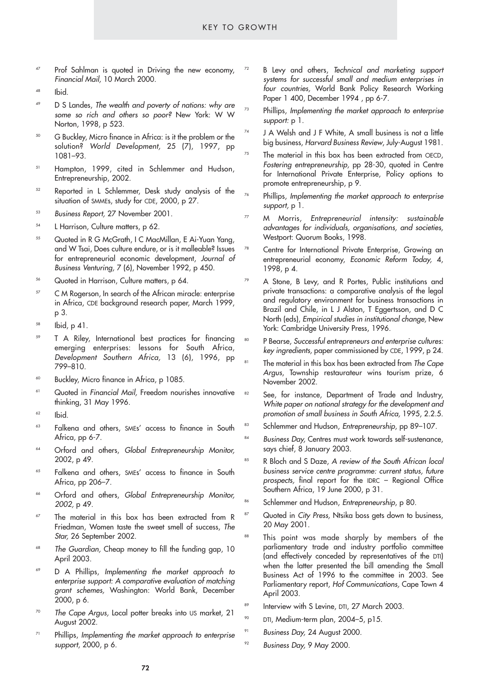- <sup>47</sup> Prof Sahlman is quoted in Driving the new economy, *Financial Mail,* 10 March 2000.
- $48$  Ibid.
- <sup>49</sup> D S Landes, *The wealth and poverty of nations: why are some so rich and others so poor?* New York: W W Norton, 1998, p 523.
- <sup>50</sup> G Buckley, Micro finance in Africa: is it the problem or the solution? *World Development,* 25 (7), 1997, pp 1081–93.
- <sup>51</sup> Hampton, 1999, cited in Schlemmer and Hudson, Entrepreneurship, 2002.
- <sup>52</sup> Reported in L Schlemmer, Desk study analysis of the situation of SMMEs, study for CDE, 2000, p 27.
- <sup>53</sup> *Business Report,* 27 November 2001.
- <sup>54</sup> L Harrison, Culture matters, p 62.
- <sup>55</sup> Quoted in R G McGrath, I C MacMillan, E Ai-Yuan Yang, and W Tsai, Does culture endure, or is it malleable? Issues for entrepreneurial economic development, *Journal of Business Venturing,* 7 (6), November 1992, p 450.
- <sup>56</sup> Quoted in Harrison, Culture matters, p 64.
- <sup>57</sup> C M Rogerson, In search of the African miracle: enterprise in Africa, CDE background research paper, March 1999, p 3.
- $58$  Ibid, p 41.
- <sup>59</sup> T A Riley, International best practices for financing emerging enterprises: lessons for South Africa, *Development Southern Africa,* 13 (6), 1996, pp 799–810.
- <sup>60</sup> Buckley, Micro finance in Africa, p 1085.
- <sup>61</sup> Quoted in *Financial Mail,* Freedom nourishes innovative thinking, 31 May 1996.
- $62$  Ibid.
- <sup>63</sup> Falkena and others, SMEs' access to finance in South Africa, pp 6-7.
- <sup>64</sup> Orford and others, *Global Entrepreneurship Monitor,* 2002, p 49.
- <sup>65</sup> Falkena and others, SMEs' access to finance in South Africa, pp 206–7.
- <sup>66</sup> Orford and others, *Global Entrepreneurship Monitor, 2002,* p 49.
- $67$  The material in this box has been extracted from R Friedman, Women taste the sweet smell of success, *The Star,* 26 September 2002.
- The Guardian, Cheap money to fill the funding gap, 10 April 2003.
- <sup>69</sup> D A Phillips, *Implementing the market approach to enterprise support: A comparative evaluation of matching grant schemes,* Washington: World Bank, December 2000, p 6.
- <sup>70</sup> *The Cape Argus,* Local potter breaks into US market, 21 August 2002.
- <sup>71</sup> Phillips, *Implementing the market approach to enterprise support*, 2000, p 6.
- <sup>72</sup> B Levy and others, *Technical and marketing support systems for successful small and medium enterprises in four countries,* World Bank Policy Research Working Paper 1 400, December 1994, pp 6-7.
- <sup>73</sup> Phillips, *Implementing the market approach to enterprise support:* p 1.
- J A Welsh and J F White, A small business is not a little big business, *Harvard Business Review*, July-August 1981.
- <sup>75</sup> The material in this box has been extracted from OECD, *Fostering entrepreneurship,* pp 28-30, quoted in Centre for International Private Enterprise, Policy options to promote entrepreneurship, p 9.
- <sup>76</sup> Phillips, *Implementing the market approach to enterprise support,* p 1.
- <sup>77</sup> M Morris, *Entrepreneurial intensity: sustainable advantages for individuals, organisations, and societies,* Westport: Quorum Books, 1998.
	- Centre for International Private Enterprise, Growing an entrepreneurial economy, *Economic Reform Today,* 4, 1998, p 4.
	- A Stone, B Levy, and R Portes, Public institutions and private transactions: a comparative analysis of the legal and regulatory environment for business transactions in Brazil and Chile, in L J Alston, T Eggertsson, and D C North (eds), *Empirical studies in institutional change,* New York: Cambridge University Press, 1996.
	- <sup>80</sup> P Bearse, *Successful entrepreneurs and enterprise cultures: key ingredients,* paper commissioned by CDE, 1999, p 24.
	- The material in this box has been extracted from *The Cape Argus*, Township restaurateur wins tourism prize, 6 November 2002.
- <sup>82</sup> See, for instance, Department of Trade and Industry, *White paper on national strategy for the development and promotion of small business in South Africa,* 1995, 2.2.5.
- 83 Schlemmer and Hudson, *Entrepreneurship*, pp 89-107.
- 84 **Business Day, Centres must work towards self-sustenance,** says chief, 8 January 2003.
- <sup>85</sup> R Bloch and S Daze, *A review of the South African local business service centre programme: current status, future prospects,* final report for the IDRC – Regional Office Southern Africa, 19 June 2000, p 31.
- <sup>86</sup> Schlemmer and Hudson, *Entrepreneurship*, p 80.
	- Quoted in *City Press,* Ntsika boss gets down to business, 20 May 2001.
- This point was made sharply by members of the parliamentary trade and industry portfolio committee (and effectively conceded by representatives of the DTI) when the latter presented the bill amending the Small Business Act of 1996 to the committee in 2003. See Parliamentary report, *Hof Communications,* Cape Town 4 April 2003.
- Interview with S Levine, DTI, 27 March 2003.
- <sup>90</sup> DTI, Medium-term plan, 2004–5, p15.
	- Business Day, 24 August 2000.
- <sup>92</sup> *Business Day,* 9 May 2000.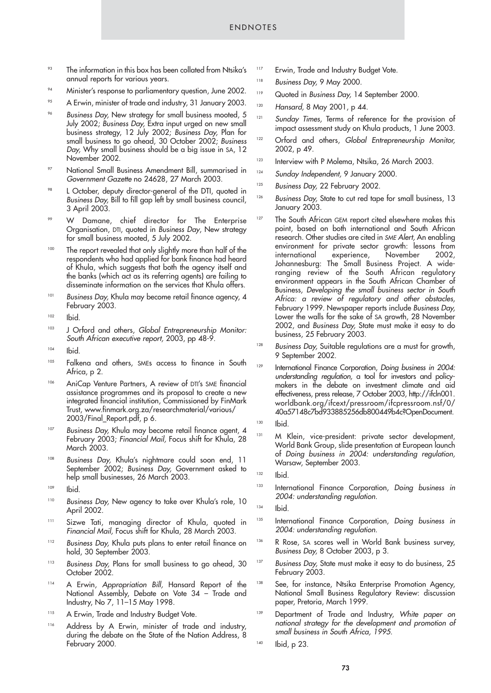- <sup>93</sup> The information in this box has been collated from Ntsika's annual reports for various years.
- <sup>94</sup> Minister's response to parliamentary question, June 2002.
- <sup>95</sup> A Erwin, minister of trade and industry, 31 January 2003.
- <sup>96</sup> *Business Day,* New strategy for small business mooted, 5 July 2002; *Business Day,* Extra input urged on new small business strategy, 12 July 2002; *Business Day,* Plan for small business to go ahead, 30 October 2002; *Business Day,* Why small business should be a big issue in SA, 12 November 2002.
- <sup>97</sup> National Small Business Amendment Bill, summarised in *Government Gazette* no 24628, 27 March 2003.
- L October, deputy director-general of the DTI, quoted in *Business Day,* Bill to fill gap left by small business council, 3 April 2003.
- <sup>99</sup> W Damane, chief director for The Enterprise Organisation, DTI, quoted in *Business Day*, New strategy for small business mooted, 5 July 2002.
- <sup>100</sup> The report revealed that only slightly more than half of the respondents who had applied for bank finance had heard of Khula, which suggests that both the agency itself and the banks (which act as its referring agents) are failing to disseminate information on the services that Khula offers.
- <sup>101</sup> *Business Day, Khula may become retail finance agency, 4* February 2003.
- <sup>102</sup> Ibid.
- <sup>103</sup> J Orford and others, *Global Entrepreneurship Monitor: South African executive report,* 2003, pp 48-9.
- $104$  Ibid.
- 105 Falkena and others, SMEs access to finance in South Africa, p 2.
- 106 AniCap Venture Partners, A review of DTI's SME financial assistance programmes and its proposal to create a new integrated financial institution, Commissioned by FinMark Trust, www.finmark.org.za/researchmaterial/various/ 2003/Final\_Report.pdf, p 6.
- <sup>107</sup> Business Day, Khula may become retail finance agent, 4 February 2003; *Financial Mail,* Focus shift for Khula, 28 March 2003.
- <sup>108</sup> *Business Day,* Khula's nightmare could soon end, 11 September 2002; *Business Day,* Government asked to help small businesses, 26 March 2003.
- <sup>109</sup> Ibid.
- <sup>110</sup> Business Day, New agency to take over Khula's role, 10 April 2002.
- 111 Sizwe Tati, managing director of Khula, quoted in *Financial Mail,* Focus shift for Khula, 28 March 2003.
- <sup>112</sup> *Business Day,* Khula puts plans to enter retail finance on hold, 30 September 2003.
- <sup>113</sup> *Business Day, Plans for small business to go ahead, 30* October 2002.
- <sup>114</sup> A Erwin, *Appropriation Bill,* Hansard Report of the National Assembly, Debate on Vote 34 – Trade and Industry, No 7, 11–15 May 1998.
- 115 A Erwin, Trade and Industry Budget Vote.
- 116 Address by A Erwin, minister of trade and industry, during the debate on the State of the Nation Address, 8 February 2000.
- <sup>117</sup> Erwin, Trade and Industry Budget Vote.
- <sup>118</sup> *Business Day,* 9 May 2000.
- <sup>119</sup> Quoted in *Business Day,* 14 September 2000.
- <sup>120</sup> *Hansard,* 8 May 2001, p 44.
- <sup>121</sup> Sunday Times, Terms of reference for the provision of impact assessment study on Khula products, 1 June 2003.
- <sup>122</sup> Orford and others, *Global Entrepreneurship Monitor,* 2002, p 49.
- <sup>123</sup> Interview with P Molema, Ntsika, 26 March 2003.
- <sup>124</sup> *Sunday Independent,* 9 January 2000.
- <sup>125</sup> *Business Day,* 22 February 2002.
- <sup>126</sup> Business Day, State to cut red tape for small business, 13 January 2003.
- <sup>127</sup> The South African GEM report cited elsewhere makes this point, based on both international and South African research. Other studies are cited in *SME Alert,* An enabling environment for private sector growth: lessons from experience, November 2002, Johannesburg: The Small Business Project. A wideranging review of the South African regulatory environment appears in the South African Chamber of Business, *Developing the small business sector in South Africa: a review of regulatory and other obstacles,* February 1999. Newspaper reports include *Business Day,* Lower the walls for the sake of SA growth, 28 November 2002, and *Business Day,* State must make it easy to do business, 25 February 2003.
- <sup>128</sup> *Business Day, Suitable regulations are a must for growth,* 9 September 2002.
- <sup>129</sup> International Finance Corporation, *Doing business in 2004: understanding regulation,* a tool for investors and policymakers in the debate on investment climate and aid effectiveness, press release, 7 October 2003, http://ifcln001. worldbank.org/ifcext/pressroom/ifcpressroom.nsf/0/ 40a57148c7bd933885256db800449b4c?OpenDocument.

131 M Klein, vice-president: private sector development, World Bank Group, slide presentation at European launch of *Doing business in 2004: understanding regulation,* Warsaw, September 2003.

<sup>133</sup> International Finance Corporation, *Doing business in 2004: understanding regulation.* 

- <sup>135</sup> International Finance Corporation, *Doing business in 2004: understanding regulation*.
- 136 R Rose, SA scores well in World Bank business survey, *Business Day,* 8 October 2003, p 3.
- <sup>137</sup> *Business Day, State must make it easy to do business, 25* February 2003.
- 138 See, for instance, Ntsika Enterprise Promotion Agency, National Small Business Regulatory Review: discussion paper, Pretoria, March 1999.
- <sup>139</sup> Department of Trade and Industry, *White paper on national strategy for the development and promotion of small business in South Africa, 1995.*
- 140 **Ibid**, p 23.

<sup>130</sup> Ibid.

 $132$  Ibid.

<sup>134</sup> Ibid.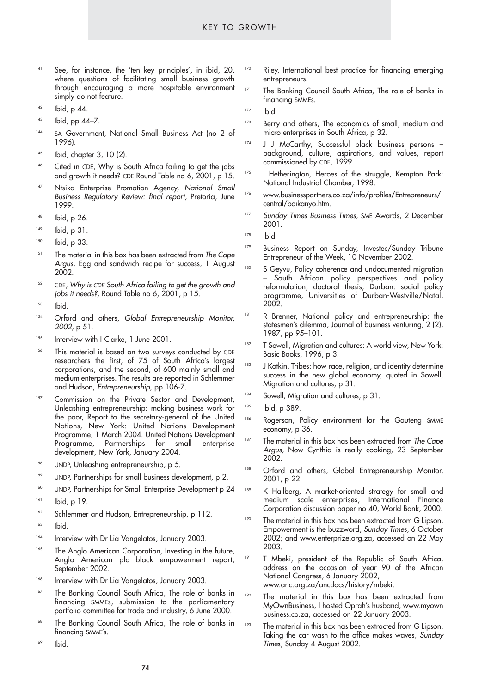- 141 See, for instance, the 'ten key principles', in ibid, 20, where questions of facilitating small business growth through encouraging a more hospitable environment simply do not feature.
- <sup>142</sup> Ibid*,* p 44.
- <sup>143</sup> Ibid*,* pp 44–7.
- 144 SA Government, National Small Business Act (no 2 of 1996).
- <sup>145</sup> Ibid*,* chapter 3, 10 (2).
- 146 Cited in CDE, Why is South Africa failing to get the jobs and growth it needs? CDE Round Table no 6, 2001, p 15.
- <sup>147</sup> Ntsika Enterprise Promotion Agency, *National Small Business Regulatory Review: final report,* Pretoria, June 1999.
- <sup>148</sup> Ibid, p 26.
- $149$  Ibid, p 31.
- $150$  Ibid, p 33.
- <sup>151</sup> The material in this box has been extracted from *The Cape* Argus, Egg and sandwich recipe for success, 1 August 2002.
- <sup>152</sup> CDE, *Why is CDE South Africa failing to get the growth and jobs it needs?,* Round Table no 6, 2001, p 15.
- <sup>153</sup> Ibid.
- <sup>154</sup> Orford and others, *Global Entrepreneurship Monitor, 2002,* p 51.
- <sup>155</sup> Interview with I Clarke, 1 June 2001.
- <sup>156</sup> This material is based on two surveys conducted by CDE researchers the first, of 75 of South Africa's largest corporations, and the second, of 600 mainly small and medium enterprises. The results are reported in Schlemmer and Hudson, *Entrepreneurship*, pp 106-7.
- <sup>157</sup> Commission on the Private Sector and Development, Unleashing entrepreneurship: making business work for the poor, Report to the secretary-general of the United Nations, New York: United Nations Development Programme, 1 March 2004. United Nations Development Programme, Partnerships for small enterprise development, New York, January 2004.
- <sup>158</sup> UNDP, Unleashing entrepreneurship, p 5.
- <sup>159</sup> UNDP, Partnerships for small business development, p 2.
- 160 UNDP, Partnerships for Small Enterprise Development p 24 161 **Ibid**, p 19.
- 162 Schlemmer and Hudson, Entrepreneurship, p 112.
- 163 **Ibid.**
- <sup>164</sup> Interview with Dr Lia Vangelatos, January 2003.
- <sup>165</sup> The Anglo American Corporation, Investing in the future, Anglo American plc black empowerment report, September 2002.
- 166 Interview with Dr Lia Vangelatos, January 2003.
- 167 The Banking Council South Africa, The role of banks in financing SMMEs, submission to the parliamentary portfolio committee for trade and industry, 6 June 2000.
- 168 The Banking Council South Africa, The role of banks in financing SMME's.
- 169 Ibid.
- 170 Riley, International best practice for financing emerging entrepreneurs.
- <sup>171</sup> The Banking Council South Africa, The role of banks in financing SMMEs.

 $172$   $l$ hid

- 173 Berry and others, The economics of small, medium and micro enterprises in South Africa, p 32.
- 174 J J McCarthy, Successful black business persons background, culture, aspirations, and values, report commissioned by CDE, 1999.
- 175 I Hetherington, Heroes of the struggle, Kempton Park: National Industrial Chamber, 1998.
- <sup>176</sup> www.businesspartners.co.za/info/profiles/Entrepreneurs/ central/boikanyo.htm.
- <sup>177</sup> Sunday Times Business Times, SME Awards, 2 December 2001.
- <sup>178</sup> Ibid.
- <sup>179</sup> Business Report on Sunday, Investec/Sunday Tribune Entrepreneur of the Week, 10 November 2002.
	- S Geyvu, Policy coherence and undocumented migration – South African policy perspectives and policy reformulation, doctoral thesis, Durban: social policy programme, Universities of Durban-Westville/Natal, 2002.
- <sup>181</sup> R Brenner, National policy and entrepreneurship: the statesmen's dilemma, Journal of business venturing, 2 (2), 1987, pp 95–101.
- 182 T Sowell, Migration and cultures: A world view, New York: Basic Books, 1996, p 3.
- <sup>183</sup> J Kotkin, Tribes: how race, religion, and identity determine success in the new global economy, quoted in Sowell, Migration and cultures, p 31.
- 184 Sowell, Migration and cultures, p 31.
- 185 Ibid, p 389.
- 186 Rogerson, Policy environment for the Gauteng SMME economy, p 36.
- The material in this box has been extracted from *The Cape Argus,* Now Cynthia is really cooking, 23 September 2002.
- 188 Orford and others, Global Entrepreneurship Monitor, 2001, p 22.
- K Hallberg, A market-oriented strategy for small and medium scale enterprises, International Finance Corporation discussion paper no 40, World Bank, 2000.
- <sup>190</sup> The material in this box has been extracted from G Lipson, Empowerment is the buzzword, *Sunday Times*, 6 October 2002; and www.enterprize.org.za, accessed on 22 May 2003.
- <sup>191</sup> T Mbeki, president of the Republic of South Africa, address on the occasion of year 90 of the African National Congress, 6 January 2002, www.anc.org.za/ancdocs/history/mbeki.
- <sup>192</sup> The material in this box has been extracted from MyOwnBusiness, I hosted Oprah's husband, www.myown business.co.za, accessed on 22 January 2003.
- The material in this box has been extracted from G Lipson, Taking the car wash to the office makes waves, *Sunday Time*s, Sunday 4 August 2002.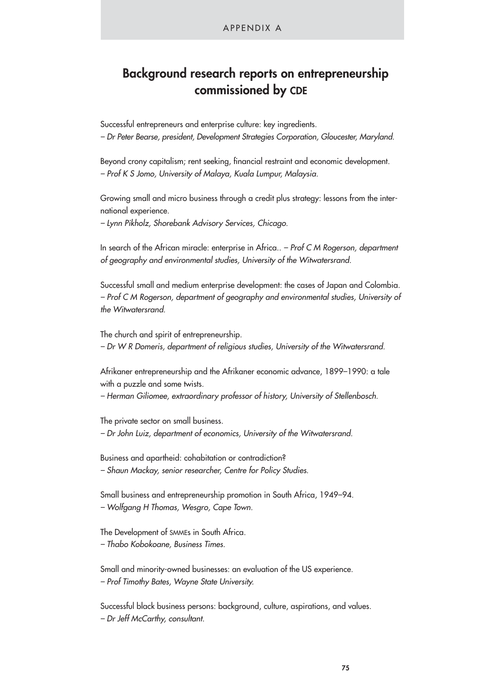#### APPENDIX A

# **Background research reports on entrepreneurship commissioned by CDE**

Successful entrepreneurs and enterprise culture: key ingredients. *– Dr Peter Bearse, president, Development Strategies Corporation, Gloucester, Maryland.*

Beyond crony capitalism; rent seeking, financial restraint and economic development. *– Prof K S Jomo, University of Malaya, Kuala Lumpur, Malaysia.*

Growing small and micro business through a credit plus strategy: lessons from the international experience.

*– Lynn Pikholz, Shorebank Advisory Services, Chicago.*

In search of the African miracle: enterprise in Africa.. *– Prof C M Rogerson, department of geography and environmental studies, University of the Witwatersrand.*

Successful small and medium enterprise development: the cases of Japan and Colombia. *– Prof C M Rogerson, department of geography and environmental studies, University of the Witwatersrand.*

The church and spirit of entrepreneurship.

*– Dr W R Domeris, department of religious studies, University of the Witwatersrand.*

Afrikaner entrepreneurship and the Afrikaner economic advance, 1899–1990: a tale with a puzzle and some twists.

*– Herman Giliomee, extraordinary professor of history, University of Stellenbosch.*

The private sector on small business. *– Dr John Luiz, department of economics, University of the Witwatersrand.*

Business and apartheid: cohabitation or contradiction? *– Shaun Mackay, senior researcher, Centre for Policy Studies.*

Small business and entrepreneurship promotion in South Africa, 1949–94. *– Wolfgang H Thomas, Wesgro, Cape Town.*

The Development of SMMEs in South Africa. *– Thabo Kobokoane, Business Times.*

Small and minority-owned businesses: an evaluation of the US experience. *– Prof Timothy Bates, Wayne State University.*

Successful black business persons: background, culture, aspirations, and values. *– Dr Jeff McCarthy, consultant.*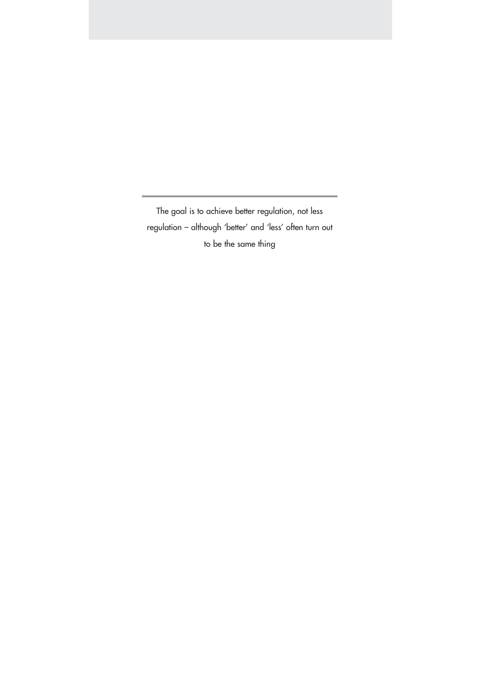The goal is to achieve better regulation, not less regulation – although 'better' and 'less' often turn out to be the same thing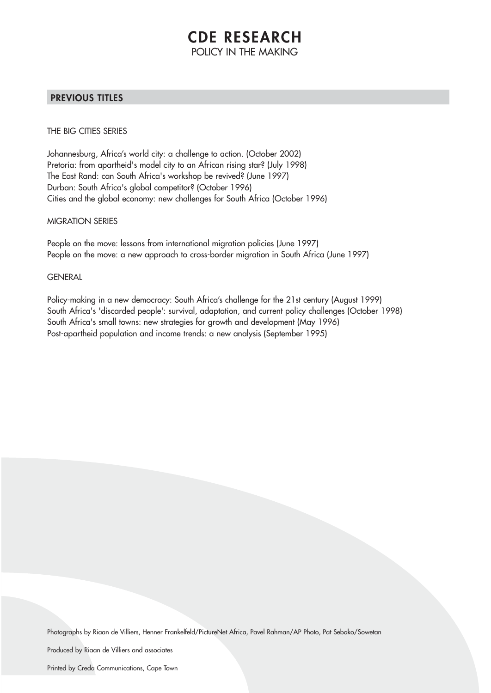# **CDE RESEARCH** POLICY IN THE MAKING

### **PREVIOUS TITLES**

THE BIG CITIES SERIES

Johannesburg, Africa's world city: a challenge to action. (October 2002) Pretoria: from apartheid's model city to an African rising star? (July 1998) The East Rand: can South Africa's workshop be revived? (June 1997) Durban: South Africa's global competitor? (October 1996) Cities and the global economy: new challenges for South Africa (October 1996)

MIGRATION SERIES

People on the move: lessons from international migration policies (June 1997) People on the move: a new approach to cross-border migration in South Africa (June 1997)

#### **GENERAL**

Policy-making in a new democracy: South Africa's challenge for the 21st century (August 1999) South Africa's 'discarded people': survival, adaptation, and current policy challenges (October 1998) South Africa's small towns: new strategies for growth and development (May 1996) Post-apartheid population and income trends: a new analysis (September 1995)

Photographs by Riaan de Villiers, Henner Frankelfeld/PictureNet Africa, Pavel Rahman/AP Photo, Pat Seboko/Sowetan

Produced by Riaan de Villiers and associates